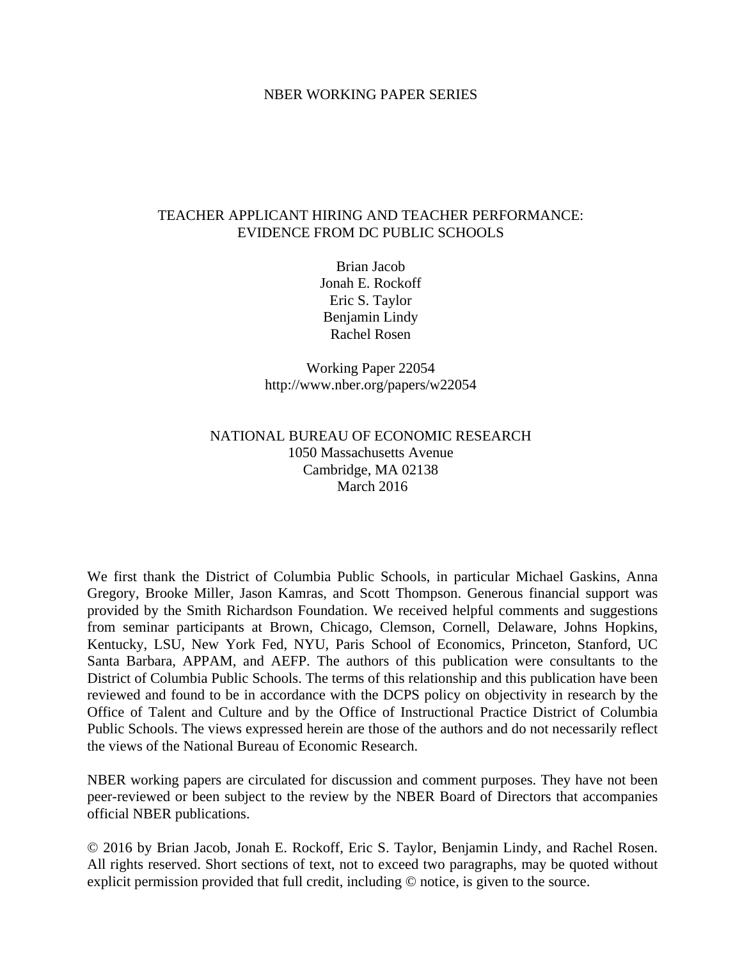#### NBER WORKING PAPER SERIES

# TEACHER APPLICANT HIRING AND TEACHER PERFORMANCE: EVIDENCE FROM DC PUBLIC SCHOOLS

Brian Jacob Jonah E. Rockoff Eric S. Taylor Benjamin Lindy Rachel Rosen

Working Paper 22054 http://www.nber.org/papers/w22054

# NATIONAL BUREAU OF ECONOMIC RESEARCH 1050 Massachusetts Avenue Cambridge, MA 02138 March 2016

We first thank the District of Columbia Public Schools, in particular Michael Gaskins, Anna Gregory, Brooke Miller, Jason Kamras, and Scott Thompson. Generous financial support was provided by the Smith Richardson Foundation. We received helpful comments and suggestions from seminar participants at Brown, Chicago, Clemson, Cornell, Delaware, Johns Hopkins, Kentucky, LSU, New York Fed, NYU, Paris School of Economics, Princeton, Stanford, UC Santa Barbara, APPAM, and AEFP. The authors of this publication were consultants to the District of Columbia Public Schools. The terms of this relationship and this publication have been reviewed and found to be in accordance with the DCPS policy on objectivity in research by the Office of Talent and Culture and by the Office of Instructional Practice District of Columbia Public Schools. The views expressed herein are those of the authors and do not necessarily reflect the views of the National Bureau of Economic Research.

NBER working papers are circulated for discussion and comment purposes. They have not been peer-reviewed or been subject to the review by the NBER Board of Directors that accompanies official NBER publications.

© 2016 by Brian Jacob, Jonah E. Rockoff, Eric S. Taylor, Benjamin Lindy, and Rachel Rosen. All rights reserved. Short sections of text, not to exceed two paragraphs, may be quoted without explicit permission provided that full credit, including © notice, is given to the source.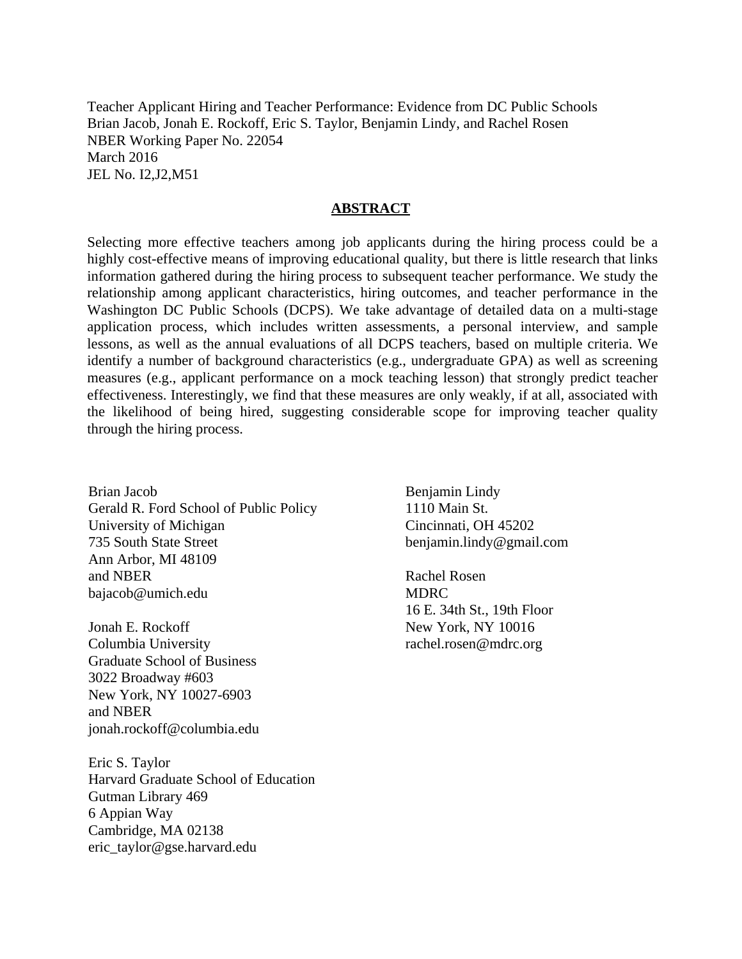Teacher Applicant Hiring and Teacher Performance: Evidence from DC Public Schools Brian Jacob, Jonah E. Rockoff, Eric S. Taylor, Benjamin Lindy, and Rachel Rosen NBER Working Paper No. 22054 March 2016 JEL No. I2,J2,M51

#### **ABSTRACT**

Selecting more effective teachers among job applicants during the hiring process could be a highly cost-effective means of improving educational quality, but there is little research that links information gathered during the hiring process to subsequent teacher performance. We study the relationship among applicant characteristics, hiring outcomes, and teacher performance in the Washington DC Public Schools (DCPS). We take advantage of detailed data on a multi-stage application process, which includes written assessments, a personal interview, and sample lessons, as well as the annual evaluations of all DCPS teachers, based on multiple criteria. We identify a number of background characteristics (e.g., undergraduate GPA) as well as screening measures (e.g., applicant performance on a mock teaching lesson) that strongly predict teacher effectiveness. Interestingly, we find that these measures are only weakly, if at all, associated with the likelihood of being hired, suggesting considerable scope for improving teacher quality through the hiring process.

Brian Jacob Gerald R. Ford School of Public Policy University of Michigan 735 South State Street Ann Arbor, MI 48109 and NBER bajacob@umich.edu

Jonah E. Rockoff Columbia University Graduate School of Business 3022 Broadway #603 New York, NY 10027-6903 and NBER jonah.rockoff@columbia.edu

Eric S. Taylor Harvard Graduate School of Education Gutman Library 469 6 Appian Way Cambridge, MA 02138 eric\_taylor@gse.harvard.edu

Benjamin Lindy 1110 Main St. Cincinnati, OH 45202 benjamin.lindy@gmail.com

Rachel Rosen MDRC 16 E. 34th St., 19th Floor New York, NY 10016 rachel.rosen@mdrc.org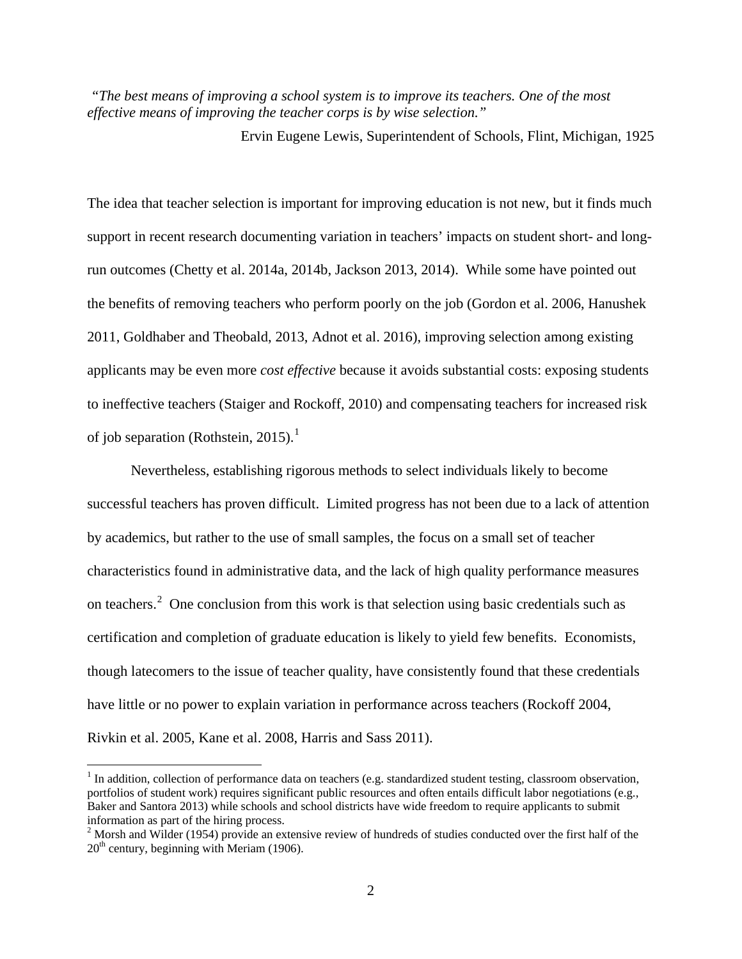*"The best means of improving a school system is to improve its teachers. One of the most effective means of improving the teacher corps is by wise selection."*

Ervin Eugene Lewis, Superintendent of Schools, Flint, Michigan, 1925

The idea that teacher selection is important for improving education is not new, but it finds much support in recent research documenting variation in teachers' impacts on student short- and longrun outcomes (Chetty et al. 2014a, 2014b, Jackson 2013, 2014). While some have pointed out the benefits of removing teachers who perform poorly on the job (Gordon et al. 2006, Hanushek 2011, Goldhaber and Theobald, 2013, Adnot et al. 2016), improving selection among existing applicants may be even more *cost effective* because it avoids substantial costs: exposing students to ineffective teachers (Staiger and Rockoff, 2010) and compensating teachers for increased risk of job separation (Rothstein, 20[1](#page-2-0)5).<sup>1</sup>

Nevertheless, establishing rigorous methods to select individuals likely to become successful teachers has proven difficult. Limited progress has not been due to a lack of attention by academics, but rather to the use of small samples, the focus on a small set of teacher characteristics found in administrative data, and the lack of high quality performance measures on teachers.<sup>[2](#page-2-1)</sup> One conclusion from this work is that selection using basic credentials such as certification and completion of graduate education is likely to yield few benefits. Economists, though latecomers to the issue of teacher quality, have consistently found that these credentials have little or no power to explain variation in performance across teachers (Rockoff 2004, Rivkin et al. 2005, Kane et al. 2008, Harris and Sass 2011).

<span id="page-2-0"></span> $1$  In addition, collection of performance data on teachers (e.g. standardized student testing, classroom observation, portfolios of student work) requires significant public resources and often entails difficult labor negotiations (e.g., Baker and Santora 2013) while schools and school districts have wide freedom to require applicants to submit information as part of the hiring process.

<span id="page-2-1"></span><sup>&</sup>lt;sup>2</sup> Morsh and Wilder (1954) provide an extensive review of hundreds of studies conducted over the first half of the  $20<sup>th</sup>$  century, beginning with Meriam (1906).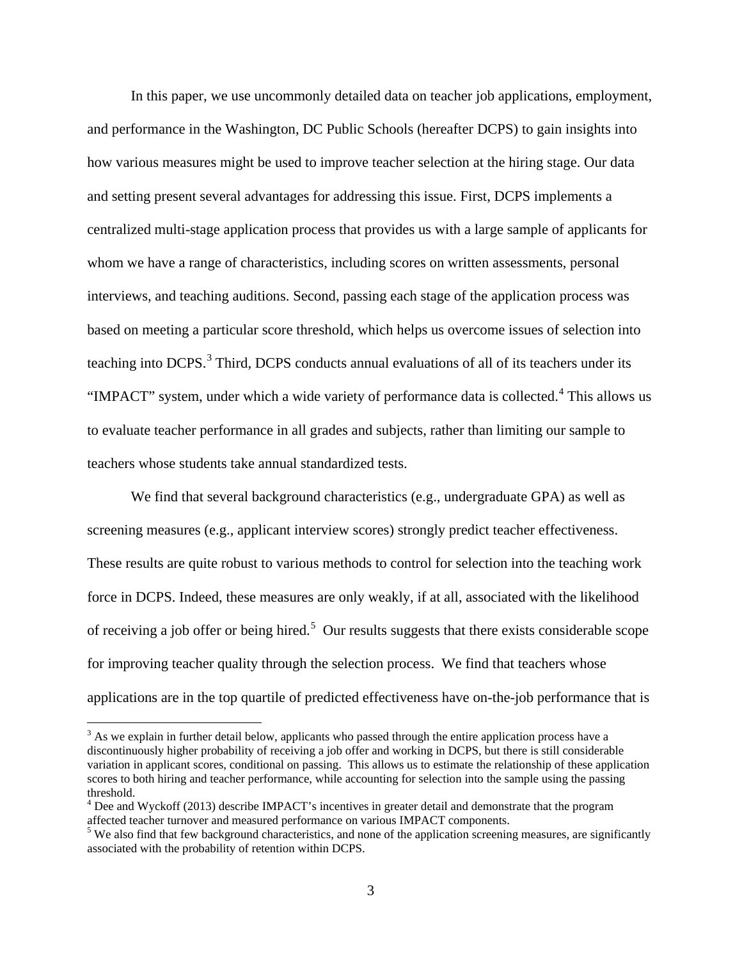In this paper, we use uncommonly detailed data on teacher job applications, employment, and performance in the Washington, DC Public Schools (hereafter DCPS) to gain insights into how various measures might be used to improve teacher selection at the hiring stage. Our data and setting present several advantages for addressing this issue. First, DCPS implements a centralized multi-stage application process that provides us with a large sample of applicants for whom we have a range of characteristics, including scores on written assessments, personal interviews, and teaching auditions. Second, passing each stage of the application process was based on meeting a particular score threshold, which helps us overcome issues of selection into teaching into DCPS.<sup>[3](#page-3-0)</sup> Third, DCPS conducts annual evaluations of all of its teachers under its "IMPACT" system, under which a wide variety of performance data is collected.<sup>[4](#page-3-1)</sup> This allows us to evaluate teacher performance in all grades and subjects, rather than limiting our sample to teachers whose students take annual standardized tests.

We find that several background characteristics (e.g., undergraduate GPA) as well as screening measures (e.g., applicant interview scores) strongly predict teacher effectiveness. These results are quite robust to various methods to control for selection into the teaching work force in DCPS. Indeed, these measures are only weakly, if at all, associated with the likelihood of receiving a job offer or being hired.<sup>[5](#page-3-2)</sup> Our results suggests that there exists considerable scope for improving teacher quality through the selection process. We find that teachers whose applications are in the top quartile of predicted effectiveness have on-the-job performance that is

<span id="page-3-0"></span> $3$  As we explain in further detail below, applicants who passed through the entire application process have a discontinuously higher probability of receiving a job offer and working in DCPS, but there is still considerable variation in applicant scores, conditional on passing. This allows us to estimate the relationship of these application scores to both hiring and teacher performance, while accounting for selection into the sample using the passing threshold.

<span id="page-3-1"></span><sup>&</sup>lt;sup>4</sup> Dee and Wyckoff (2013) describe IMPACT's incentives in greater detail and demonstrate that the program affected teacher turnover and measured performance on various IMPACT components.

<span id="page-3-2"></span><sup>&</sup>lt;sup>5</sup> We also find that few background characteristics, and none of the application screening measures, are significantly associated with the probability of retention within DCPS.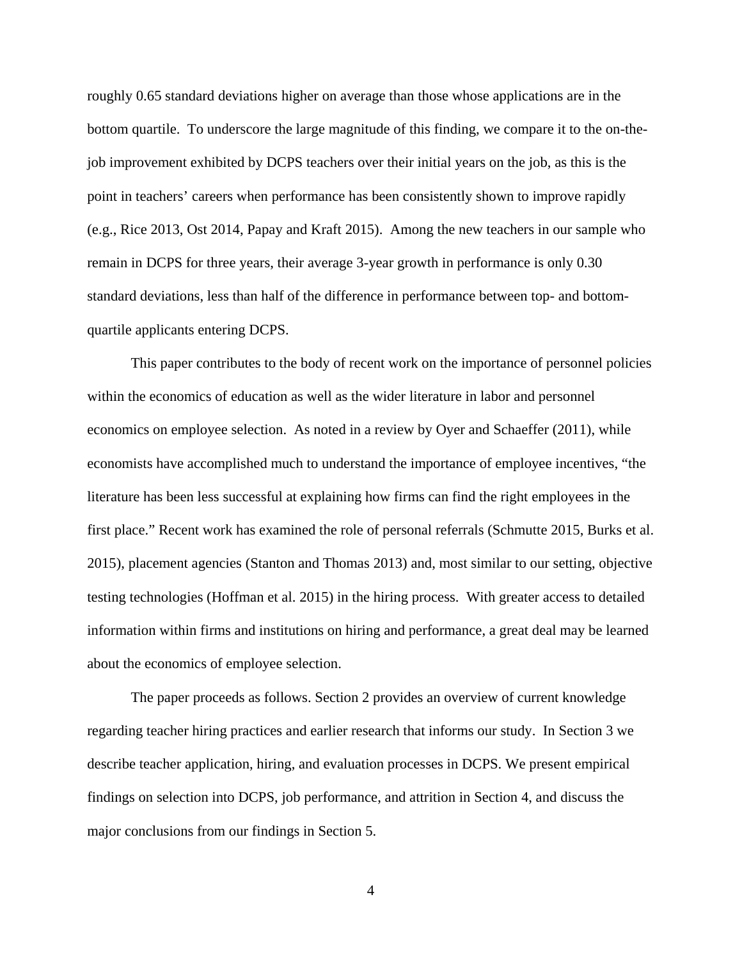roughly 0.65 standard deviations higher on average than those whose applications are in the bottom quartile. To underscore the large magnitude of this finding, we compare it to the on-thejob improvement exhibited by DCPS teachers over their initial years on the job, as this is the point in teachers' careers when performance has been consistently shown to improve rapidly (e.g., Rice 2013, Ost 2014, Papay and Kraft 2015). Among the new teachers in our sample who remain in DCPS for three years, their average 3-year growth in performance is only 0.30 standard deviations, less than half of the difference in performance between top- and bottomquartile applicants entering DCPS.

This paper contributes to the body of recent work on the importance of personnel policies within the economics of education as well as the wider literature in labor and personnel economics on employee selection. As noted in a review by Oyer and Schaeffer (2011), while economists have accomplished much to understand the importance of employee incentives, "the literature has been less successful at explaining how firms can find the right employees in the first place." Recent work has examined the role of personal referrals (Schmutte 2015, Burks et al. 2015), placement agencies (Stanton and Thomas 2013) and, most similar to our setting, objective testing technologies (Hoffman et al. 2015) in the hiring process. With greater access to detailed information within firms and institutions on hiring and performance, a great deal may be learned about the economics of employee selection.

The paper proceeds as follows. Section 2 provides an overview of current knowledge regarding teacher hiring practices and earlier research that informs our study. In Section 3 we describe teacher application, hiring, and evaluation processes in DCPS. We present empirical findings on selection into DCPS, job performance, and attrition in Section 4, and discuss the major conclusions from our findings in Section 5.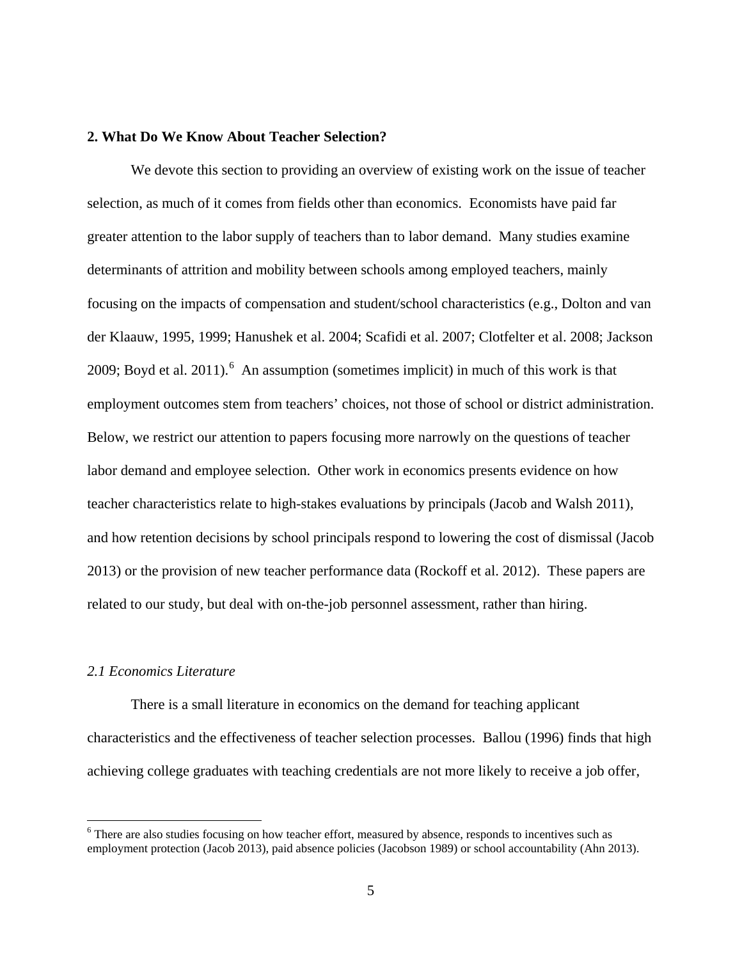# **2. What Do We Know About Teacher Selection?**

We devote this section to providing an overview of existing work on the issue of teacher selection, as much of it comes from fields other than economics. Economists have paid far greater attention to the labor supply of teachers than to labor demand. Many studies examine determinants of attrition and mobility between schools among employed teachers, mainly focusing on the impacts of compensation and student/school characteristics (e.g., Dolton and van der Klaauw, 1995, 1999; Hanushek et al. 2004; Scafidi et al. 2007; Clotfelter et al. 2008; Jackson 2009; Boyd et al. 2011).  $6$  An assumption (sometimes implicit) in much of this work is that employment outcomes stem from teachers' choices, not those of school or district administration. Below, we restrict our attention to papers focusing more narrowly on the questions of teacher labor demand and employee selection. Other work in economics presents evidence on how teacher characteristics relate to high-stakes evaluations by principals (Jacob and Walsh 2011), and how retention decisions by school principals respond to lowering the cost of dismissal (Jacob 2013) or the provision of new teacher performance data (Rockoff et al. 2012). These papers are related to our study, but deal with on-the-job personnel assessment, rather than hiring.

#### *2.1 Economics Literature*

 $\overline{a}$ 

There is a small literature in economics on the demand for teaching applicant characteristics and the effectiveness of teacher selection processes. Ballou (1996) finds that high achieving college graduates with teaching credentials are not more likely to receive a job offer,

<span id="page-5-0"></span><sup>&</sup>lt;sup>6</sup> There are also studies focusing on how teacher effort, measured by absence, responds to incentives such as employment protection (Jacob 2013), paid absence policies (Jacobson 1989) or school accountability (Ahn 2013).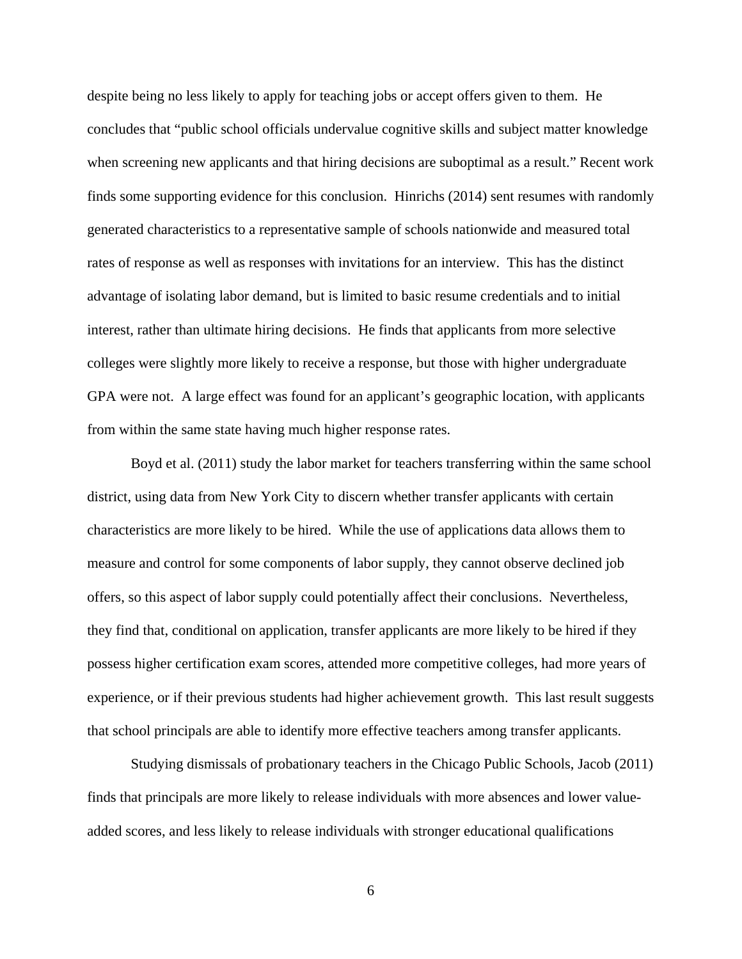despite being no less likely to apply for teaching jobs or accept offers given to them. He concludes that "public school officials undervalue cognitive skills and subject matter knowledge when screening new applicants and that hiring decisions are suboptimal as a result." Recent work finds some supporting evidence for this conclusion. Hinrichs (2014) sent resumes with randomly generated characteristics to a representative sample of schools nationwide and measured total rates of response as well as responses with invitations for an interview. This has the distinct advantage of isolating labor demand, but is limited to basic resume credentials and to initial interest, rather than ultimate hiring decisions. He finds that applicants from more selective colleges were slightly more likely to receive a response, but those with higher undergraduate GPA were not. A large effect was found for an applicant's geographic location, with applicants from within the same state having much higher response rates.

Boyd et al. (2011) study the labor market for teachers transferring within the same school district, using data from New York City to discern whether transfer applicants with certain characteristics are more likely to be hired. While the use of applications data allows them to measure and control for some components of labor supply, they cannot observe declined job offers, so this aspect of labor supply could potentially affect their conclusions. Nevertheless, they find that, conditional on application, transfer applicants are more likely to be hired if they possess higher certification exam scores, attended more competitive colleges, had more years of experience, or if their previous students had higher achievement growth. This last result suggests that school principals are able to identify more effective teachers among transfer applicants.

Studying dismissals of probationary teachers in the Chicago Public Schools, Jacob (2011) finds that principals are more likely to release individuals with more absences and lower valueadded scores, and less likely to release individuals with stronger educational qualifications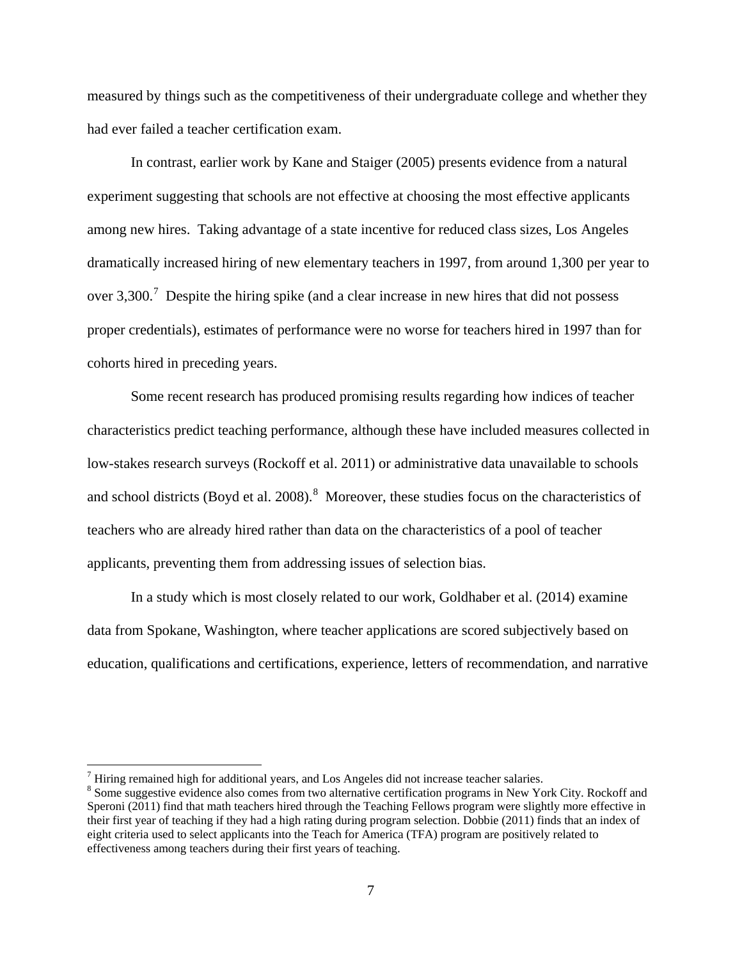measured by things such as the competitiveness of their undergraduate college and whether they had ever failed a teacher certification exam.

In contrast, earlier work by Kane and Staiger (2005) presents evidence from a natural experiment suggesting that schools are not effective at choosing the most effective applicants among new hires. Taking advantage of a state incentive for reduced class sizes, Los Angeles dramatically increased hiring of new elementary teachers in 1997, from around 1,300 per year to over 3,300.<sup>[7](#page-7-0)</sup> Despite the hiring spike (and a clear increase in new hires that did not possess proper credentials), estimates of performance were no worse for teachers hired in 1997 than for cohorts hired in preceding years.

Some recent research has produced promising results regarding how indices of teacher characteristics predict teaching performance, although these have included measures collected in low-stakes research surveys (Rockoff et al. 2011) or administrative data unavailable to schools and school districts (Boyd et al. 200[8](#page-7-1)). $8$  Moreover, these studies focus on the characteristics of teachers who are already hired rather than data on the characteristics of a pool of teacher applicants, preventing them from addressing issues of selection bias.

In a study which is most closely related to our work, Goldhaber et al. (2014) examine data from Spokane, Washington, where teacher applications are scored subjectively based on education, qualifications and certifications, experience, letters of recommendation, and narrative

<span id="page-7-0"></span> $7$  Hiring remained high for additional years, and Los Angeles did not increase teacher salaries.

<span id="page-7-1"></span><sup>&</sup>lt;sup>8</sup> Some suggestive evidence also comes from two alternative certification programs in New York City. Rockoff and Speroni (2011) find that math teachers hired through the Teaching Fellows program were slightly more effective in their first year of teaching if they had a high rating during program selection. Dobbie (2011) finds that an index of eight criteria used to select applicants into the Teach for America (TFA) program are positively related to effectiveness among teachers during their first years of teaching.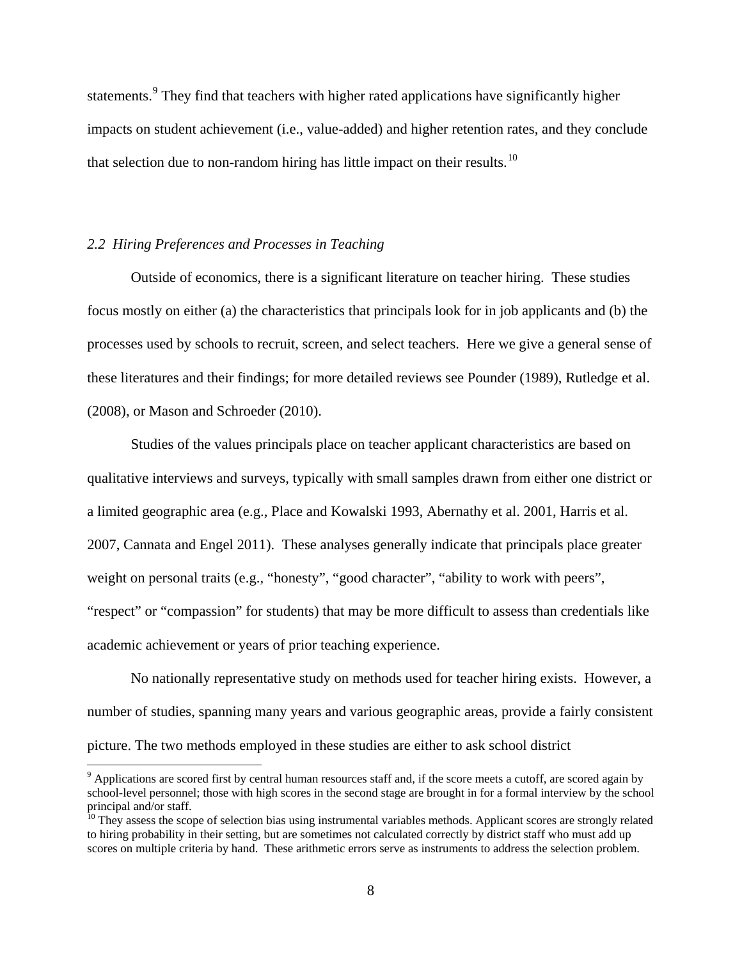statements.<sup>[9](#page-8-0)</sup> They find that teachers with higher rated applications have significantly higher impacts on student achievement (i.e., value-added) and higher retention rates, and they conclude that selection due to non-random hiring has little impact on their results.<sup>[10](#page-8-1)</sup>

#### *2.2 Hiring Preferences and Processes in Teaching*

 $\overline{a}$ 

Outside of economics, there is a significant literature on teacher hiring. These studies focus mostly on either (a) the characteristics that principals look for in job applicants and (b) the processes used by schools to recruit, screen, and select teachers. Here we give a general sense of these literatures and their findings; for more detailed reviews see Pounder (1989), Rutledge et al. (2008), or Mason and Schroeder (2010).

Studies of the values principals place on teacher applicant characteristics are based on qualitative interviews and surveys, typically with small samples drawn from either one district or a limited geographic area (e.g., Place and Kowalski 1993, Abernathy et al. 2001, Harris et al. 2007, Cannata and Engel 2011). These analyses generally indicate that principals place greater weight on personal traits (e.g., "honesty", "good character", "ability to work with peers", "respect" or "compassion" for students) that may be more difficult to assess than credentials like academic achievement or years of prior teaching experience.

No nationally representative study on methods used for teacher hiring exists. However, a number of studies, spanning many years and various geographic areas, provide a fairly consistent picture. The two methods employed in these studies are either to ask school district

<span id="page-8-0"></span> $9$  Applications are scored first by central human resources staff and, if the score meets a cutoff, are scored again by school-level personnel; those with high scores in the second stage are brought in for a formal interview by the school

<span id="page-8-1"></span> $\frac{10}{10}$  They assess the scope of selection bias using instrumental variables methods. Applicant scores are strongly related to hiring probability in their setting, but are sometimes not calculated correctly by district staff who must add up scores on multiple criteria by hand. These arithmetic errors serve as instruments to address the selection problem.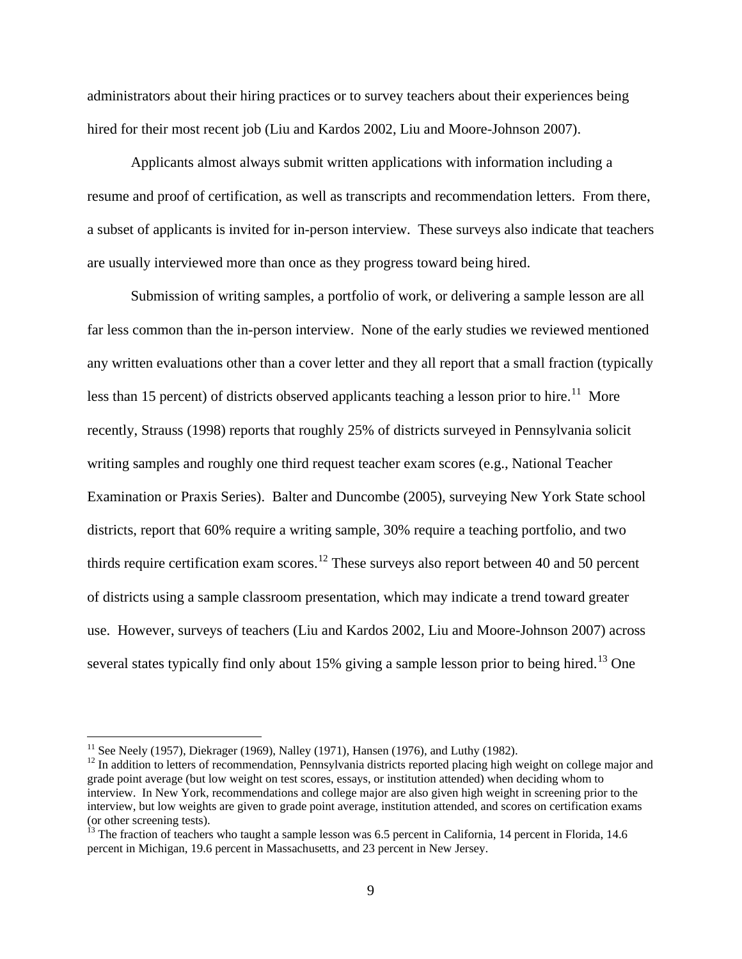administrators about their hiring practices or to survey teachers about their experiences being hired for their most recent job (Liu and Kardos 2002, Liu and Moore-Johnson 2007).

 Applicants almost always submit written applications with information including a resume and proof of certification, as well as transcripts and recommendation letters. From there, a subset of applicants is invited for in-person interview. These surveys also indicate that teachers are usually interviewed more than once as they progress toward being hired.

 Submission of writing samples, a portfolio of work, or delivering a sample lesson are all far less common than the in-person interview. None of the early studies we reviewed mentioned any written evaluations other than a cover letter and they all report that a small fraction (typically less than 15 percent) of districts observed applicants teaching a lesson prior to hire.<sup>11</sup> More recently, Strauss (1998) reports that roughly 25% of districts surveyed in Pennsylvania solicit writing samples and roughly one third request teacher exam scores (e.g., National Teacher Examination or Praxis Series). Balter and Duncombe (2005), surveying New York State school districts, report that 60% require a writing sample, 30% require a teaching portfolio, and two thirds require certification exam scores.<sup>[12](#page-9-1)</sup> These surveys also report between 40 and 50 percent of districts using a sample classroom presentation, which may indicate a trend toward greater use. However, surveys of teachers (Liu and Kardos 2002, Liu and Moore-Johnson 2007) across several states typically find only about 15% giving a sample lesson prior to being hired.<sup>[13](#page-9-2)</sup> One

<span id="page-9-0"></span><sup>&</sup>lt;sup>11</sup> See Neely (1957), Diekrager (1969), Nalley (1971), Hansen (1976), and Luthy (1982).

<span id="page-9-1"></span> $12$  In addition to letters of recommendation, Pennsylvania districts reported placing high weight on college major and grade point average (but low weight on test scores, essays, or institution attended) when deciding whom to interview. In New York, recommendations and college major are also given high weight in screening prior to the interview, but low weights are given to grade point average, institution attended, and scores on certification exams (or other screening tests).

<span id="page-9-2"></span> $^{13}$  The fraction of teachers who taught a sample lesson was 6.5 percent in California, 14 percent in Florida, 14.6 percent in Michigan, 19.6 percent in Massachusetts, and 23 percent in New Jersey.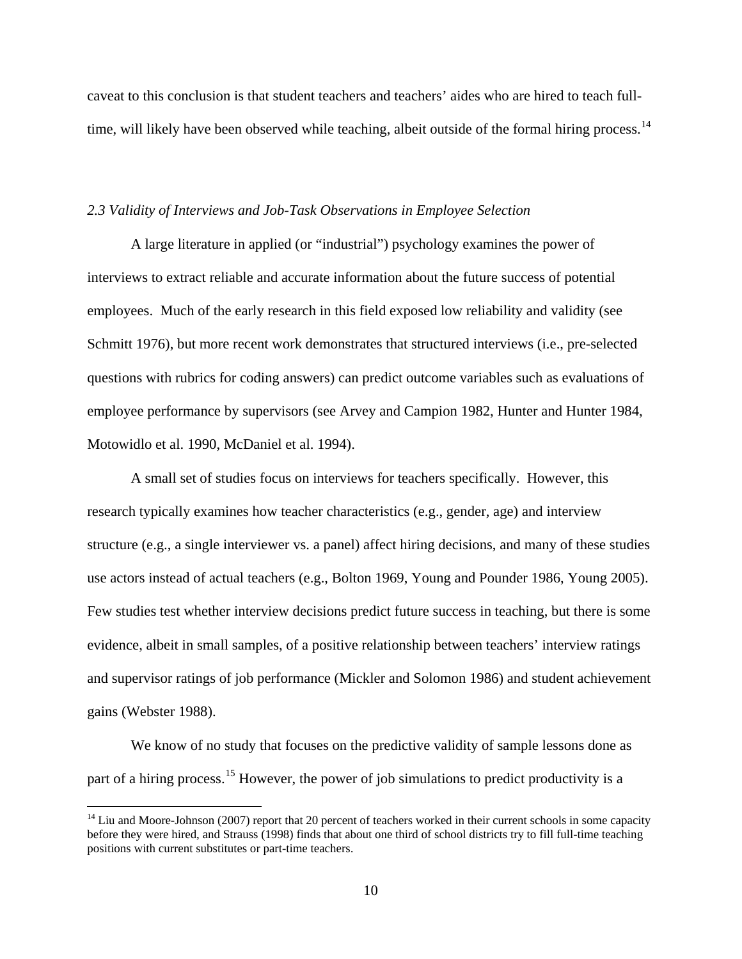caveat to this conclusion is that student teachers and teachers' aides who are hired to teach full-time, will likely have been observed while teaching, albeit outside of the formal hiring process.<sup>[14](#page-10-0)</sup>

#### *2.3 Validity of Interviews and Job-Task Observations in Employee Selection*

A large literature in applied (or "industrial") psychology examines the power of interviews to extract reliable and accurate information about the future success of potential employees. Much of the early research in this field exposed low reliability and validity (see Schmitt 1976), but more recent work demonstrates that structured interviews (i.e., pre-selected questions with rubrics for coding answers) can predict outcome variables such as evaluations of employee performance by supervisors (see Arvey and Campion 1982, Hunter and Hunter 1984, Motowidlo et al. 1990, McDaniel et al. 1994).

A small set of studies focus on interviews for teachers specifically. However, this research typically examines how teacher characteristics (e.g., gender, age) and interview structure (e.g., a single interviewer vs. a panel) affect hiring decisions, and many of these studies use actors instead of actual teachers (e.g., Bolton 1969, Young and Pounder 1986, Young 2005). Few studies test whether interview decisions predict future success in teaching, but there is some evidence, albeit in small samples, of a positive relationship between teachers' interview ratings and supervisor ratings of job performance (Mickler and Solomon 1986) and student achievement gains (Webster 1988).

 We know of no study that focuses on the predictive validity of sample lessons done as part of a hiring process.<sup>[15](#page-10-1)</sup> However, the power of job simulations to predict productivity is a

<span id="page-10-1"></span><span id="page-10-0"></span> $14$  Liu and Moore-Johnson (2007) report that 20 percent of teachers worked in their current schools in some capacity before they were hired, and Strauss (1998) finds that about one third of school districts try to fill full-time teaching positions with current substitutes or part-time teachers.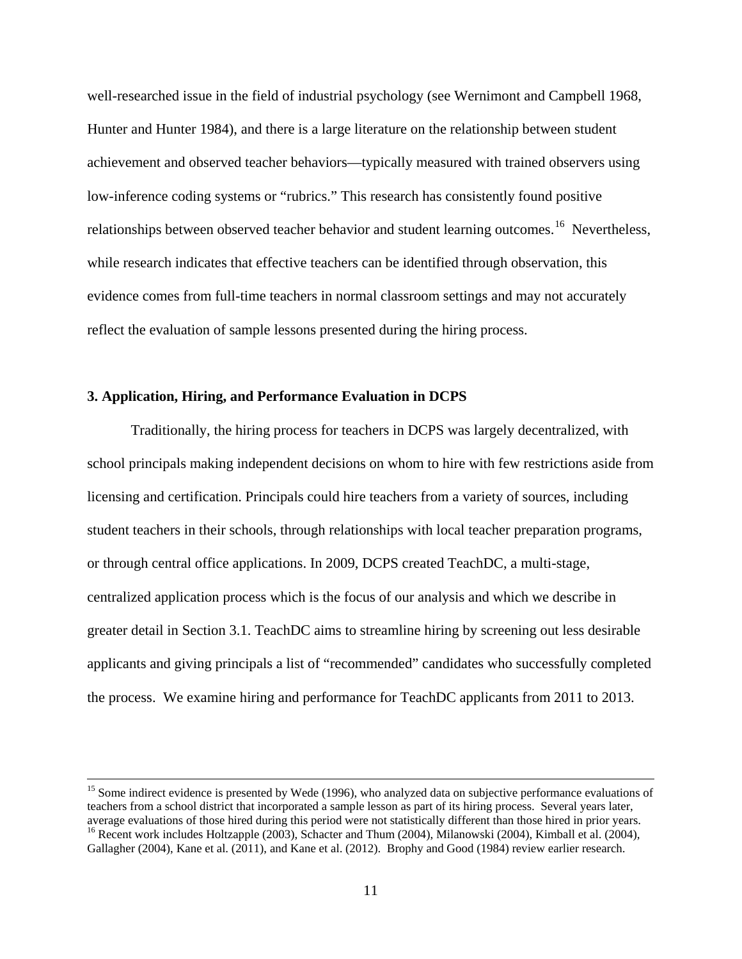well-researched issue in the field of industrial psychology (see Wernimont and Campbell 1968, Hunter and Hunter 1984), and there is a large literature on the relationship between student achievement and observed teacher behaviors—typically measured with trained observers using low-inference coding systems or "rubrics." This research has consistently found positive relationships between observed teacher behavior and student learning outcomes.<sup>[16](#page-11-0)</sup> Nevertheless, while research indicates that effective teachers can be identified through observation, this evidence comes from full-time teachers in normal classroom settings and may not accurately reflect the evaluation of sample lessons presented during the hiring process.

# **3. Application, Hiring, and Performance Evaluation in DCPS**

Traditionally, the hiring process for teachers in DCPS was largely decentralized, with school principals making independent decisions on whom to hire with few restrictions aside from licensing and certification. Principals could hire teachers from a variety of sources, including student teachers in their schools, through relationships with local teacher preparation programs, or through central office applications. In 2009, DCPS created TeachDC, a multi-stage, centralized application process which is the focus of our analysis and which we describe in greater detail in Section 3.1. TeachDC aims to streamline hiring by screening out less desirable applicants and giving principals a list of "recommended" candidates who successfully completed the process. We examine hiring and performance for TeachDC applicants from 2011 to 2013.

<span id="page-11-0"></span> $15$  Some indirect evidence is presented by Wede (1996), who analyzed data on subjective performance evaluations of teachers from a school district that incorporated a sample lesson as part of its hiring process. Several years later, average evaluations of those hired during this period were not statistically different than those hired in prior years. <sup>16</sup> Recent work includes Holtzapple (2003), Schacter and Thum (2004), Milanowski (2004), Kimball et al. (2004), Gallagher (2004), Kane et al. (2011), and Kane et al. (2012). Brophy and Good (1984) review earlier research.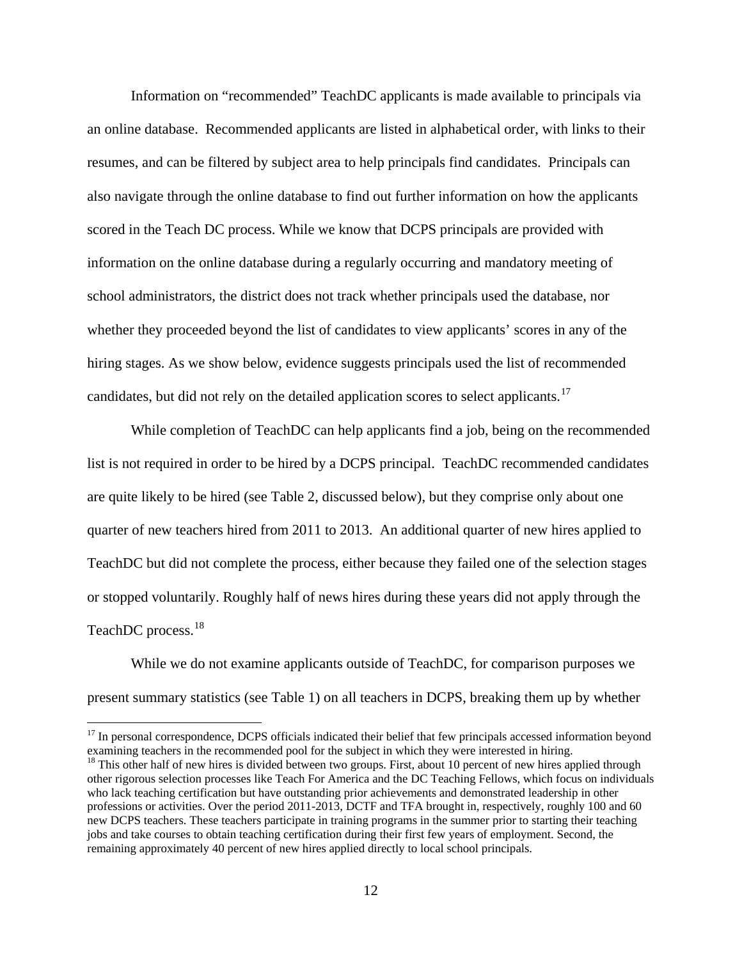Information on "recommended" TeachDC applicants is made available to principals via an online database. Recommended applicants are listed in alphabetical order, with links to their resumes, and can be filtered by subject area to help principals find candidates. Principals can also navigate through the online database to find out further information on how the applicants scored in the Teach DC process. While we know that DCPS principals are provided with information on the online database during a regularly occurring and mandatory meeting of school administrators, the district does not track whether principals used the database, nor whether they proceeded beyond the list of candidates to view applicants' scores in any of the hiring stages. As we show below, evidence suggests principals used the list of recommended candidates, but did not rely on the detailed application scores to select applicants.<sup>[17](#page-12-0)</sup>

While completion of TeachDC can help applicants find a job, being on the recommended list is not required in order to be hired by a DCPS principal. TeachDC recommended candidates are quite likely to be hired (see Table 2, discussed below), but they comprise only about one quarter of new teachers hired from 2011 to 2013. An additional quarter of new hires applied to TeachDC but did not complete the process, either because they failed one of the selection stages or stopped voluntarily. Roughly half of news hires during these years did not apply through the TeachDC process.<sup>18</sup>

While we do not examine applicants outside of TeachDC, for comparison purposes we present summary statistics (see Table 1) on all teachers in DCPS, breaking them up by whether

<span id="page-12-0"></span><sup>&</sup>lt;sup>17</sup> In personal correspondence, DCPS officials indicated their belief that few principals accessed information beyond examining teachers in the recommended pool for the subject in which they were interested in hiring.

<span id="page-12-1"></span><sup>&</sup>lt;sup>18</sup> This other half of new hires is divided between two groups. First, about 10 percent of new hires applied through other rigorous selection processes like Teach For America and the DC Teaching Fellows, which focus on individuals who lack teaching certification but have outstanding prior achievements and demonstrated leadership in other professions or activities. Over the period 2011-2013, DCTF and TFA brought in, respectively, roughly 100 and 60 new DCPS teachers. These teachers participate in training programs in the summer prior to starting their teaching jobs and take courses to obtain teaching certification during their first few years of employment. Second, the remaining approximately 40 percent of new hires applied directly to local school principals.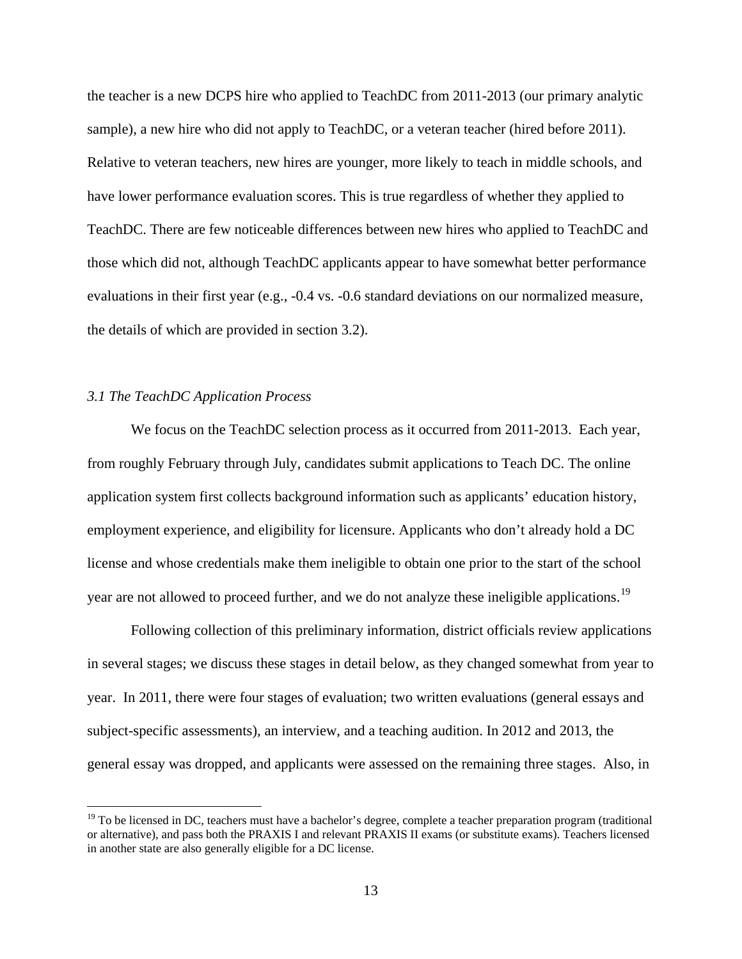the teacher is a new DCPS hire who applied to TeachDC from 2011-2013 (our primary analytic sample), a new hire who did not apply to TeachDC, or a veteran teacher (hired before 2011). Relative to veteran teachers, new hires are younger, more likely to teach in middle schools, and have lower performance evaluation scores. This is true regardless of whether they applied to TeachDC. There are few noticeable differences between new hires who applied to TeachDC and those which did not, although TeachDC applicants appear to have somewhat better performance evaluations in their first year (e.g., -0.4 vs. -0.6 standard deviations on our normalized measure, the details of which are provided in section 3.2).

### *3.1 The TeachDC Application Process*

 $\overline{a}$ 

 We focus on the TeachDC selection process as it occurred from 2011-2013. Each year, from roughly February through July, candidates submit applications to Teach DC. The online application system first collects background information such as applicants' education history, employment experience, and eligibility for licensure. Applicants who don't already hold a DC license and whose credentials make them ineligible to obtain one prior to the start of the school year are not allowed to proceed further, and we do not analyze these ineligible applications.<sup>[19](#page-13-0)</sup>

Following collection of this preliminary information, district officials review applications in several stages; we discuss these stages in detail below, as they changed somewhat from year to year. In 2011, there were four stages of evaluation; two written evaluations (general essays and subject-specific assessments), an interview, and a teaching audition. In 2012 and 2013, the general essay was dropped, and applicants were assessed on the remaining three stages. Also, in

<span id="page-13-0"></span><sup>&</sup>lt;sup>19</sup> To be licensed in DC, teachers must have a bachelor's degree, complete a teacher preparation program (traditional or alternative), and pass both the PRAXIS I and relevant PRAXIS II exams (or substitute exams). Teachers licensed in another state are also generally eligible for a DC license.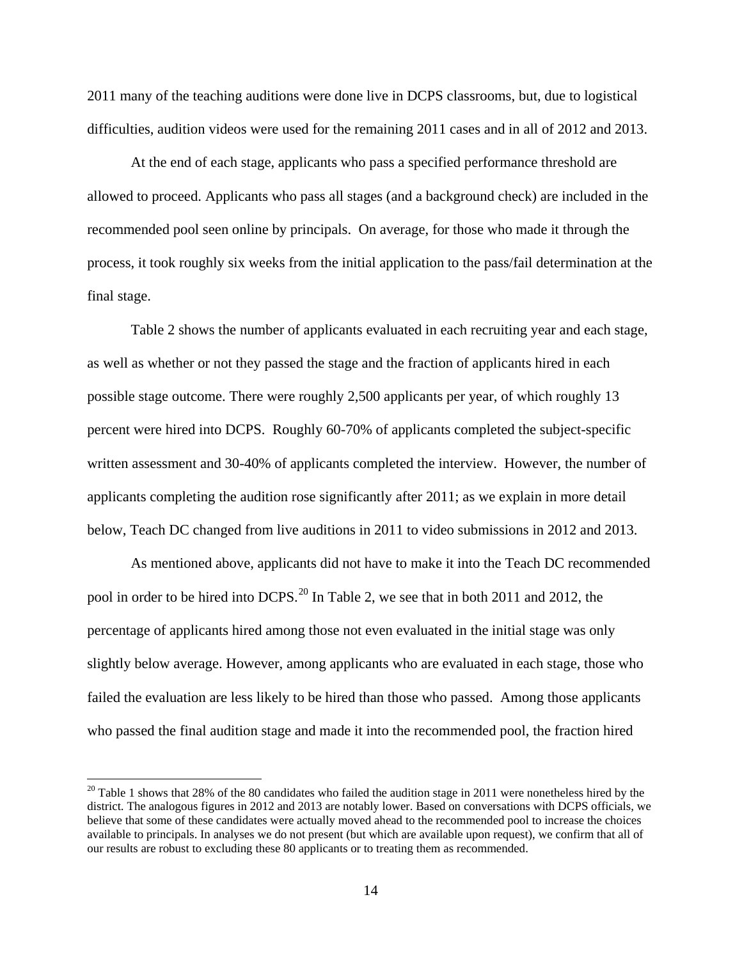2011 many of the teaching auditions were done live in DCPS classrooms, but, due to logistical difficulties, audition videos were used for the remaining 2011 cases and in all of 2012 and 2013.

At the end of each stage, applicants who pass a specified performance threshold are allowed to proceed. Applicants who pass all stages (and a background check) are included in the recommended pool seen online by principals. On average, for those who made it through the process, it took roughly six weeks from the initial application to the pass/fail determination at the final stage.

Table 2 shows the number of applicants evaluated in each recruiting year and each stage, as well as whether or not they passed the stage and the fraction of applicants hired in each possible stage outcome. There were roughly 2,500 applicants per year, of which roughly 13 percent were hired into DCPS. Roughly 60-70% of applicants completed the subject-specific written assessment and 30-40% of applicants completed the interview. However, the number of applicants completing the audition rose significantly after 2011; as we explain in more detail below, Teach DC changed from live auditions in 2011 to video submissions in 2012 and 2013.

As mentioned above, applicants did not have to make it into the Teach DC recommended pool in order to be hired into DCPS.<sup>20</sup> In Table 2, we see that in both 2011 and 2012, the percentage of applicants hired among those not even evaluated in the initial stage was only slightly below average. However, among applicants who are evaluated in each stage, those who failed the evaluation are less likely to be hired than those who passed. Among those applicants who passed the final audition stage and made it into the recommended pool, the fraction hired

<span id="page-14-0"></span> $20$  Table 1 shows that 28% of the 80 candidates who failed the audition stage in 2011 were nonetheless hired by the district. The analogous figures in 2012 and 2013 are notably lower. Based on conversations with DCPS officials, we believe that some of these candidates were actually moved ahead to the recommended pool to increase the choices available to principals. In analyses we do not present (but which are available upon request), we confirm that all of our results are robust to excluding these 80 applicants or to treating them as recommended.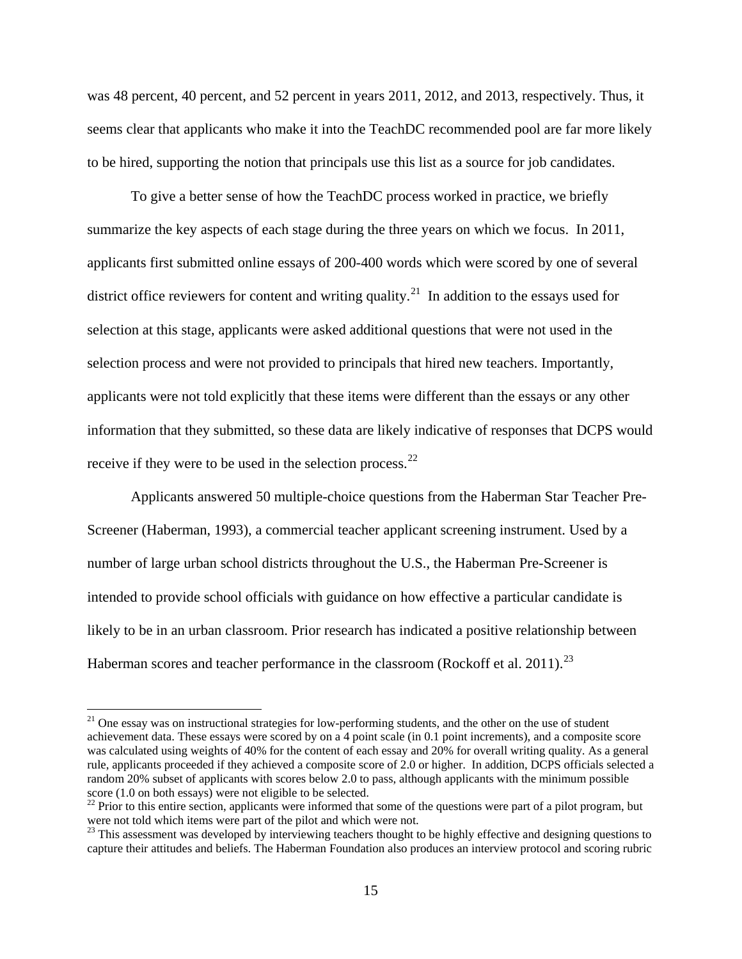was 48 percent, 40 percent, and 52 percent in years 2011, 2012, and 2013, respectively. Thus, it seems clear that applicants who make it into the TeachDC recommended pool are far more likely to be hired, supporting the notion that principals use this list as a source for job candidates.

To give a better sense of how the TeachDC process worked in practice, we briefly summarize the key aspects of each stage during the three years on which we focus. In 2011, applicants first submitted online essays of 200-400 words which were scored by one of several district office reviewers for content and writing quality.<sup>[21](#page-15-0)</sup> In addition to the essays used for selection at this stage, applicants were asked additional questions that were not used in the selection process and were not provided to principals that hired new teachers. Importantly, applicants were not told explicitly that these items were different than the essays or any other information that they submitted, so these data are likely indicative of responses that DCPS would receive if they were to be used in the selection process. $^{22}$ 

Applicants answered 50 multiple-choice questions from the Haberman Star Teacher Pre-Screener (Haberman, 1993), a commercial teacher applicant screening instrument. Used by a number of large urban school districts throughout the U.S., the Haberman Pre-Screener is intended to provide school officials with guidance on how effective a particular candidate is likely to be in an urban classroom. Prior research has indicated a positive relationship between Haberman scores and teacher performance in the classroom (Rockoff et al. 2011).<sup>[23](#page-15-2)</sup>

<span id="page-15-0"></span><sup>&</sup>lt;sup>21</sup> One essay was on instructional strategies for low-performing students, and the other on the use of student achievement data. These essays were scored by on a 4 point scale (in 0.1 point increments), and a composite score was calculated using weights of 40% for the content of each essay and 20% for overall writing quality. As a general rule, applicants proceeded if they achieved a composite score of 2.0 or higher. In addition, DCPS officials selected a random 20% subset of applicants with scores below 2.0 to pass, although applicants with the minimum possible score (1.0 on both essays) were not eligible to be selected.

<span id="page-15-1"></span> $\frac{22}{2}$  Prior to this entire section, applicants were informed that some of the questions were part of a pilot program, but were not told which items were part of the pilot and which were not.

<span id="page-15-2"></span> $^{23}$  This assessment was developed by interviewing teachers thought to be highly effective and designing questions to capture their attitudes and beliefs. The Haberman Foundation also produces an interview protocol and scoring rubric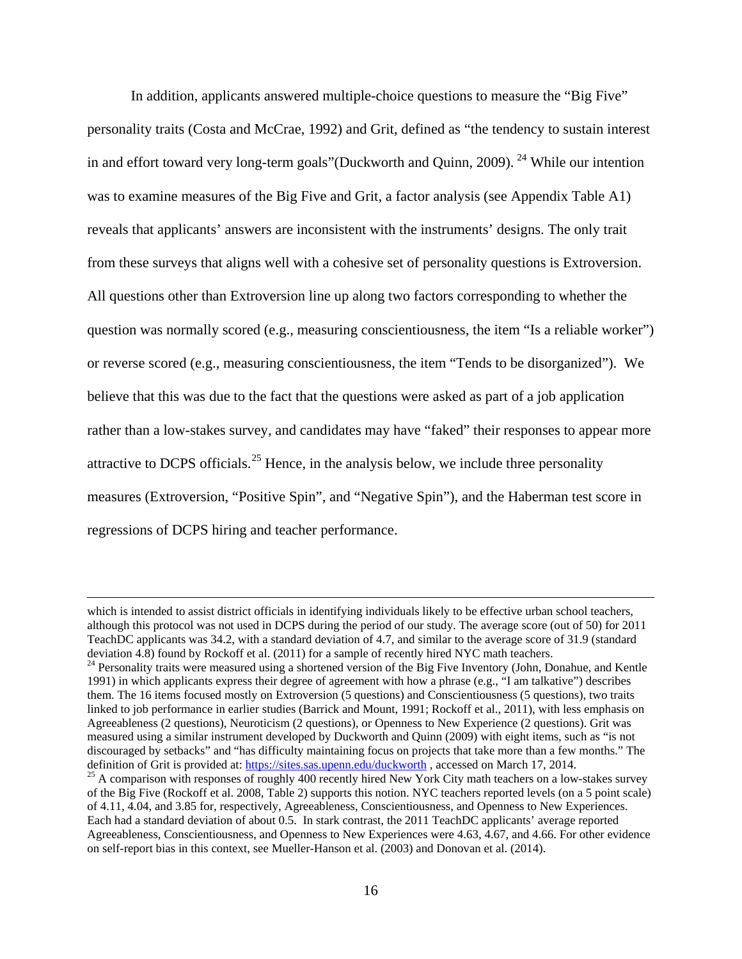In addition, applicants answered multiple-choice questions to measure the "Big Five" personality traits (Costa and McCrae, 1992) and Grit, defined as "the tendency to sustain interest in and effort toward very long-term goals" (Duckworth and Quinn, 2009). <sup>24</sup> While our intention was to examine measures of the Big Five and Grit, a factor analysis (see Appendix Table A1) reveals that applicants' answers are inconsistent with the instruments' designs. The only trait from these surveys that aligns well with a cohesive set of personality questions is Extroversion. All questions other than Extroversion line up along two factors corresponding to whether the question was normally scored (e.g., measuring conscientiousness, the item "Is a reliable worker") or reverse scored (e.g., measuring conscientiousness, the item "Tends to be disorganized"). We believe that this was due to the fact that the questions were asked as part of a job application rather than a low-stakes survey, and candidates may have "faked" their responses to appear more attractive to DCPS officials.<sup>[25](#page-16-1)</sup> Hence, in the analysis below, we include three personality measures (Extroversion, "Positive Spin", and "Negative Spin"), and the Haberman test score in regressions of DCPS hiring and teacher performance.

which is intended to assist district officials in identifying individuals likely to be effective urban school teachers, although this protocol was not used in DCPS during the period of our study. The average score (out of 50) for 2011 TeachDC applicants was 34.2, with a standard deviation of 4.7, and similar to the average score of 31.9 (standard deviation 4.8) found by Rockoff et al. (2011) for a sample of recently hired NYC math teachers.

<span id="page-16-0"></span><sup>&</sup>lt;sup>24</sup> Personality traits were measured using a shortened version of the Big Five Inventory (John, Donahue, and Kentle 1991) in which applicants express their degree of agreement with how a phrase (e.g., "I am talkative") describes them. The 16 items focused mostly on Extroversion (5 questions) and Conscientiousness (5 questions), two traits linked to job performance in earlier studies (Barrick and Mount, 1991; Rockoff et al., 2011), with less emphasis on Agreeableness (2 questions), Neuroticism (2 questions), or Openness to New Experience (2 questions). Grit was measured using a similar instrument developed by Duckworth and Quinn (2009) with eight items, such as "is not discouraged by setbacks" and "has difficulty maintaining focus on projects that take more than a few months." The definition of Grit is provided at: https://sites.sas.upenn.edu/duckworth, accessed on March 17, 2014.

<span id="page-16-1"></span> $^{25}$  A comparison with responses of roughly 400 recently hired New York City math teachers on a low-stakes survey of the Big Five (Rockoff et al. 2008, Table 2) supports this notion. NYC teachers reported levels (on a 5 point scale) of 4.11, 4.04, and 3.85 for, respectively, Agreeableness, Conscientiousness, and Openness to New Experiences. Each had a standard deviation of about 0.5. In stark contrast, the 2011 TeachDC applicants' average reported Agreeableness, Conscientiousness, and Openness to New Experiences were 4.63, 4.67, and 4.66. For other evidence on self-report bias in this context, see Mueller-Hanson et al. (2003) and Donovan et al. (2014).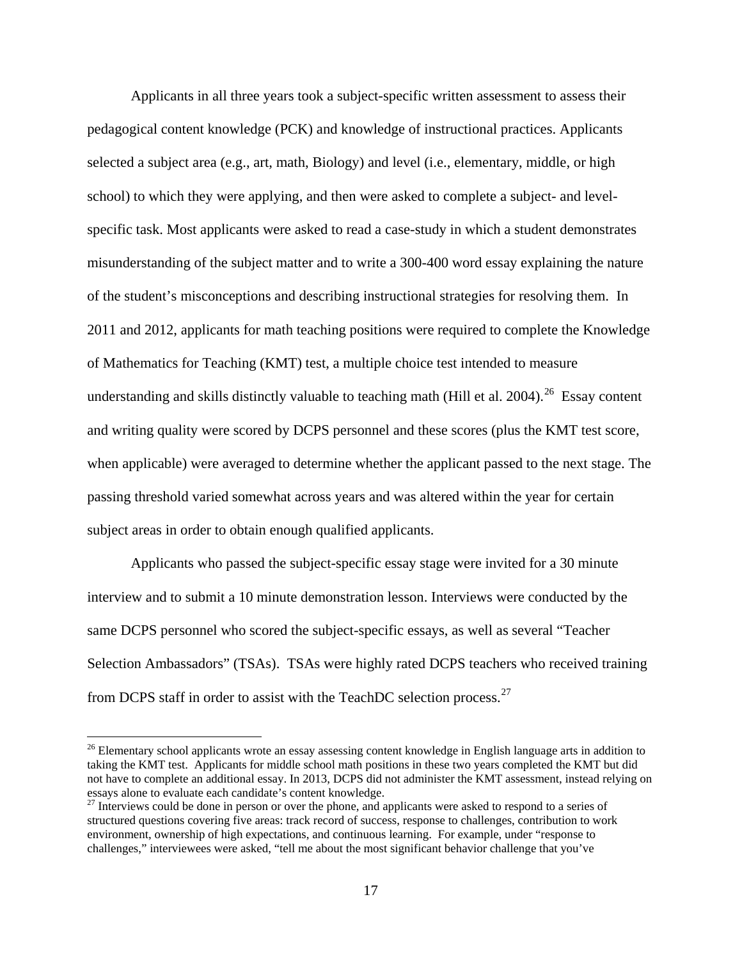Applicants in all three years took a subject-specific written assessment to assess their pedagogical content knowledge (PCK) and knowledge of instructional practices. Applicants selected a subject area (e.g., art, math, Biology) and level (i.e., elementary, middle, or high school) to which they were applying, and then were asked to complete a subject- and levelspecific task. Most applicants were asked to read a case-study in which a student demonstrates misunderstanding of the subject matter and to write a 300-400 word essay explaining the nature of the student's misconceptions and describing instructional strategies for resolving them. In 2011 and 2012, applicants for math teaching positions were required to complete the Knowledge of Mathematics for Teaching (KMT) test, a multiple choice test intended to measure understanding and skills distinctly valuable to teaching math (Hill et al. 2004).<sup>[26](#page-17-0)</sup> Essay content and writing quality were scored by DCPS personnel and these scores (plus the KMT test score, when applicable) were averaged to determine whether the applicant passed to the next stage. The passing threshold varied somewhat across years and was altered within the year for certain subject areas in order to obtain enough qualified applicants.

Applicants who passed the subject-specific essay stage were invited for a 30 minute interview and to submit a 10 minute demonstration lesson. Interviews were conducted by the same DCPS personnel who scored the subject-specific essays, as well as several "Teacher Selection Ambassadors" (TSAs). TSAs were highly rated DCPS teachers who received training from DCPS staff in order to assist with the TeachDC selection process.<sup>27</sup>

<span id="page-17-0"></span><sup>&</sup>lt;sup>26</sup> Elementary school applicants wrote an essay assessing content knowledge in English language arts in addition to taking the KMT test. Applicants for middle school math positions in these two years completed the KMT but did not have to complete an additional essay. In 2013, DCPS did not administer the KMT assessment, instead relying on essays alone to evaluate each candidate's content knowledge.

<span id="page-17-1"></span><sup>&</sup>lt;sup>27</sup> Interviews could be done in person or over the phone, and applicants were asked to respond to a series of structured questions covering five areas: track record of success, response to challenges, contribution to work environment, ownership of high expectations, and continuous learning. For example, under "response to challenges," interviewees were asked, "tell me about the most significant behavior challenge that you've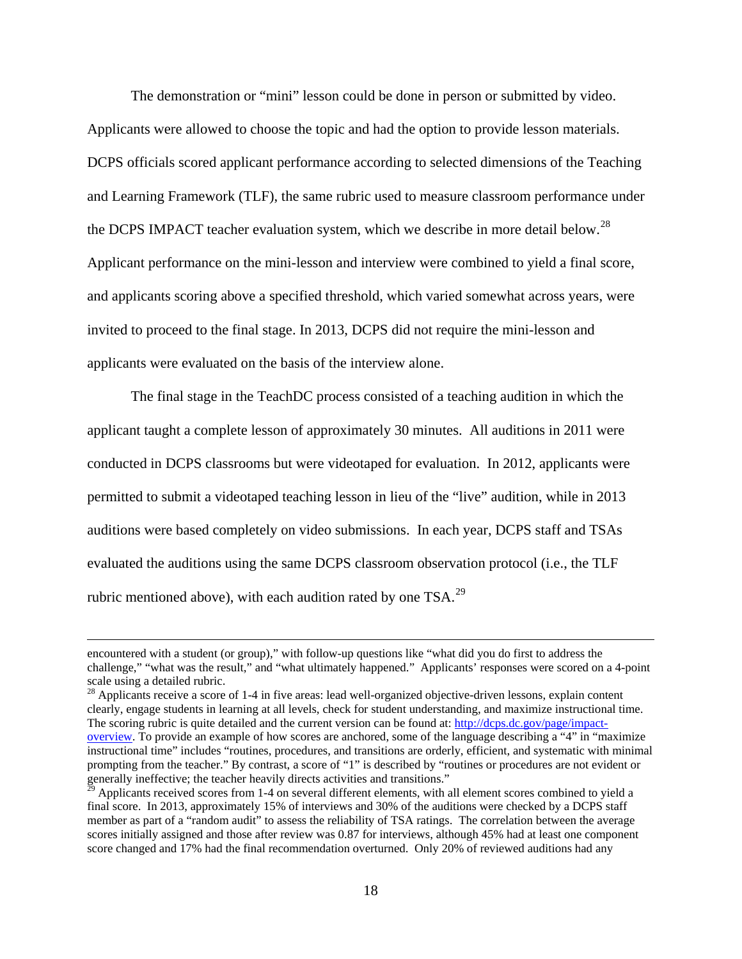The demonstration or "mini" lesson could be done in person or submitted by video. Applicants were allowed to choose the topic and had the option to provide lesson materials. DCPS officials scored applicant performance according to selected dimensions of the Teaching and Learning Framework (TLF), the same rubric used to measure classroom performance under the DCPS IMPACT teacher evaluation system, which we describe in more detail below.<sup>[28](#page-18-0)</sup> Applicant performance on the mini-lesson and interview were combined to yield a final score, and applicants scoring above a specified threshold, which varied somewhat across years, were invited to proceed to the final stage. In 2013, DCPS did not require the mini-lesson and applicants were evaluated on the basis of the interview alone.

The final stage in the TeachDC process consisted of a teaching audition in which the applicant taught a complete lesson of approximately 30 minutes. All auditions in 2011 were conducted in DCPS classrooms but were videotaped for evaluation. In 2012, applicants were permitted to submit a videotaped teaching lesson in lieu of the "live" audition, while in 2013 auditions were based completely on video submissions. In each year, DCPS staff and TSAs evaluated the auditions using the same DCPS classroom observation protocol (i.e., the TLF rubric mentioned above), with each audition rated by one TSA.<sup>[29](#page-18-1)</sup>

encountered with a student (or group)," with follow-up questions like "what did you do first to address the challenge," "what was the result," and "what ultimately happened." Applicants' responses were scored on a 4-point scale using a detailed rubric.

<span id="page-18-0"></span> $28$  Applicants receive a score of 1-4 in five areas: lead well-organized objective-driven lessons, explain content clearly, engage students in learning at all levels, check for student understanding, and maximize instructional time. The scoring rubric is quite detailed and the current version can be found at: [http://dcps.dc.gov/page/impact](http://dcps.dc.gov/page/impact-overview)[overview.](http://dcps.dc.gov/page/impact-overview) To provide an example of how scores are anchored, some of the language describing a "4" in "maximize instructional time" includes "routines, procedures, and transitions are orderly, efficient, and systematic with minimal prompting from the teacher." By contrast, a score of "1" is described by "routines or procedures are not evident or generally ineffective; the teacher heavily directs activities and transitions."

<span id="page-18-1"></span>Applicants received scores from 1-4 on several different elements, with all element scores combined to yield a final score. In 2013, approximately 15% of interviews and 30% of the auditions were checked by a DCPS staff member as part of a "random audit" to assess the reliability of TSA ratings. The correlation between the average scores initially assigned and those after review was 0.87 for interviews, although 45% had at least one component score changed and 17% had the final recommendation overturned. Only 20% of reviewed auditions had any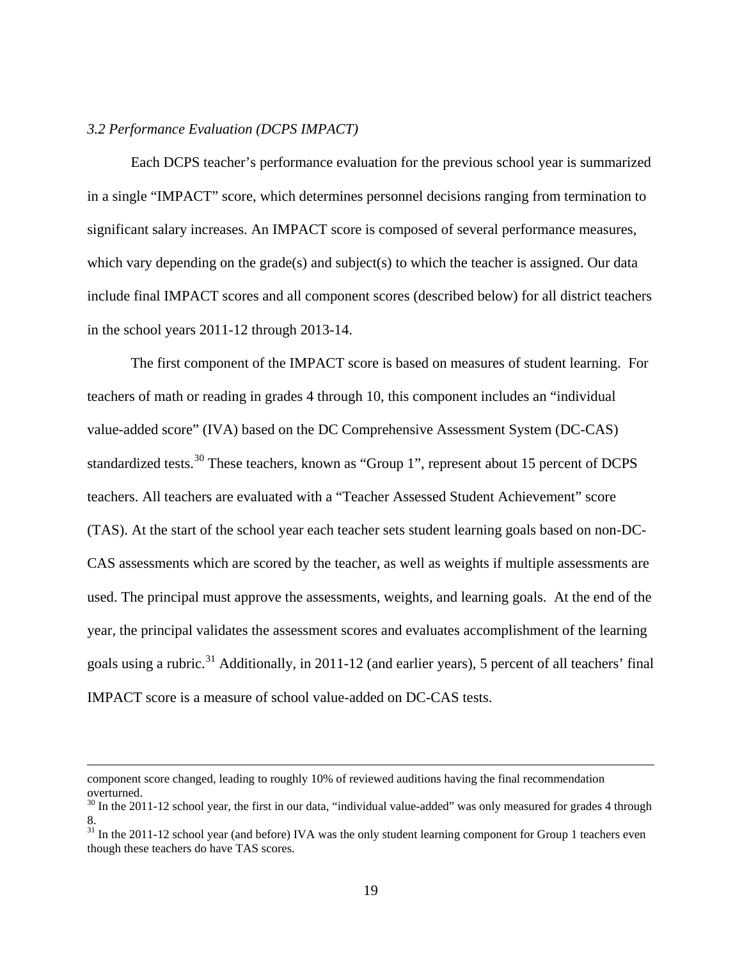### *3.2 Performance Evaluation (DCPS IMPACT)*

 Each DCPS teacher's performance evaluation for the previous school year is summarized in a single "IMPACT" score, which determines personnel decisions ranging from termination to significant salary increases. An IMPACT score is composed of several performance measures, which vary depending on the grade(s) and subject(s) to which the teacher is assigned. Our data include final IMPACT scores and all component scores (described below) for all district teachers in the school years 2011-12 through 2013-14.

The first component of the IMPACT score is based on measures of student learning. For teachers of math or reading in grades 4 through 10, this component includes an "individual value-added score" (IVA) based on the DC Comprehensive Assessment System (DC-CAS) standardized tests.<sup>30</sup> These teachers, known as "Group 1", represent about 15 percent of DCPS teachers. All teachers are evaluated with a "Teacher Assessed Student Achievement" score (TAS). At the start of the school year each teacher sets student learning goals based on non-DC-CAS assessments which are scored by the teacher, as well as weights if multiple assessments are used. The principal must approve the assessments, weights, and learning goals. At the end of the year, the principal validates the assessment scores and evaluates accomplishment of the learning goals using a rubric.<sup>[31](#page-19-1)</sup> Additionally, in 2011-12 (and earlier years), 5 percent of all teachers' final IMPACT score is a measure of school value-added on DC-CAS tests.

component score changed, leading to roughly 10% of reviewed auditions having the final recommendation overturned.

<span id="page-19-0"></span> $30$  In the 2011-12 school year, the first in our data, "individual value-added" was only measured for grades 4 through 8.

<span id="page-19-1"></span> $31$  In the 2011-12 school year (and before) IVA was the only student learning component for Group 1 teachers even though these teachers do have TAS scores.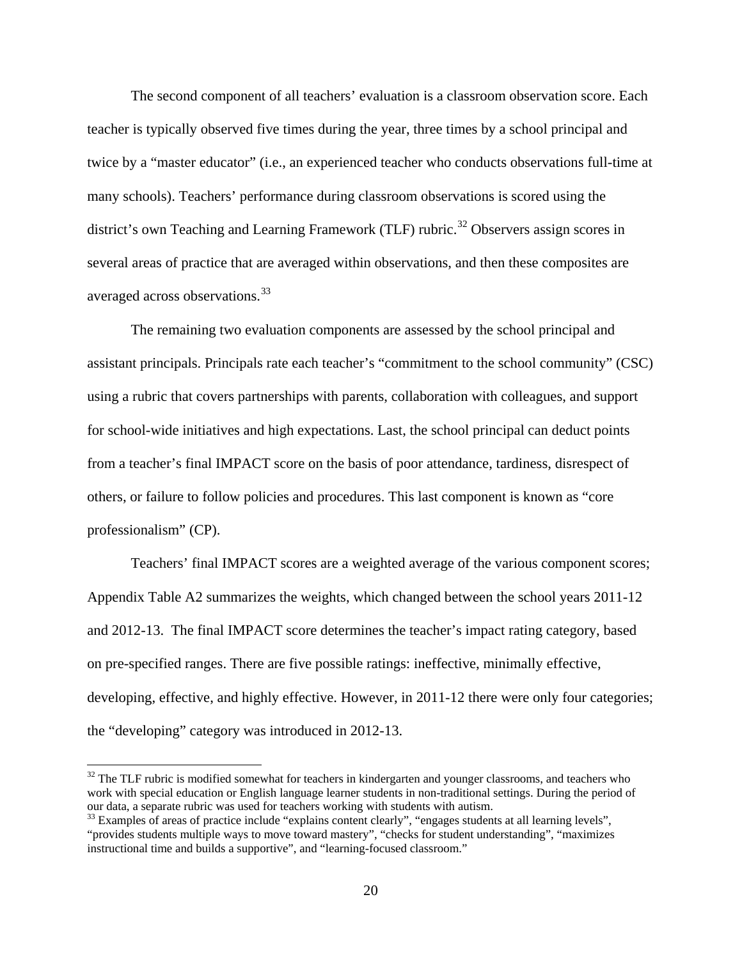The second component of all teachers' evaluation is a classroom observation score. Each teacher is typically observed five times during the year, three times by a school principal and twice by a "master educator" (i.e., an experienced teacher who conducts observations full-time at many schools). Teachers' performance during classroom observations is scored using the district's own Teaching and Learning Framework (TLF) rubric.<sup>[32](#page-20-0)</sup> Observers assign scores in several areas of practice that are averaged within observations, and then these composites are averaged across observations.<sup>33</sup>

The remaining two evaluation components are assessed by the school principal and assistant principals. Principals rate each teacher's "commitment to the school community" (CSC) using a rubric that covers partnerships with parents, collaboration with colleagues, and support for school-wide initiatives and high expectations. Last, the school principal can deduct points from a teacher's final IMPACT score on the basis of poor attendance, tardiness, disrespect of others, or failure to follow policies and procedures. This last component is known as "core professionalism" (CP).

Teachers' final IMPACT scores are a weighted average of the various component scores; Appendix Table A2 summarizes the weights, which changed between the school years 2011-12 and 2012-13. The final IMPACT score determines the teacher's impact rating category, based on pre-specified ranges. There are five possible ratings: ineffective, minimally effective, developing, effective, and highly effective. However, in 2011-12 there were only four categories; the "developing" category was introduced in 2012-13.

<span id="page-20-0"></span> $32$  The TLF rubric is modified somewhat for teachers in kindergarten and younger classrooms, and teachers who work with special education or English language learner students in non-traditional settings. During the period of our data, a separate rubric was used for teachers working with students with autism.

<span id="page-20-1"></span> $33$  Examples of areas of practice include "explains content clearly", "engages students at all learning levels", "provides students multiple ways to move toward mastery", "checks for student understanding", "maximizes instructional time and builds a supportive", and "learning-focused classroom."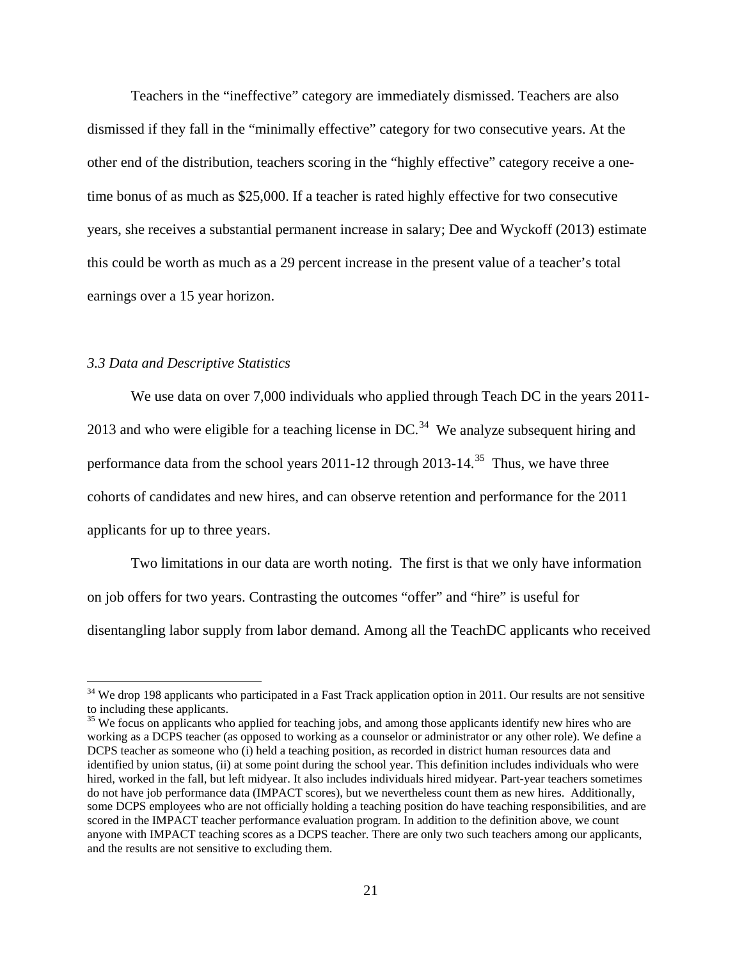Teachers in the "ineffective" category are immediately dismissed. Teachers are also dismissed if they fall in the "minimally effective" category for two consecutive years. At the other end of the distribution, teachers scoring in the "highly effective" category receive a onetime bonus of as much as \$25,000. If a teacher is rated highly effective for two consecutive years, she receives a substantial permanent increase in salary; Dee and Wyckoff (2013) estimate this could be worth as much as a 29 percent increase in the present value of a teacher's total earnings over a 15 year horizon.

### *3.3 Data and Descriptive Statistics*

 $\overline{a}$ 

We use data on over 7,000 individuals who applied through Teach DC in the years 2011-2013 and who were eligible for a teaching license in DC.<sup>[34](#page-21-0)</sup> We analyze subsequent hiring and performance data from the school years  $2011-12$  through  $2013-14$ .<sup>[35](#page-21-1)</sup> Thus, we have three cohorts of candidates and new hires, and can observe retention and performance for the 2011 applicants for up to three years.

Two limitations in our data are worth noting. The first is that we only have information on job offers for two years. Contrasting the outcomes "offer" and "hire" is useful for disentangling labor supply from labor demand. Among all the TeachDC applicants who received

<span id="page-21-0"></span> $34$  We drop 198 applicants who participated in a Fast Track application option in 2011. Our results are not sensitive to including these applicants.

<span id="page-21-1"></span><sup>&</sup>lt;sup>35</sup> We focus on applicants who applied for teaching jobs, and among those applicants identify new hires who are working as a DCPS teacher (as opposed to working as a counselor or administrator or any other role). We define a DCPS teacher as someone who (i) held a teaching position, as recorded in district human resources data and identified by union status, (ii) at some point during the school year. This definition includes individuals who were hired, worked in the fall, but left midyear. It also includes individuals hired midyear. Part-year teachers sometimes do not have job performance data (IMPACT scores), but we nevertheless count them as new hires. Additionally, some DCPS employees who are not officially holding a teaching position do have teaching responsibilities, and are scored in the IMPACT teacher performance evaluation program. In addition to the definition above, we count anyone with IMPACT teaching scores as a DCPS teacher. There are only two such teachers among our applicants, and the results are not sensitive to excluding them.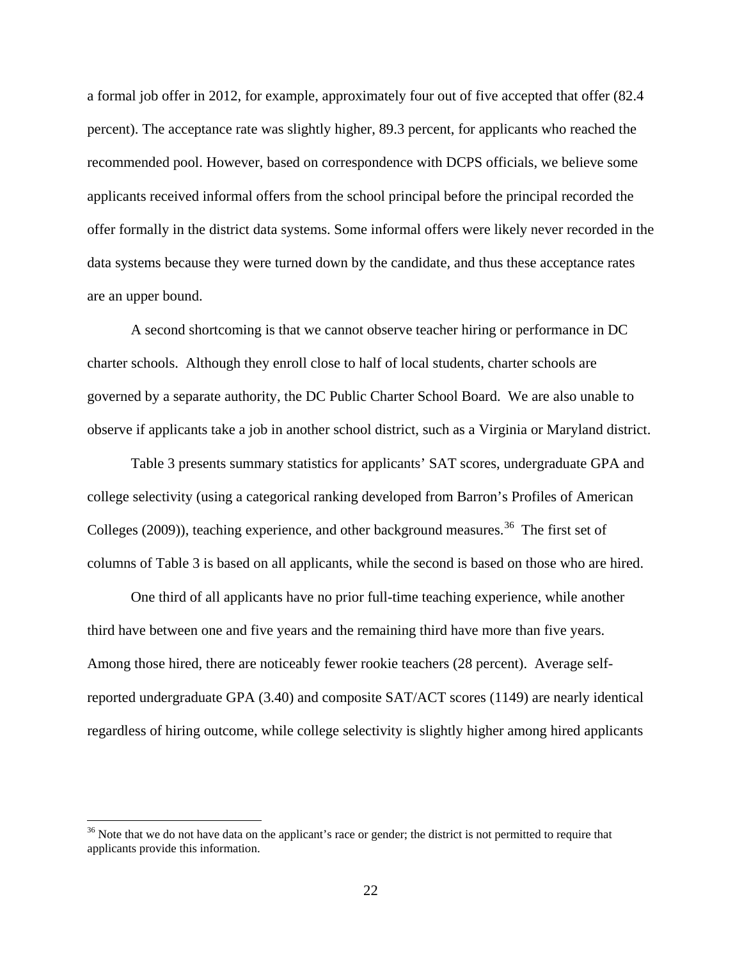a formal job offer in 2012, for example, approximately four out of five accepted that offer (82.4 percent). The acceptance rate was slightly higher, 89.3 percent, for applicants who reached the recommended pool. However, based on correspondence with DCPS officials, we believe some applicants received informal offers from the school principal before the principal recorded the offer formally in the district data systems. Some informal offers were likely never recorded in the data systems because they were turned down by the candidate, and thus these acceptance rates are an upper bound.

A second shortcoming is that we cannot observe teacher hiring or performance in DC charter schools. Although they enroll close to half of local students, charter schools are governed by a separate authority, the DC Public Charter School Board. We are also unable to observe if applicants take a job in another school district, such as a Virginia or Maryland district.

Table 3 presents summary statistics for applicants' SAT scores, undergraduate GPA and college selectivity (using a categorical ranking developed from Barron's Profiles of American Colleges (2009)), teaching experience, and other background measures.<sup>[36](#page-22-0)</sup> The first set of columns of Table 3 is based on all applicants, while the second is based on those who are hired.

One third of all applicants have no prior full-time teaching experience, while another third have between one and five years and the remaining third have more than five years. Among those hired, there are noticeably fewer rookie teachers (28 percent). Average selfreported undergraduate GPA (3.40) and composite SAT/ACT scores (1149) are nearly identical regardless of hiring outcome, while college selectivity is slightly higher among hired applicants

<span id="page-22-0"></span><sup>&</sup>lt;sup>36</sup> Note that we do not have data on the applicant's race or gender; the district is not permitted to require that applicants provide this information.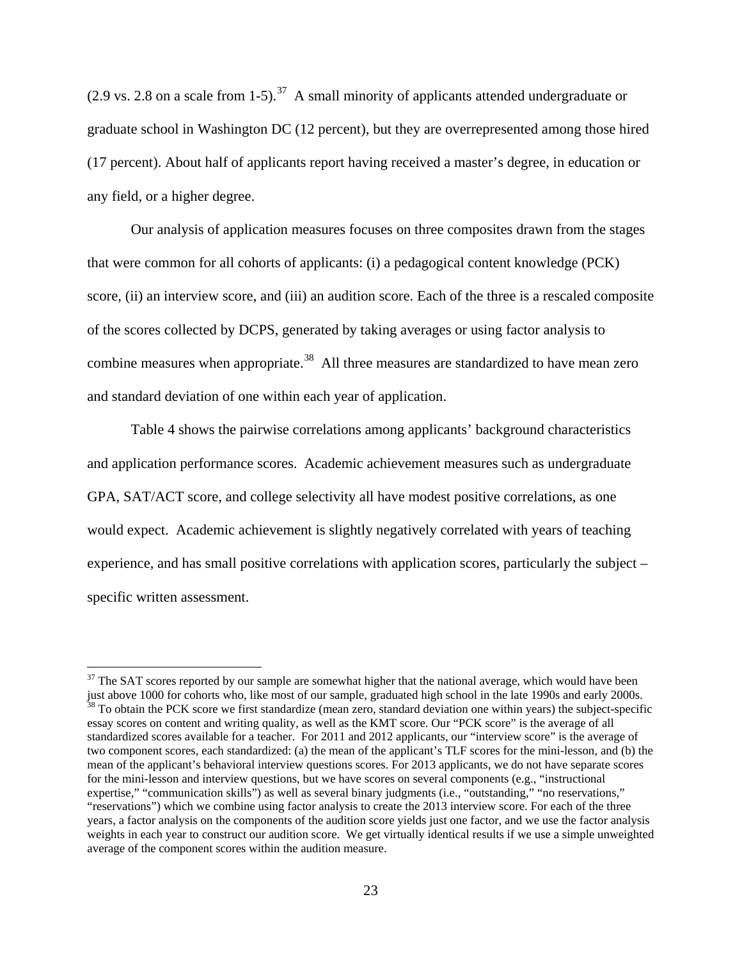(2.9 vs. 2.8 on a scale from 1-5).<sup>37</sup> A small minority of applicants attended undergraduate or graduate school in Washington DC (12 percent), but they are overrepresented among those hired (17 percent). About half of applicants report having received a master's degree, in education or any field, or a higher degree.

Our analysis of application measures focuses on three composites drawn from the stages that were common for all cohorts of applicants: (i) a pedagogical content knowledge (PCK) score, (ii) an interview score, and (iii) an audition score. Each of the three is a rescaled composite of the scores collected by DCPS, generated by taking averages or using factor analysis to combine measures when appropriate.<sup>[38](#page-23-1)</sup> All three measures are standardized to have mean zero and standard deviation of one within each year of application.

Table 4 shows the pairwise correlations among applicants' background characteristics and application performance scores. Academic achievement measures such as undergraduate GPA, SAT/ACT score, and college selectivity all have modest positive correlations, as one would expect. Academic achievement is slightly negatively correlated with years of teaching experience, and has small positive correlations with application scores, particularly the subject – specific written assessment.

<span id="page-23-1"></span><span id="page-23-0"></span> $37$  The SAT scores reported by our sample are somewhat higher that the national average, which would have been just above 1000 for cohorts who, like most of our sample, graduated high school in the late 1990s and early 2 <sup>38</sup> To obtain the PCK score we first standardize (mean zero, standard deviation one within years) the subject-specific essay scores on content and writing quality, as well as the KMT score. Our "PCK score" is the average of all standardized scores available for a teacher. For 2011 and 2012 applicants, our "interview score" is the average of two component scores, each standardized: (a) the mean of the applicant's TLF scores for the mini-lesson, and (b) the mean of the applicant's behavioral interview questions scores. For 2013 applicants, we do not have separate scores for the mini-lesson and interview questions, but we have scores on several components (e.g., "instructional expertise," "communication skills") as well as several binary judgments (i.e., "outstanding," "no reservations," "reservations") which we combine using factor analysis to create the 2013 interview score. For each of the three years, a factor analysis on the components of the audition score yields just one factor, and we use the factor analysis weights in each year to construct our audition score. We get virtually identical results if we use a simple unweighted average of the component scores within the audition measure.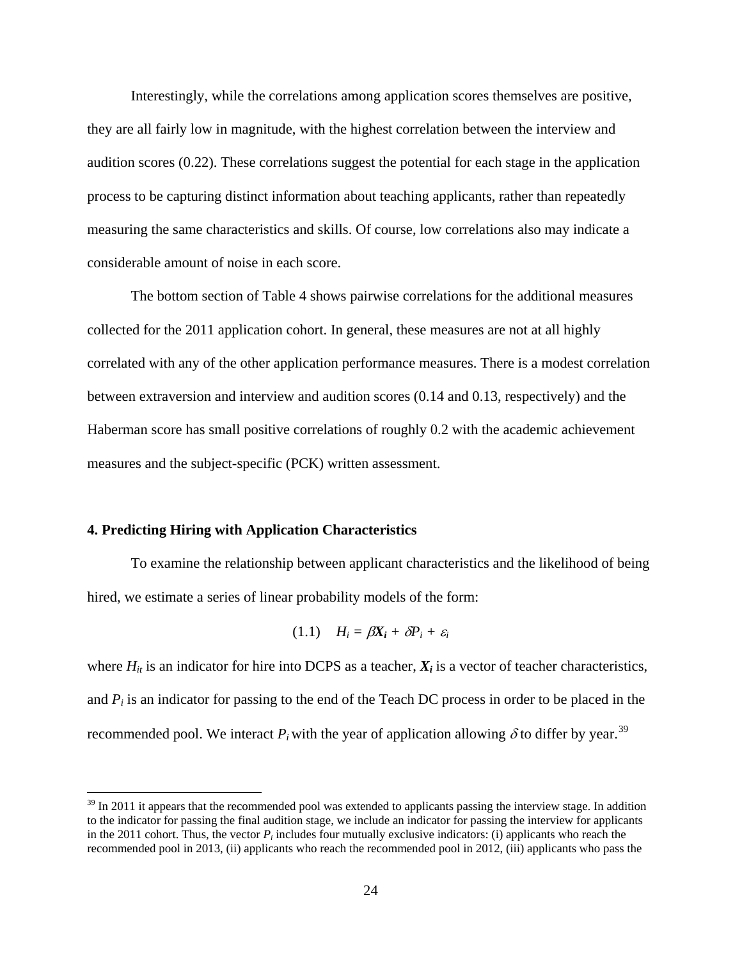Interestingly, while the correlations among application scores themselves are positive, they are all fairly low in magnitude, with the highest correlation between the interview and audition scores (0.22). These correlations suggest the potential for each stage in the application process to be capturing distinct information about teaching applicants, rather than repeatedly measuring the same characteristics and skills. Of course, low correlations also may indicate a considerable amount of noise in each score.

The bottom section of Table 4 shows pairwise correlations for the additional measures collected for the 2011 application cohort. In general, these measures are not at all highly correlated with any of the other application performance measures. There is a modest correlation between extraversion and interview and audition scores (0.14 and 0.13, respectively) and the Haberman score has small positive correlations of roughly 0.2 with the academic achievement measures and the subject-specific (PCK) written assessment.

### **4. Predicting Hiring with Application Characteristics**

 $\overline{a}$ 

To examine the relationship between applicant characteristics and the likelihood of being hired, we estimate a series of linear probability models of the form:

$$
(1.1) \quad H_i = \beta X_i + \delta P_i + \varepsilon_i
$$

where  $H_{it}$  is an indicator for hire into DCPS as a teacher,  $X_i$  is a vector of teacher characteristics, and  $P_i$  is an indicator for passing to the end of the Teach DC process in order to be placed in the recommended pool. We interact  $P_i$  with the year of application allowing  $\delta$  to differ by year.<sup>[39](#page-24-0)</sup>

<span id="page-24-0"></span> $39$  In 2011 it appears that the recommended pool was extended to applicants passing the interview stage. In addition to the indicator for passing the final audition stage, we include an indicator for passing the interview for applicants in the 2011 cohort. Thus, the vector  $P_i$  includes four mutually exclusive indicators: (i) applicants who reach the recommended pool in 2013, (ii) applicants who reach the recommended pool in 2012, (iii) applicants who pass the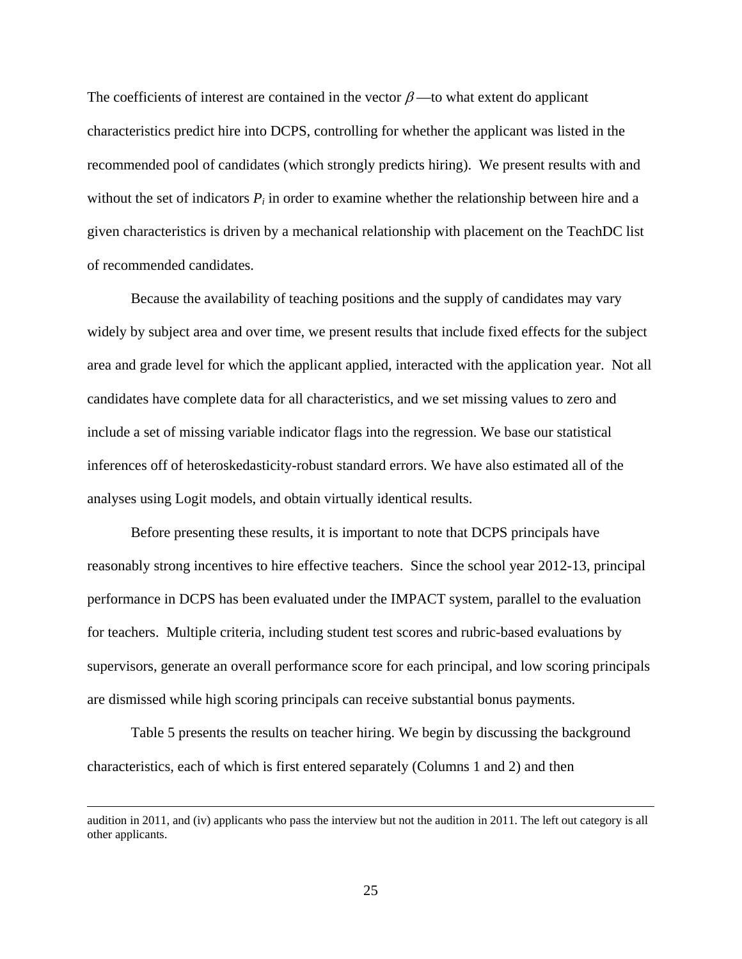The coefficients of interest are contained in the vector  $\beta$  —to what extent do applicant characteristics predict hire into DCPS, controlling for whether the applicant was listed in the recommended pool of candidates (which strongly predicts hiring). We present results with and without the set of indicators  $P_i$  in order to examine whether the relationship between hire and a given characteristics is driven by a mechanical relationship with placement on the TeachDC list of recommended candidates.

Because the availability of teaching positions and the supply of candidates may vary widely by subject area and over time, we present results that include fixed effects for the subject area and grade level for which the applicant applied, interacted with the application year. Not all candidates have complete data for all characteristics, and we set missing values to zero and include a set of missing variable indicator flags into the regression. We base our statistical inferences off of heteroskedasticity-robust standard errors. We have also estimated all of the analyses using Logit models, and obtain virtually identical results.

Before presenting these results, it is important to note that DCPS principals have reasonably strong incentives to hire effective teachers. Since the school year 2012-13, principal performance in DCPS has been evaluated under the IMPACT system, parallel to the evaluation for teachers. Multiple criteria, including student test scores and rubric-based evaluations by supervisors, generate an overall performance score for each principal, and low scoring principals are dismissed while high scoring principals can receive substantial bonus payments.

Table 5 presents the results on teacher hiring. We begin by discussing the background characteristics, each of which is first entered separately (Columns 1 and 2) and then

audition in 2011, and (iv) applicants who pass the interview but not the audition in 2011. The left out category is all other applicants.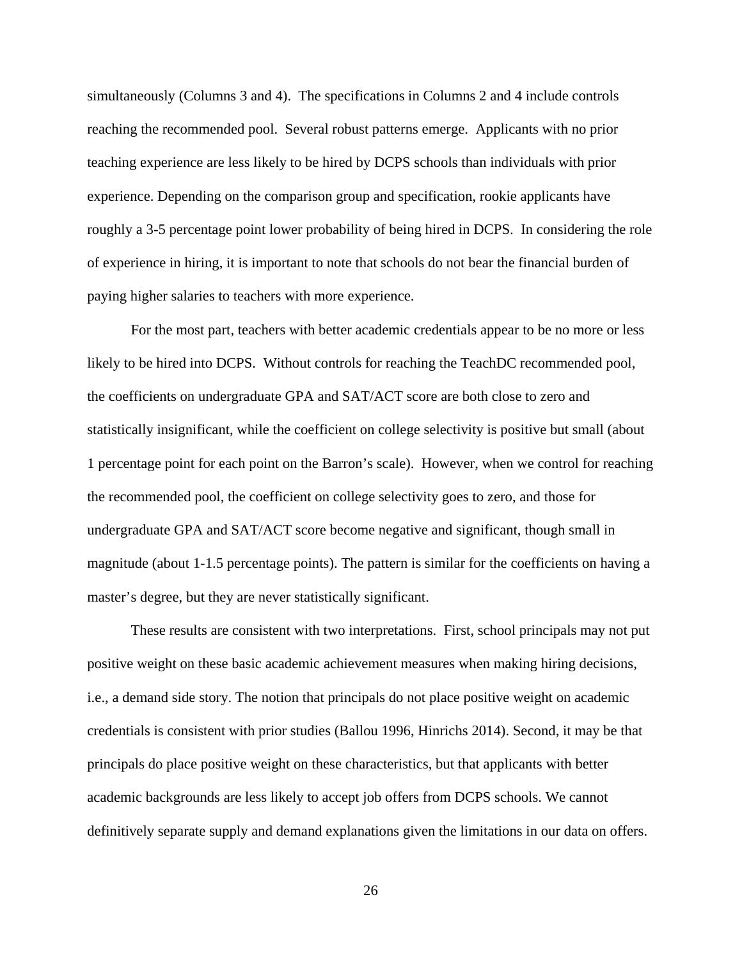simultaneously (Columns 3 and 4). The specifications in Columns 2 and 4 include controls reaching the recommended pool. Several robust patterns emerge. Applicants with no prior teaching experience are less likely to be hired by DCPS schools than individuals with prior experience. Depending on the comparison group and specification, rookie applicants have roughly a 3-5 percentage point lower probability of being hired in DCPS. In considering the role of experience in hiring, it is important to note that schools do not bear the financial burden of paying higher salaries to teachers with more experience.

For the most part, teachers with better academic credentials appear to be no more or less likely to be hired into DCPS. Without controls for reaching the TeachDC recommended pool, the coefficients on undergraduate GPA and SAT/ACT score are both close to zero and statistically insignificant, while the coefficient on college selectivity is positive but small (about 1 percentage point for each point on the Barron's scale). However, when we control for reaching the recommended pool, the coefficient on college selectivity goes to zero, and those for undergraduate GPA and SAT/ACT score become negative and significant, though small in magnitude (about 1-1.5 percentage points). The pattern is similar for the coefficients on having a master's degree, but they are never statistically significant.

These results are consistent with two interpretations. First, school principals may not put positive weight on these basic academic achievement measures when making hiring decisions, i.e., a demand side story. The notion that principals do not place positive weight on academic credentials is consistent with prior studies (Ballou 1996, Hinrichs 2014). Second, it may be that principals do place positive weight on these characteristics, but that applicants with better academic backgrounds are less likely to accept job offers from DCPS schools. We cannot definitively separate supply and demand explanations given the limitations in our data on offers.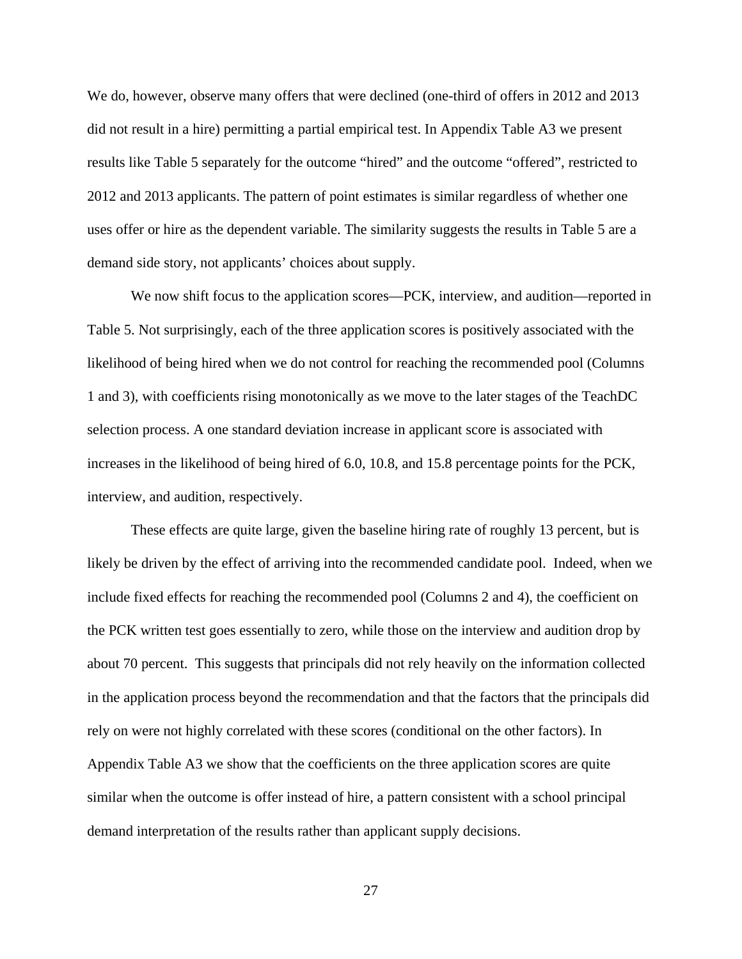We do, however, observe many offers that were declined (one-third of offers in 2012 and 2013 did not result in a hire) permitting a partial empirical test. In Appendix Table A3 we present results like Table 5 separately for the outcome "hired" and the outcome "offered", restricted to 2012 and 2013 applicants. The pattern of point estimates is similar regardless of whether one uses offer or hire as the dependent variable. The similarity suggests the results in Table 5 are a demand side story, not applicants' choices about supply.

We now shift focus to the application scores—PCK, interview, and audition—reported in Table 5. Not surprisingly, each of the three application scores is positively associated with the likelihood of being hired when we do not control for reaching the recommended pool (Columns 1 and 3), with coefficients rising monotonically as we move to the later stages of the TeachDC selection process. A one standard deviation increase in applicant score is associated with increases in the likelihood of being hired of 6.0, 10.8, and 15.8 percentage points for the PCK, interview, and audition, respectively.

These effects are quite large, given the baseline hiring rate of roughly 13 percent, but is likely be driven by the effect of arriving into the recommended candidate pool. Indeed, when we include fixed effects for reaching the recommended pool (Columns 2 and 4), the coefficient on the PCK written test goes essentially to zero, while those on the interview and audition drop by about 70 percent. This suggests that principals did not rely heavily on the information collected in the application process beyond the recommendation and that the factors that the principals did rely on were not highly correlated with these scores (conditional on the other factors). In Appendix Table A3 we show that the coefficients on the three application scores are quite similar when the outcome is offer instead of hire, a pattern consistent with a school principal demand interpretation of the results rather than applicant supply decisions.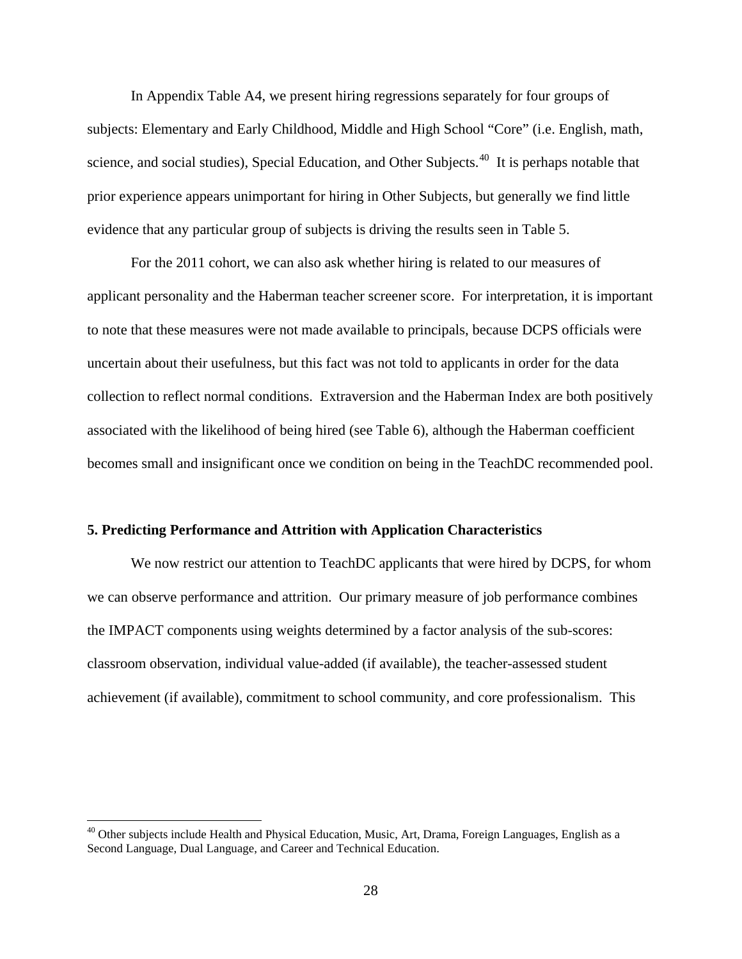In Appendix Table A4, we present hiring regressions separately for four groups of subjects: Elementary and Early Childhood, Middle and High School "Core" (i.e. English, math, science, and social studies), Special Education, and Other Subjects.<sup>40</sup> It is perhaps notable that prior experience appears unimportant for hiring in Other Subjects, but generally we find little evidence that any particular group of subjects is driving the results seen in Table 5.

For the 2011 cohort, we can also ask whether hiring is related to our measures of applicant personality and the Haberman teacher screener score. For interpretation, it is important to note that these measures were not made available to principals, because DCPS officials were uncertain about their usefulness, but this fact was not told to applicants in order for the data collection to reflect normal conditions. Extraversion and the Haberman Index are both positively associated with the likelihood of being hired (see Table 6), although the Haberman coefficient becomes small and insignificant once we condition on being in the TeachDC recommended pool.

#### **5. Predicting Performance and Attrition with Application Characteristics**

We now restrict our attention to TeachDC applicants that were hired by DCPS, for whom we can observe performance and attrition. Our primary measure of job performance combines the IMPACT components using weights determined by a factor analysis of the sub-scores: classroom observation, individual value-added (if available), the teacher-assessed student achievement (if available), commitment to school community, and core professionalism. This

<span id="page-28-0"></span><sup>&</sup>lt;sup>40</sup> Other subjects include Health and Physical Education, Music, Art, Drama, Foreign Languages, English as a Second Language, Dual Language, and Career and Technical Education.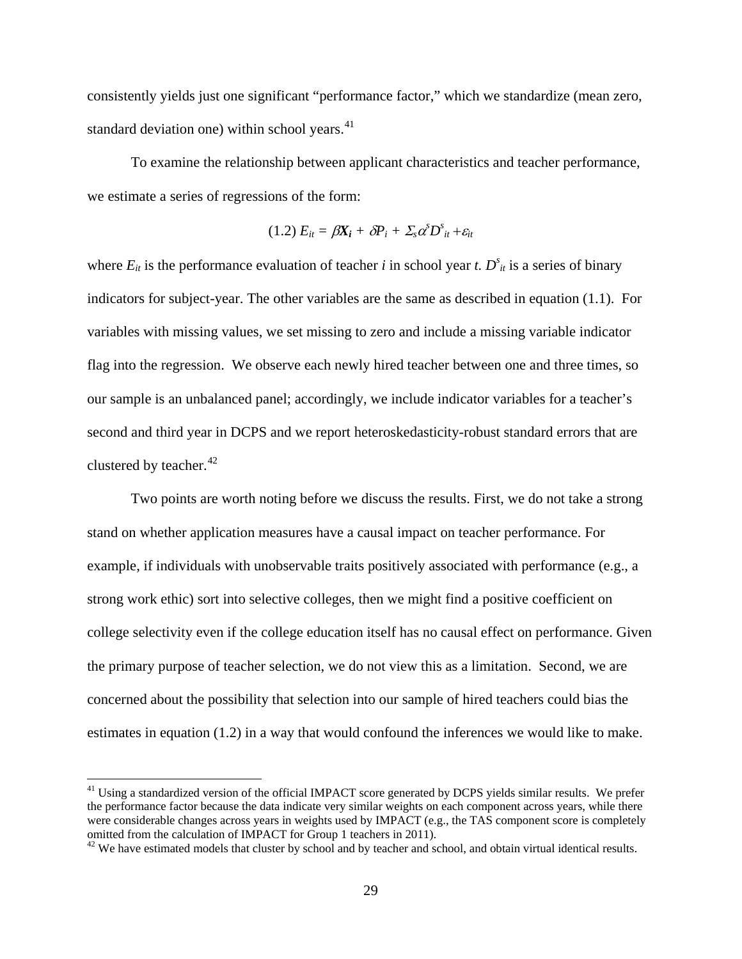consistently yields just one significant "performance factor," which we standardize (mean zero, standard deviation one) within school years.<sup>[41](#page-29-0)</sup>

To examine the relationship between applicant characteristics and teacher performance, we estimate a series of regressions of the form:

$$
(1.2) E_{it} = \beta X_i + \delta P_i + \Sigma_s \alpha^s D^s_{it} + \varepsilon_{it}
$$

where  $E_{it}$  is the performance evaluation of teacher *i* in school year *t*.  $D_{it}^s$  is a series of binary indicators for subject-year. The other variables are the same as described in equation (1.1). For variables with missing values, we set missing to zero and include a missing variable indicator flag into the regression. We observe each newly hired teacher between one and three times, so our sample is an unbalanced panel; accordingly, we include indicator variables for a teacher's second and third year in DCPS and we report heteroskedasticity-robust standard errors that are clustered by teacher. [42](#page-29-1)

Two points are worth noting before we discuss the results. First, we do not take a strong stand on whether application measures have a causal impact on teacher performance. For example, if individuals with unobservable traits positively associated with performance (e.g., a strong work ethic) sort into selective colleges, then we might find a positive coefficient on college selectivity even if the college education itself has no causal effect on performance. Given the primary purpose of teacher selection, we do not view this as a limitation. Second, we are concerned about the possibility that selection into our sample of hired teachers could bias the estimates in equation (1.2) in a way that would confound the inferences we would like to make.

<span id="page-29-0"></span><sup>&</sup>lt;sup>41</sup> Using a standardized version of the official IMPACT score generated by DCPS yields similar results. We prefer the performance factor because the data indicate very similar weights on each component across years, while there were considerable changes across years in weights used by IMPACT (e.g., the TAS component score is completely omitted from the calculation of IMPACT for Group 1 teachers in 2011).<br><sup>42</sup> We have estimated models that cluster by school and by teacher and school, and obtain virtual identical results.

<span id="page-29-1"></span>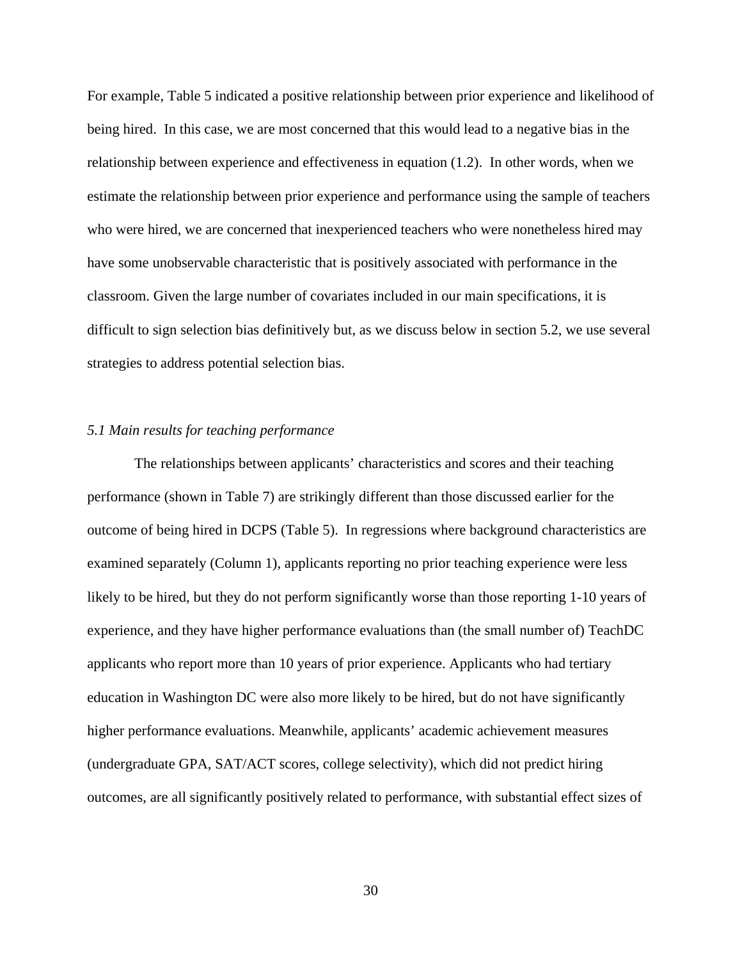For example, Table 5 indicated a positive relationship between prior experience and likelihood of being hired. In this case, we are most concerned that this would lead to a negative bias in the relationship between experience and effectiveness in equation (1.2). In other words, when we estimate the relationship between prior experience and performance using the sample of teachers who were hired, we are concerned that inexperienced teachers who were nonetheless hired may have some unobservable characteristic that is positively associated with performance in the classroom. Given the large number of covariates included in our main specifications, it is difficult to sign selection bias definitively but, as we discuss below in section 5.2, we use several strategies to address potential selection bias.

### *5.1 Main results for teaching performance*

The relationships between applicants' characteristics and scores and their teaching performance (shown in Table 7) are strikingly different than those discussed earlier for the outcome of being hired in DCPS (Table 5). In regressions where background characteristics are examined separately (Column 1), applicants reporting no prior teaching experience were less likely to be hired, but they do not perform significantly worse than those reporting 1-10 years of experience, and they have higher performance evaluations than (the small number of) TeachDC applicants who report more than 10 years of prior experience. Applicants who had tertiary education in Washington DC were also more likely to be hired, but do not have significantly higher performance evaluations. Meanwhile, applicants' academic achievement measures (undergraduate GPA, SAT/ACT scores, college selectivity), which did not predict hiring outcomes, are all significantly positively related to performance, with substantial effect sizes of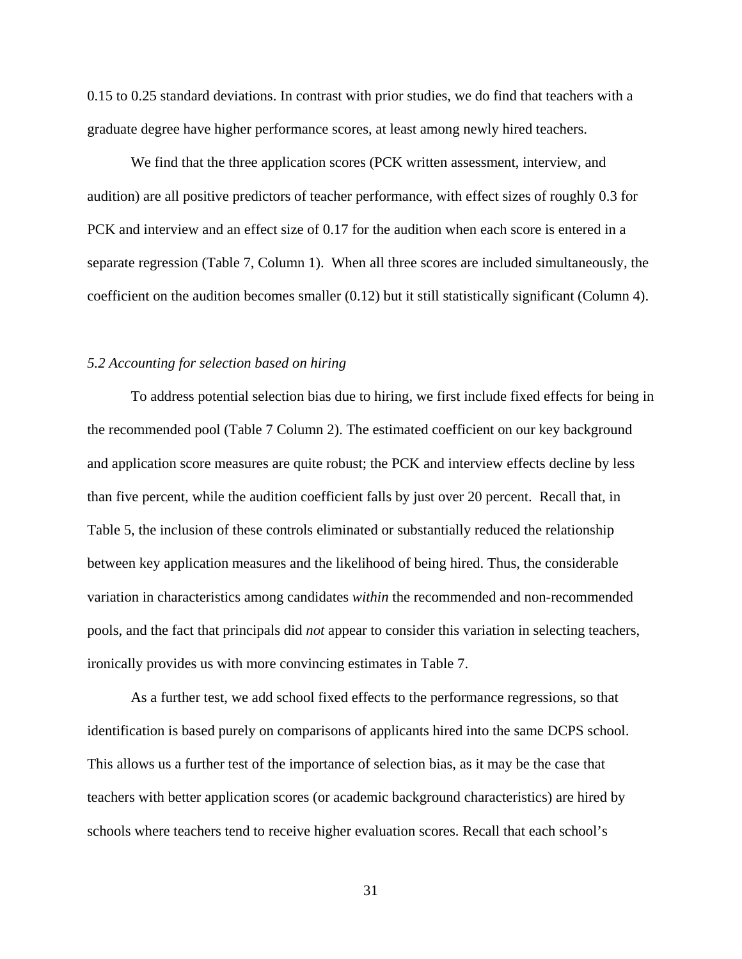0.15 to 0.25 standard deviations. In contrast with prior studies, we do find that teachers with a graduate degree have higher performance scores, at least among newly hired teachers.

We find that the three application scores (PCK written assessment, interview, and audition) are all positive predictors of teacher performance, with effect sizes of roughly 0.3 for PCK and interview and an effect size of 0.17 for the audition when each score is entered in a separate regression (Table 7, Column 1). When all three scores are included simultaneously, the coefficient on the audition becomes smaller (0.12) but it still statistically significant (Column 4).

# *5.2 Accounting for selection based on hiring*

To address potential selection bias due to hiring, we first include fixed effects for being in the recommended pool (Table 7 Column 2). The estimated coefficient on our key background and application score measures are quite robust; the PCK and interview effects decline by less than five percent, while the audition coefficient falls by just over 20 percent. Recall that, in Table 5, the inclusion of these controls eliminated or substantially reduced the relationship between key application measures and the likelihood of being hired. Thus, the considerable variation in characteristics among candidates *within* the recommended and non-recommended pools, and the fact that principals did *not* appear to consider this variation in selecting teachers, ironically provides us with more convincing estimates in Table 7.

As a further test, we add school fixed effects to the performance regressions, so that identification is based purely on comparisons of applicants hired into the same DCPS school. This allows us a further test of the importance of selection bias, as it may be the case that teachers with better application scores (or academic background characteristics) are hired by schools where teachers tend to receive higher evaluation scores. Recall that each school's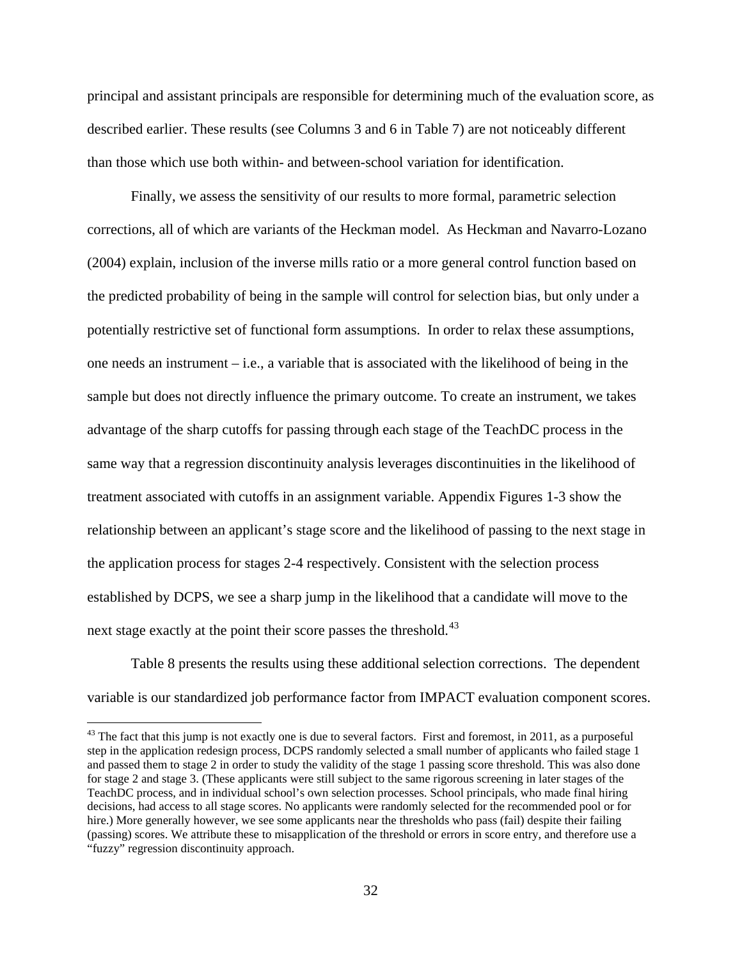principal and assistant principals are responsible for determining much of the evaluation score, as described earlier. These results (see Columns 3 and 6 in Table 7) are not noticeably different than those which use both within- and between-school variation for identification.

Finally, we assess the sensitivity of our results to more formal, parametric selection corrections, all of which are variants of the Heckman model. As Heckman and Navarro-Lozano (2004) explain, inclusion of the inverse mills ratio or a more general control function based on the predicted probability of being in the sample will control for selection bias, but only under a potentially restrictive set of functional form assumptions. In order to relax these assumptions, one needs an instrument – i.e., a variable that is associated with the likelihood of being in the sample but does not directly influence the primary outcome. To create an instrument, we takes advantage of the sharp cutoffs for passing through each stage of the TeachDC process in the same way that a regression discontinuity analysis leverages discontinuities in the likelihood of treatment associated with cutoffs in an assignment variable. Appendix Figures 1-3 show the relationship between an applicant's stage score and the likelihood of passing to the next stage in the application process for stages 2-4 respectively. Consistent with the selection process established by DCPS, we see a sharp jump in the likelihood that a candidate will move to the next stage exactly at the point their score passes the threshold.<sup>43</sup>

Table 8 presents the results using these additional selection corrections. The dependent variable is our standardized job performance factor from IMPACT evaluation component scores.

<span id="page-32-0"></span> $43$  The fact that this jump is not exactly one is due to several factors. First and foremost, in 2011, as a purposeful step in the application redesign process, DCPS randomly selected a small number of applicants who failed stage 1 and passed them to stage 2 in order to study the validity of the stage 1 passing score threshold. This was also done for stage 2 and stage 3. (These applicants were still subject to the same rigorous screening in later stages of the TeachDC process, and in individual school's own selection processes. School principals, who made final hiring decisions, had access to all stage scores. No applicants were randomly selected for the recommended pool or for hire.) More generally however, we see some applicants near the thresholds who pass (fail) despite their failing (passing) scores. We attribute these to misapplication of the threshold or errors in score entry, and therefore use a "fuzzy" regression discontinuity approach.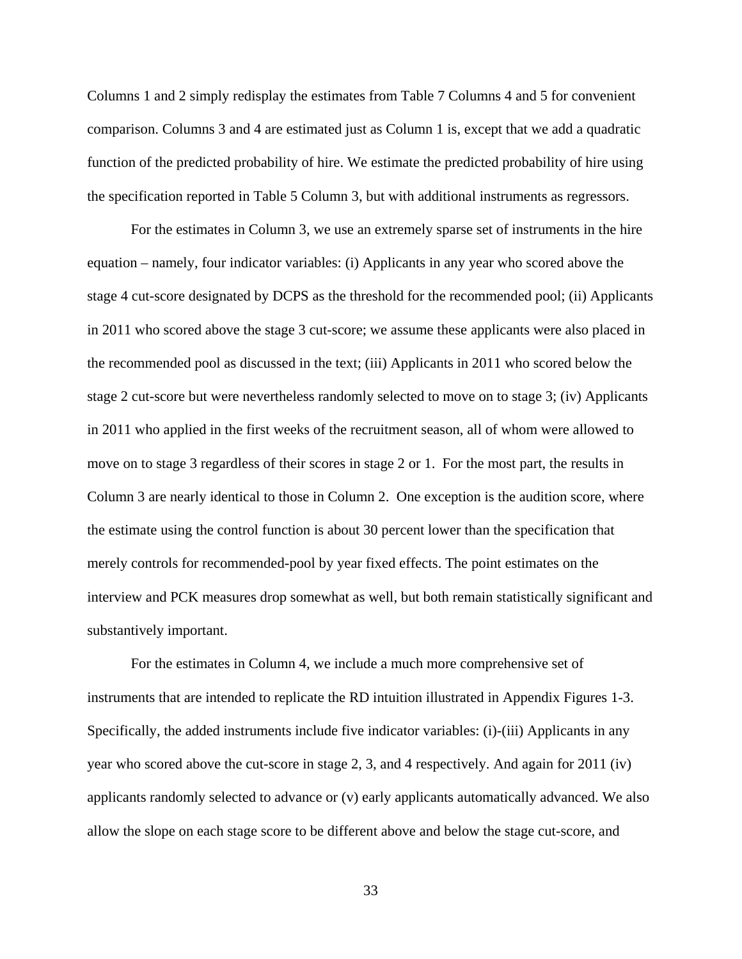Columns 1 and 2 simply redisplay the estimates from Table 7 Columns 4 and 5 for convenient comparison. Columns 3 and 4 are estimated just as Column 1 is, except that we add a quadratic function of the predicted probability of hire. We estimate the predicted probability of hire using the specification reported in Table 5 Column 3, but with additional instruments as regressors.

For the estimates in Column 3, we use an extremely sparse set of instruments in the hire equation – namely, four indicator variables: (i) Applicants in any year who scored above the stage 4 cut-score designated by DCPS as the threshold for the recommended pool; (ii) Applicants in 2011 who scored above the stage 3 cut-score; we assume these applicants were also placed in the recommended pool as discussed in the text; (iii) Applicants in 2011 who scored below the stage 2 cut-score but were nevertheless randomly selected to move on to stage 3; (iv) Applicants in 2011 who applied in the first weeks of the recruitment season, all of whom were allowed to move on to stage 3 regardless of their scores in stage 2 or 1. For the most part, the results in Column 3 are nearly identical to those in Column 2. One exception is the audition score, where the estimate using the control function is about 30 percent lower than the specification that merely controls for recommended-pool by year fixed effects. The point estimates on the interview and PCK measures drop somewhat as well, but both remain statistically significant and substantively important.

For the estimates in Column 4, we include a much more comprehensive set of instruments that are intended to replicate the RD intuition illustrated in Appendix Figures 1-3. Specifically, the added instruments include five indicator variables: (i)-(iii) Applicants in any year who scored above the cut-score in stage 2, 3, and 4 respectively. And again for 2011 (iv) applicants randomly selected to advance or (v) early applicants automatically advanced. We also allow the slope on each stage score to be different above and below the stage cut-score, and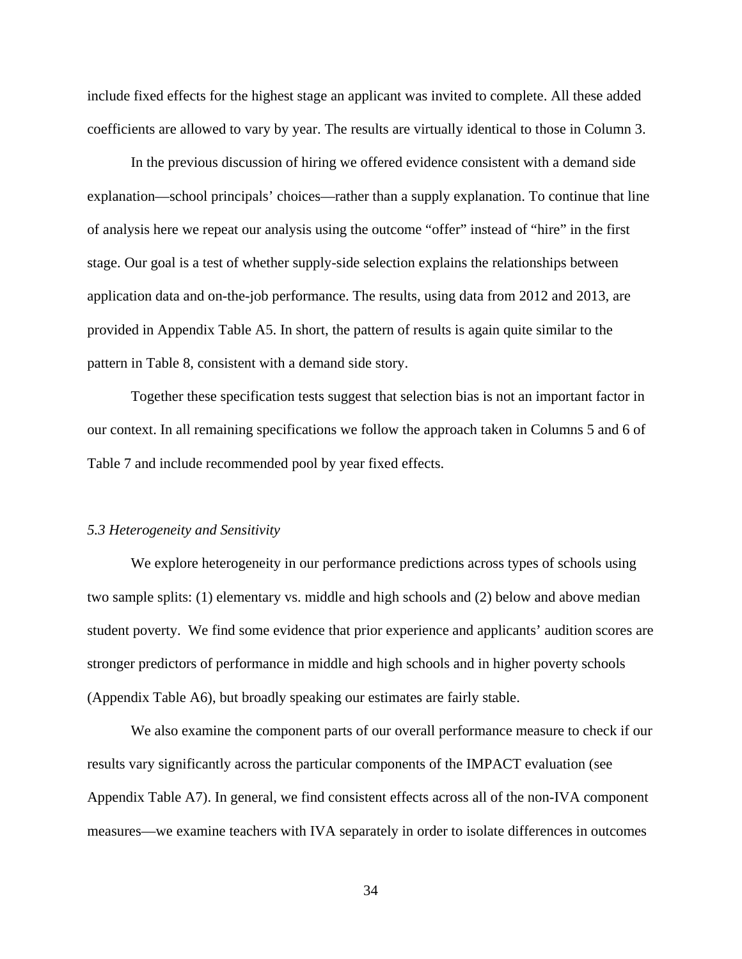include fixed effects for the highest stage an applicant was invited to complete. All these added coefficients are allowed to vary by year. The results are virtually identical to those in Column 3.

In the previous discussion of hiring we offered evidence consistent with a demand side explanation—school principals' choices—rather than a supply explanation. To continue that line of analysis here we repeat our analysis using the outcome "offer" instead of "hire" in the first stage. Our goal is a test of whether supply-side selection explains the relationships between application data and on-the-job performance. The results, using data from 2012 and 2013, are provided in Appendix Table A5. In short, the pattern of results is again quite similar to the pattern in Table 8, consistent with a demand side story.

Together these specification tests suggest that selection bias is not an important factor in our context. In all remaining specifications we follow the approach taken in Columns 5 and 6 of Table 7 and include recommended pool by year fixed effects.

#### *5.3 Heterogeneity and Sensitivity*

We explore heterogeneity in our performance predictions across types of schools using two sample splits: (1) elementary vs. middle and high schools and (2) below and above median student poverty. We find some evidence that prior experience and applicants' audition scores are stronger predictors of performance in middle and high schools and in higher poverty schools (Appendix Table A6), but broadly speaking our estimates are fairly stable.

We also examine the component parts of our overall performance measure to check if our results vary significantly across the particular components of the IMPACT evaluation (see Appendix Table A7). In general, we find consistent effects across all of the non-IVA component measures—we examine teachers with IVA separately in order to isolate differences in outcomes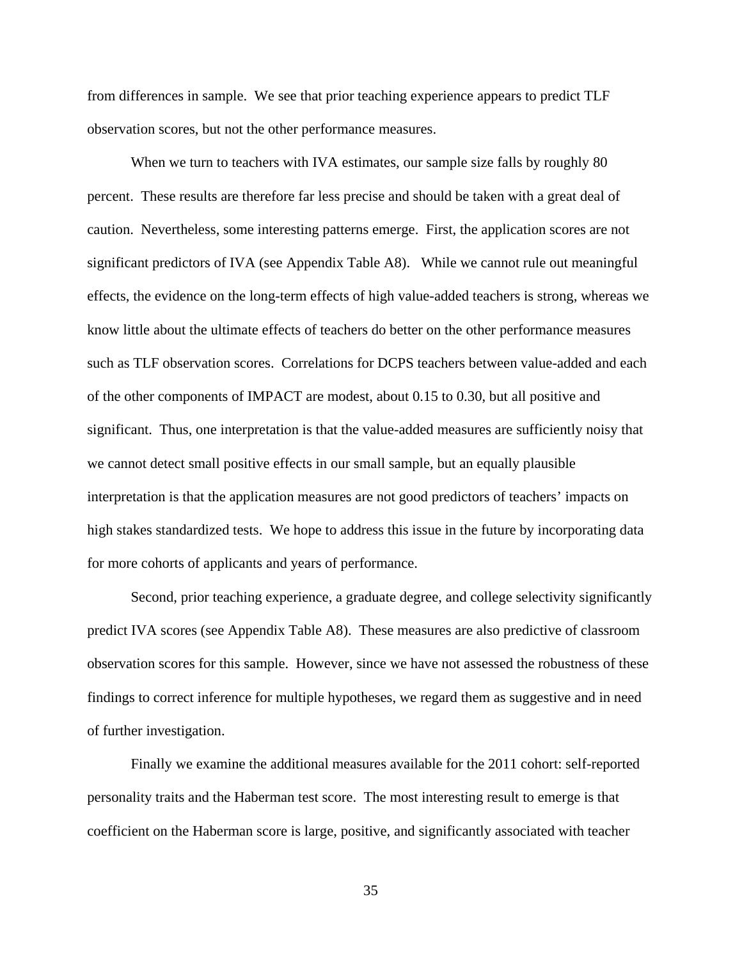from differences in sample. We see that prior teaching experience appears to predict TLF observation scores, but not the other performance measures.

When we turn to teachers with IVA estimates, our sample size falls by roughly 80 percent. These results are therefore far less precise and should be taken with a great deal of caution. Nevertheless, some interesting patterns emerge. First, the application scores are not significant predictors of IVA (see Appendix Table A8). While we cannot rule out meaningful effects, the evidence on the long-term effects of high value-added teachers is strong, whereas we know little about the ultimate effects of teachers do better on the other performance measures such as TLF observation scores. Correlations for DCPS teachers between value-added and each of the other components of IMPACT are modest, about 0.15 to 0.30, but all positive and significant. Thus, one interpretation is that the value-added measures are sufficiently noisy that we cannot detect small positive effects in our small sample, but an equally plausible interpretation is that the application measures are not good predictors of teachers' impacts on high stakes standardized tests. We hope to address this issue in the future by incorporating data for more cohorts of applicants and years of performance.

Second, prior teaching experience, a graduate degree, and college selectivity significantly predict IVA scores (see Appendix Table A8). These measures are also predictive of classroom observation scores for this sample. However, since we have not assessed the robustness of these findings to correct inference for multiple hypotheses, we regard them as suggestive and in need of further investigation.

Finally we examine the additional measures available for the 2011 cohort: self-reported personality traits and the Haberman test score. The most interesting result to emerge is that coefficient on the Haberman score is large, positive, and significantly associated with teacher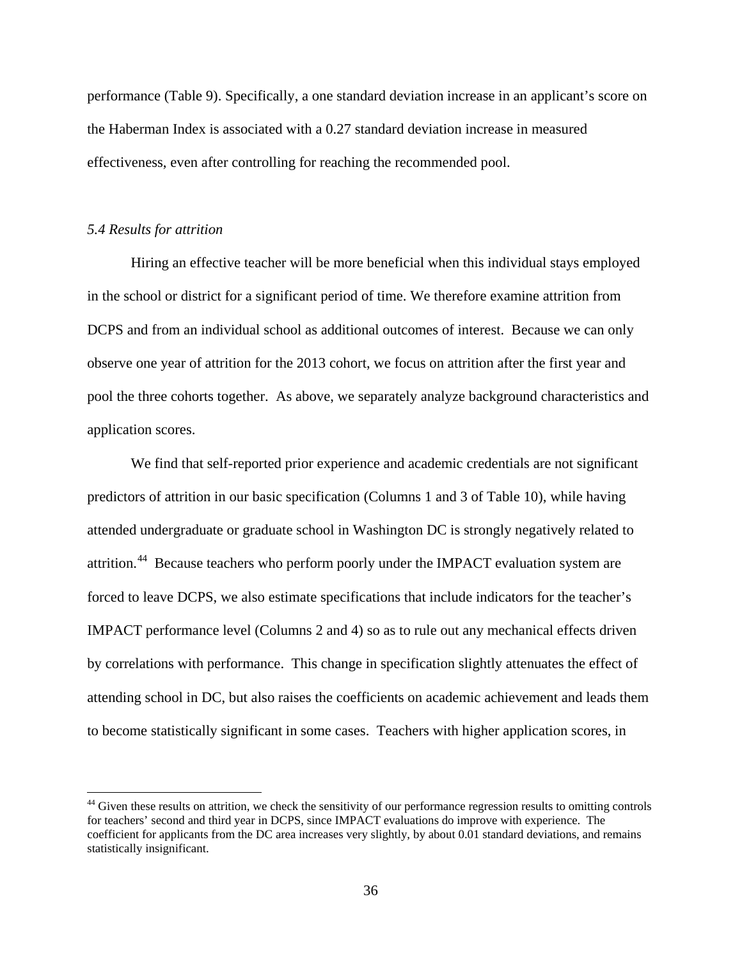performance (Table 9). Specifically, a one standard deviation increase in an applicant's score on the Haberman Index is associated with a 0.27 standard deviation increase in measured effectiveness, even after controlling for reaching the recommended pool.

## *5.4 Results for attrition*

 $\overline{a}$ 

Hiring an effective teacher will be more beneficial when this individual stays employed in the school or district for a significant period of time. We therefore examine attrition from DCPS and from an individual school as additional outcomes of interest. Because we can only observe one year of attrition for the 2013 cohort, we focus on attrition after the first year and pool the three cohorts together. As above, we separately analyze background characteristics and application scores.

We find that self-reported prior experience and academic credentials are not significant predictors of attrition in our basic specification (Columns 1 and 3 of Table 10), while having attended undergraduate or graduate school in Washington DC is strongly negatively related to attrition.<sup>44</sup> Because teachers who perform poorly under the IMPACT evaluation system are forced to leave DCPS, we also estimate specifications that include indicators for the teacher's IMPACT performance level (Columns 2 and 4) so as to rule out any mechanical effects driven by correlations with performance. This change in specification slightly attenuates the effect of attending school in DC, but also raises the coefficients on academic achievement and leads them to become statistically significant in some cases. Teachers with higher application scores, in

<span id="page-36-0"></span><sup>&</sup>lt;sup>44</sup> Given these results on attrition, we check the sensitivity of our performance regression results to omitting controls for teachers' second and third year in DCPS, since IMPACT evaluations do improve with experience. The coefficient for applicants from the DC area increases very slightly, by about 0.01 standard deviations, and remains statistically insignificant.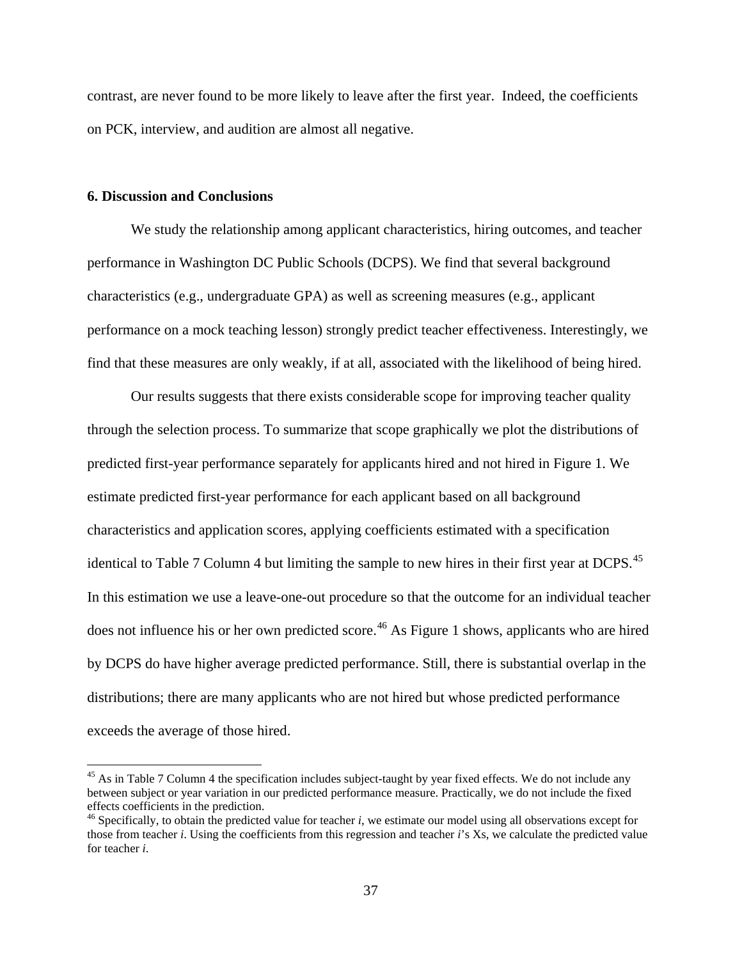contrast, are never found to be more likely to leave after the first year. Indeed, the coefficients on PCK, interview, and audition are almost all negative.

## **6. Discussion and Conclusions**

 $\overline{a}$ 

We study the relationship among applicant characteristics, hiring outcomes, and teacher performance in Washington DC Public Schools (DCPS). We find that several background characteristics (e.g., undergraduate GPA) as well as screening measures (e.g., applicant performance on a mock teaching lesson) strongly predict teacher effectiveness. Interestingly, we find that these measures are only weakly, if at all, associated with the likelihood of being hired.

Our results suggests that there exists considerable scope for improving teacher quality through the selection process. To summarize that scope graphically we plot the distributions of predicted first-year performance separately for applicants hired and not hired in Figure 1. We estimate predicted first-year performance for each applicant based on all background characteristics and application scores, applying coefficients estimated with a specification identical to Table 7 Column 4 but limiting the sample to new hires in their first year at DCPS.<sup>[45](#page-37-0)</sup> In this estimation we use a leave-one-out procedure so that the outcome for an individual teacher does not influence his or her own predicted score.<sup>[46](#page-37-1)</sup> As Figure 1 shows, applicants who are hired by DCPS do have higher average predicted performance. Still, there is substantial overlap in the distributions; there are many applicants who are not hired but whose predicted performance exceeds the average of those hired.

<span id="page-37-0"></span><sup>&</sup>lt;sup>45</sup> As in Table 7 Column 4 the specification includes subject-taught by year fixed effects. We do not include any between subject or year variation in our predicted performance measure. Practically, we do not include the fixed effects coefficients in the prediction.

<span id="page-37-1"></span> $46$  Specifically, to obtain the predicted value for teacher *i*, we estimate our model using all observations except for those from teacher *i*. Using the coefficients from this regression and teacher *i*'s Xs, we calculate the predicted value for teacher *i*.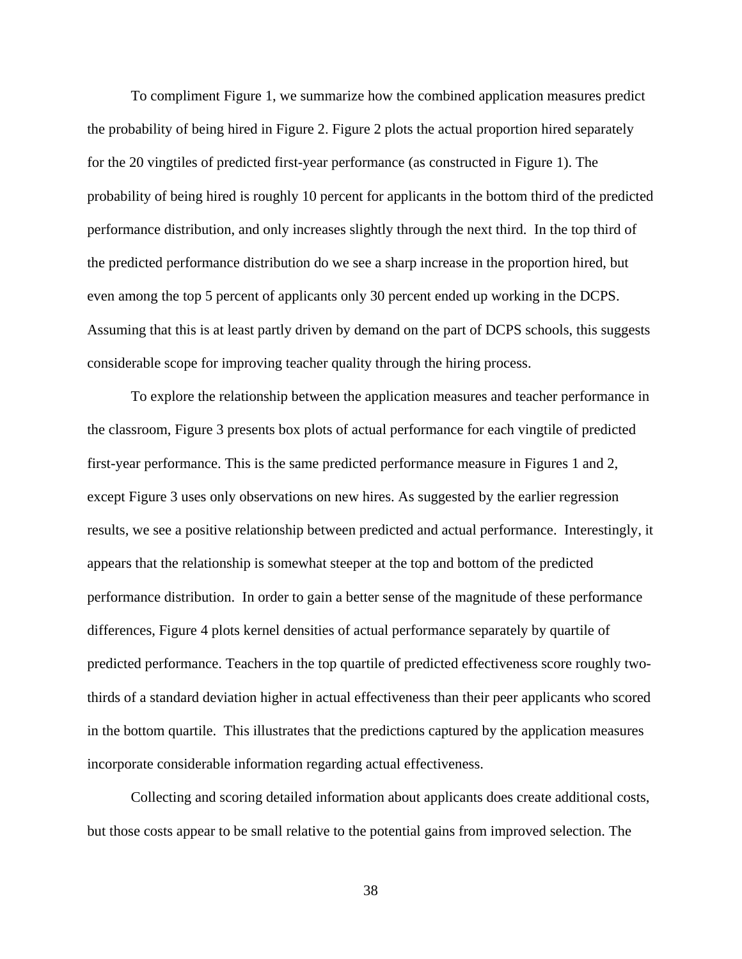To compliment Figure 1, we summarize how the combined application measures predict the probability of being hired in Figure 2. Figure 2 plots the actual proportion hired separately for the 20 vingtiles of predicted first-year performance (as constructed in Figure 1). The probability of being hired is roughly 10 percent for applicants in the bottom third of the predicted performance distribution, and only increases slightly through the next third. In the top third of the predicted performance distribution do we see a sharp increase in the proportion hired, but even among the top 5 percent of applicants only 30 percent ended up working in the DCPS. Assuming that this is at least partly driven by demand on the part of DCPS schools, this suggests considerable scope for improving teacher quality through the hiring process.

To explore the relationship between the application measures and teacher performance in the classroom, Figure 3 presents box plots of actual performance for each vingtile of predicted first-year performance. This is the same predicted performance measure in Figures 1 and 2, except Figure 3 uses only observations on new hires. As suggested by the earlier regression results, we see a positive relationship between predicted and actual performance. Interestingly, it appears that the relationship is somewhat steeper at the top and bottom of the predicted performance distribution. In order to gain a better sense of the magnitude of these performance differences, Figure 4 plots kernel densities of actual performance separately by quartile of predicted performance. Teachers in the top quartile of predicted effectiveness score roughly twothirds of a standard deviation higher in actual effectiveness than their peer applicants who scored in the bottom quartile. This illustrates that the predictions captured by the application measures incorporate considerable information regarding actual effectiveness.

Collecting and scoring detailed information about applicants does create additional costs, but those costs appear to be small relative to the potential gains from improved selection. The

38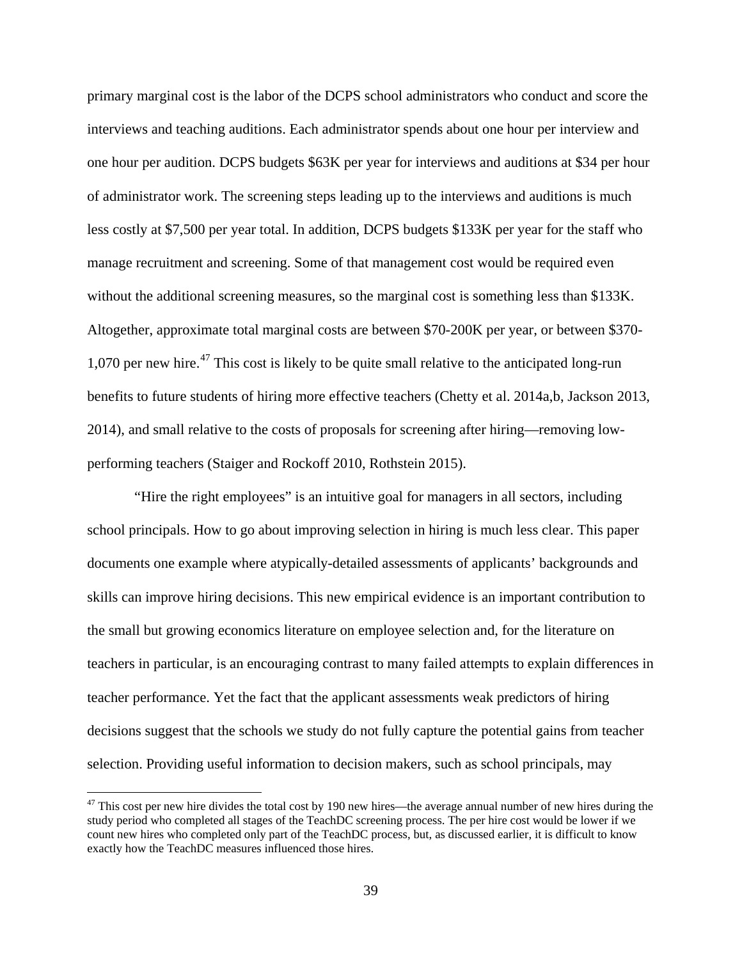primary marginal cost is the labor of the DCPS school administrators who conduct and score the interviews and teaching auditions. Each administrator spends about one hour per interview and one hour per audition. DCPS budgets \$63K per year for interviews and auditions at \$34 per hour of administrator work. The screening steps leading up to the interviews and auditions is much less costly at \$7,500 per year total. In addition, DCPS budgets \$133K per year for the staff who manage recruitment and screening. Some of that management cost would be required even without the additional screening measures, so the marginal cost is something less than \$133K. Altogether, approximate total marginal costs are between \$70-200K per year, or between \$370- 1,070 per new hire.<sup>[47](#page-39-0)</sup> This cost is likely to be quite small relative to the anticipated long-run benefits to future students of hiring more effective teachers (Chetty et al. 2014a,b, Jackson 2013, 2014), and small relative to the costs of proposals for screening after hiring—removing lowperforming teachers (Staiger and Rockoff 2010, Rothstein 2015).

"Hire the right employees" is an intuitive goal for managers in all sectors, including school principals. How to go about improving selection in hiring is much less clear. This paper documents one example where atypically-detailed assessments of applicants' backgrounds and skills can improve hiring decisions. This new empirical evidence is an important contribution to the small but growing economics literature on employee selection and, for the literature on teachers in particular, is an encouraging contrast to many failed attempts to explain differences in teacher performance. Yet the fact that the applicant assessments weak predictors of hiring decisions suggest that the schools we study do not fully capture the potential gains from teacher selection. Providing useful information to decision makers, such as school principals, may

 $\overline{a}$ 

<span id="page-39-0"></span> $47$  This cost per new hire divides the total cost by 190 new hires—the average annual number of new hires during the study period who completed all stages of the TeachDC screening process. The per hire cost would be lower if we count new hires who completed only part of the TeachDC process, but, as discussed earlier, it is difficult to know exactly how the TeachDC measures influenced those hires.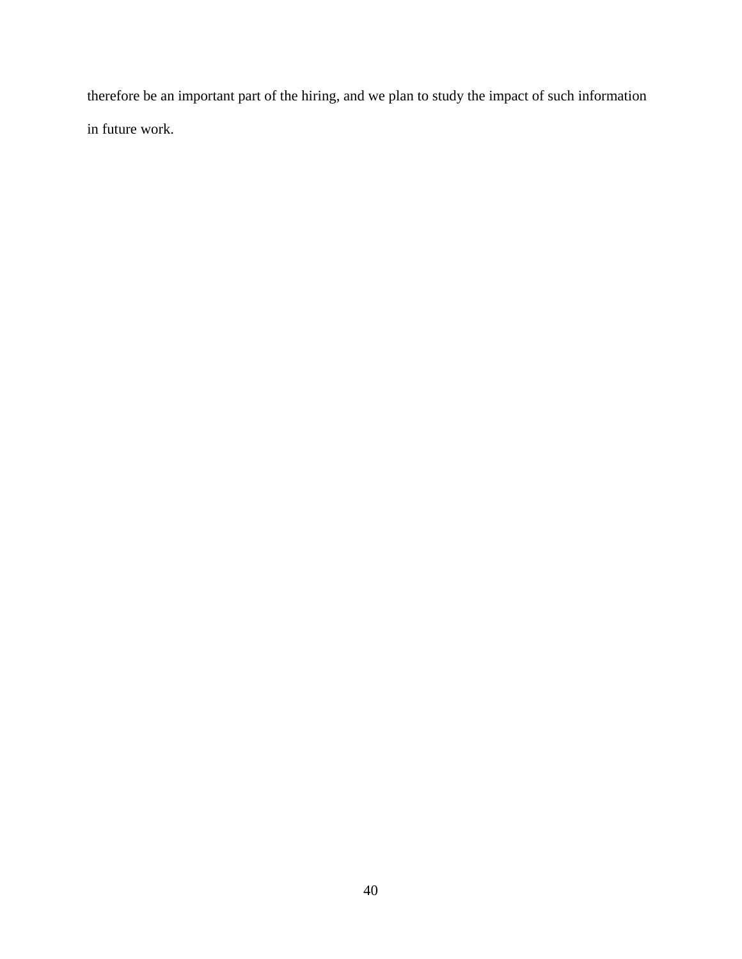therefore be an important part of the hiring, and we plan to study the impact of such information in future work.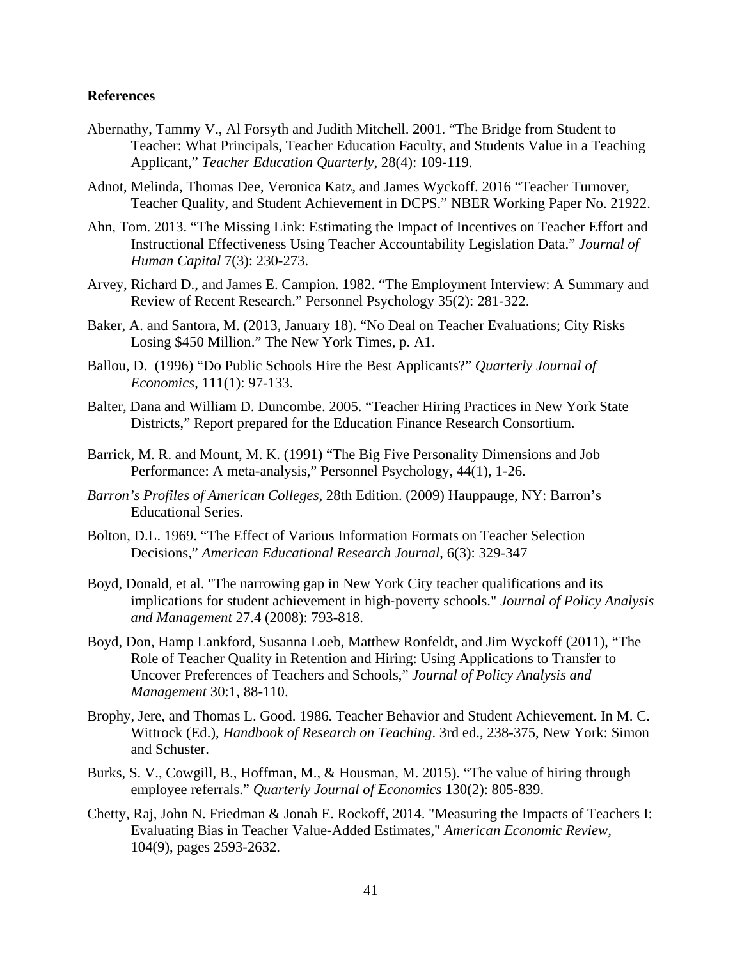## **References**

- Abernathy, Tammy V., Al Forsyth and Judith Mitchell. 2001. "The Bridge from Student to Teacher: What Principals, Teacher Education Faculty, and Students Value in a Teaching Applicant," *Teacher Education Quarterly*, 28(4): 109-119.
- Adnot, Melinda, Thomas Dee, Veronica Katz, and James Wyckoff. 2016 "Teacher Turnover, Teacher Quality, and Student Achievement in DCPS." NBER Working Paper No. 21922.
- Ahn, Tom. 2013. "The Missing Link: Estimating the Impact of Incentives on Teacher Effort and Instructional Effectiveness Using Teacher Accountability Legislation Data." *Journal of Human Capital* 7(3): 230-273.
- Arvey, Richard D., and James E. Campion. 1982. "The Employment Interview: A Summary and Review of Recent Research." Personnel Psychology 35(2): 281-322.
- Baker, A. and Santora, M. (2013, January 18). "No Deal on Teacher Evaluations; City Risks Losing \$450 Million." The New York Times, p. A1.
- Ballou, D. (1996) "Do Public Schools Hire the Best Applicants?" *Quarterly Journal of Economics*, 111(1): 97-133.
- Balter, Dana and William D. Duncombe. 2005. "Teacher Hiring Practices in New York State Districts," Report prepared for the Education Finance Research Consortium.
- Barrick, M. R. and Mount, M. K. (1991) "The Big Five Personality Dimensions and Job Performance: A meta-analysis," Personnel Psychology, 44(1), 1-26.
- *Barron's Profiles of American Colleges*, 28th Edition. (2009) Hauppauge, NY: Barron's Educational Series.
- Bolton, D.L. 1969. "The Effect of Various Information Formats on Teacher Selection Decisions," *American Educational Research Journal*, 6(3): 329-347
- Boyd, Donald, et al. "The narrowing gap in New York City teacher qualifications and its implications for student achievement in high‐poverty schools." *Journal of Policy Analysis and Management* 27.4 (2008): 793-818.
- Boyd, Don, Hamp Lankford, Susanna Loeb, Matthew Ronfeldt, and Jim Wyckoff (2011), "The Role of Teacher Quality in Retention and Hiring: Using Applications to Transfer to Uncover Preferences of Teachers and Schools," *Journal of Policy Analysis and Management* 30:1, 88-110.
- Brophy, Jere, and Thomas L. Good. 1986. Teacher Behavior and Student Achievement. In M. C. Wittrock (Ed.), *Handbook of Research on Teaching*. 3rd ed., 238-375, New York: Simon and Schuster.
- Burks, S. V., Cowgill, B., Hoffman, M., & Housman, M. 2015). "The value of hiring through employee referrals." *Quarterly Journal of Economics* 130(2): 805-839.
- Chetty, Raj, John N. Friedman & Jonah E. Rockoff, 2014. "Measuring the Impacts of Teachers I: Evaluating Bias in Teacher Value-Added Estimates," *American Economic Review,* 104(9), pages 2593-2632.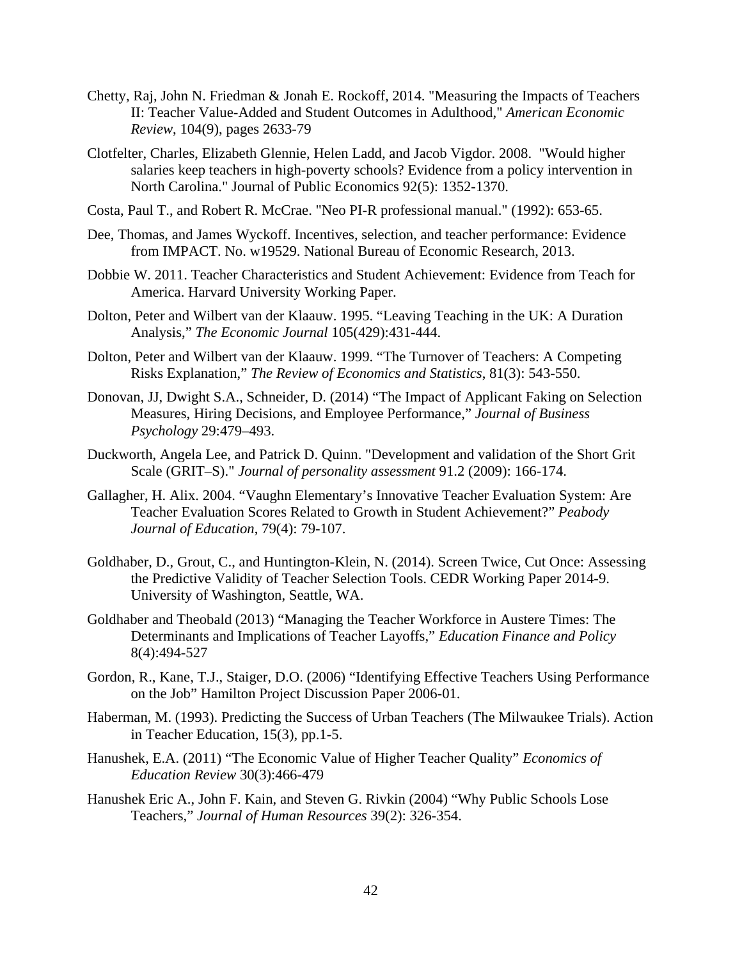- Chetty, Raj, John N. Friedman & Jonah E. Rockoff, 2014. "Measuring the Impacts of Teachers II: Teacher Value-Added and Student Outcomes in Adulthood," *American Economic Review*, 104(9), pages 2633-79
- Clotfelter, Charles, Elizabeth Glennie, Helen Ladd, and Jacob Vigdor. 2008. "Would higher salaries keep teachers in high-poverty schools? Evidence from a policy intervention in North Carolina." Journal of Public Economics 92(5): 1352-1370.
- Costa, Paul T., and Robert R. McCrae. "Neo PI-R professional manual." (1992): 653-65.
- Dee, Thomas, and James Wyckoff. Incentives, selection, and teacher performance: Evidence from IMPACT. No. w19529. National Bureau of Economic Research, 2013.
- Dobbie W. 2011. Teacher Characteristics and Student Achievement: Evidence from Teach for America. Harvard University Working Paper.
- Dolton, Peter and Wilbert van der Klaauw. 1995. "Leaving Teaching in the UK: A Duration Analysis," *The Economic Journal* 105(429):431-444.
- Dolton, Peter and Wilbert van der Klaauw. 1999. "The Turnover of Teachers: A Competing Risks Explanation," *The Review of Economics and Statistics*, 81(3): 543-550.
- Donovan, JJ, Dwight S.A., Schneider, D. (2014) "The Impact of Applicant Faking on Selection Measures, Hiring Decisions, and Employee Performance," *Journal of Business Psychology* 29:479–493.
- Duckworth, Angela Lee, and Patrick D. Quinn. "Development and validation of the Short Grit Scale (GRIT–S)." *Journal of personality assessment* 91.2 (2009): 166-174.
- Gallagher, H. Alix. 2004. "Vaughn Elementary's Innovative Teacher Evaluation System: Are Teacher Evaluation Scores Related to Growth in Student Achievement?" *Peabody Journal of Education*, 79(4): 79-107.
- Goldhaber, D., Grout, C., and Huntington-Klein, N. (2014). Screen Twice, Cut Once: Assessing the Predictive Validity of Teacher Selection Tools. CEDR Working Paper 2014-9. University of Washington, Seattle, WA.
- Goldhaber and Theobald (2013) "Managing the Teacher Workforce in Austere Times: The Determinants and Implications of Teacher Layoffs," *Education Finance and Policy* 8(4):494-527
- Gordon, R., Kane, T.J., Staiger, D.O. (2006) "Identifying Effective Teachers Using Performance on the Job" Hamilton Project Discussion Paper 2006-01.
- Haberman, M. (1993). Predicting the Success of Urban Teachers (The Milwaukee Trials). Action in Teacher Education, 15(3), pp.1-5.
- Hanushek, E.A. (2011) "The Economic Value of Higher Teacher Quality" *Economics of Education Review* 30(3):466-479
- Hanushek Eric A., John F. Kain, and Steven G. Rivkin (2004) "Why Public Schools Lose Teachers," *Journal of Human Resources* 39(2): 326-354.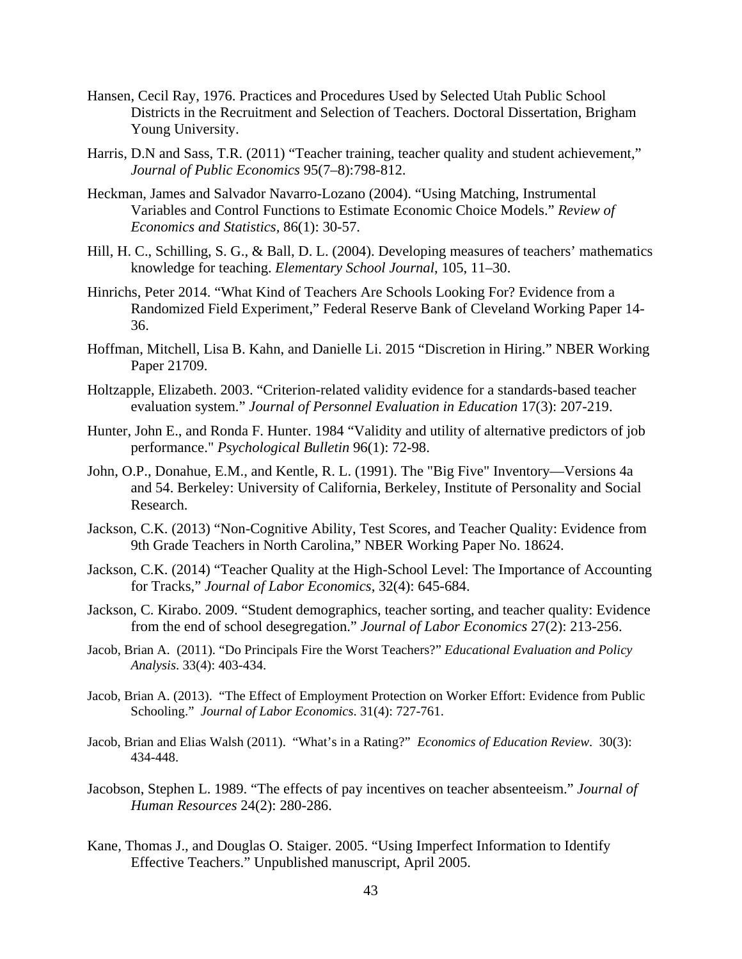- Hansen, Cecil Ray, 1976. Practices and Procedures Used by Selected Utah Public School Districts in the Recruitment and Selection of Teachers. Doctoral Dissertation, Brigham Young University.
- Harris, D.N and Sass, T.R. (2011) "Teacher training, teacher quality and student achievement," *Journal of Public Economics* 95(7–8):798-812.
- Heckman, James and Salvador Navarro-Lozano (2004). "Using Matching, Instrumental Variables and Control Functions to Estimate Economic Choice Models." *Review of Economics and Statistics,* 86(1): 30-57.
- Hill, H. C., Schilling, S. G., & Ball, D. L. (2004). Developing measures of teachers' mathematics knowledge for teaching. *Elementary School Journal*, 105, 11–30.
- Hinrichs, Peter 2014. "What Kind of Teachers Are Schools Looking For? Evidence from a Randomized Field Experiment," Federal Reserve Bank of Cleveland Working Paper 14- 36.
- Hoffman, Mitchell, Lisa B. Kahn, and Danielle Li. 2015 "Discretion in Hiring." NBER Working Paper 21709.
- Holtzapple, Elizabeth. 2003. "Criterion-related validity evidence for a standards-based teacher evaluation system." *Journal of Personnel Evaluation in Education* 17(3): 207-219.
- Hunter, John E., and Ronda F. Hunter. 1984 "Validity and utility of alternative predictors of job performance." *Psychological Bulletin* 96(1): 72-98.
- John, O.P., Donahue, E.M., and Kentle, R. L. (1991). The "Big Five" Inventory—Versions 4a and 54. Berkeley: University of California, Berkeley, Institute of Personality and Social Research.
- Jackson, C.K. (2013) "Non-Cognitive Ability, Test Scores, and Teacher Quality: Evidence from 9th Grade Teachers in North Carolina," NBER Working Paper No. 18624.
- Jackson, C.K. (2014) "Teacher Quality at the High-School Level: The Importance of Accounting for Tracks," *Journal of Labor Economics*, 32(4): 645-684.
- Jackson, C. Kirabo. 2009. "Student demographics, teacher sorting, and teacher quality: Evidence from the end of school desegregation." *Journal of Labor Economics* 27(2): 213-256.
- Jacob, Brian A. (2011). "Do Principals Fire the Worst Teachers?" *Educational Evaluation and Policy Analysis*. 33(4): 403-434.
- Jacob, Brian A. (2013). "The Effect of Employment Protection on Worker Effort: Evidence from Public Schooling." *Journal of Labor Economics*. 31(4): 727-761.
- Jacob, Brian and Elias Walsh (2011). "What's in a Rating?" *Economics of Education Review*. 30(3): 434-448.
- Jacobson, Stephen L. 1989. "The effects of pay incentives on teacher absenteeism." *Journal of Human Resources* 24(2): 280-286.
- Kane, Thomas J., and Douglas O. Staiger. 2005. "Using Imperfect Information to Identify Effective Teachers." Unpublished manuscript, April 2005.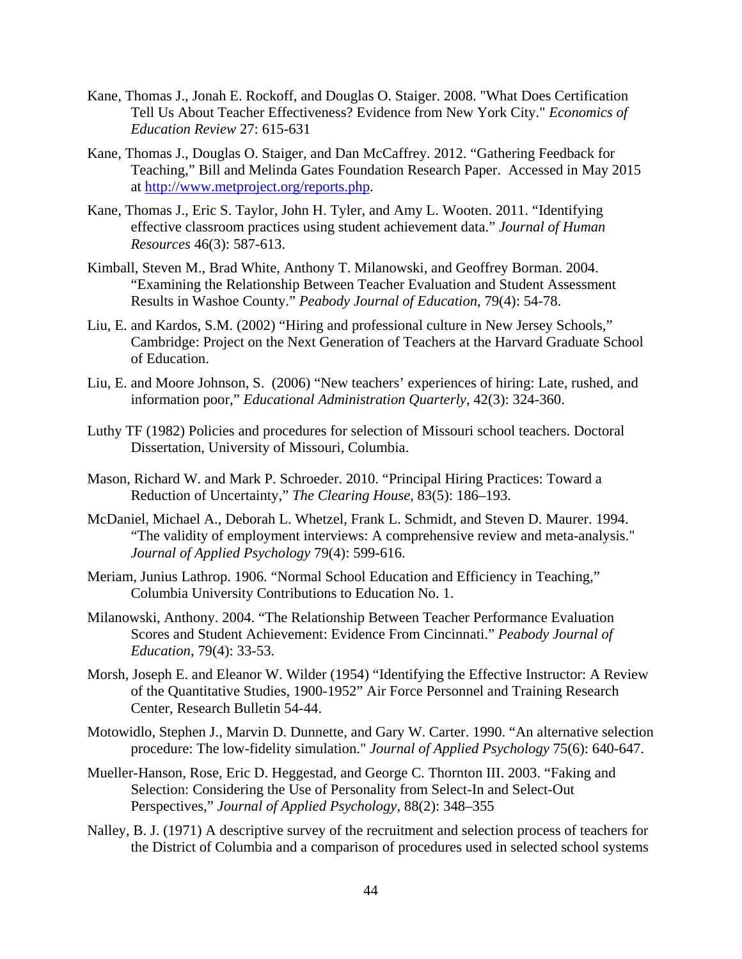- Kane, Thomas J., Jonah E. Rockoff, and Douglas O. Staiger. 2008. "What Does Certification Tell Us About Teacher Effectiveness? Evidence from New York City." *Economics of Education Review* 27: 615-631
- Kane, Thomas J., Douglas O. Staiger, and Dan McCaffrey. 2012. "Gathering Feedback for Teaching," Bill and Melinda Gates Foundation Research Paper. Accessed in May 2015 at [http://www.metproject.org/reports.php.](http://www.metproject.org/reports.php)
- Kane, Thomas J., Eric S. Taylor, John H. Tyler, and Amy L. Wooten. 2011. "Identifying effective classroom practices using student achievement data." *Journal of Human Resources* 46(3): 587-613.
- Kimball, Steven M., Brad White, Anthony T. Milanowski, and Geoffrey Borman. 2004. "Examining the Relationship Between Teacher Evaluation and Student Assessment Results in Washoe County." *Peabody Journal of Education*, 79(4): 54-78.
- Liu, E. and Kardos, S.M. (2002) "Hiring and professional culture in New Jersey Schools," Cambridge: Project on the Next Generation of Teachers at the Harvard Graduate School of Education.
- Liu, E. and Moore Johnson, S. (2006) "New teachers' experiences of hiring: Late, rushed, and information poor," *Educational Administration Quarterly*, 42(3): 324-360.
- Luthy TF (1982) Policies and procedures for selection of Missouri school teachers. Doctoral Dissertation, University of Missouri, Columbia.
- Mason, Richard W. and Mark P. Schroeder. 2010. "Principal Hiring Practices: Toward a Reduction of Uncertainty," *The Clearing House*, 83(5): 186–193.
- McDaniel, Michael A., Deborah L. Whetzel, Frank L. Schmidt, and Steven D. Maurer. 1994. "The validity of employment interviews: A comprehensive review and meta-analysis." *Journal of Applied Psychology* 79(4): 599-616.
- Meriam, Junius Lathrop. 1906. "Normal School Education and Efficiency in Teaching," Columbia University Contributions to Education No. 1.
- Milanowski, Anthony. 2004. "The Relationship Between Teacher Performance Evaluation Scores and Student Achievement: Evidence From Cincinnati." *Peabody Journal of Education*, 79(4): 33-53.
- Morsh, Joseph E. and Eleanor W. Wilder (1954) "Identifying the Effective Instructor: A Review of the Quantitative Studies, 1900-1952" Air Force Personnel and Training Research Center, Research Bulletin 54-44.
- Motowidlo, Stephen J., Marvin D. Dunnette, and Gary W. Carter. 1990. "An alternative selection procedure: The low-fidelity simulation." *Journal of Applied Psychology* 75(6): 640-647.
- Mueller-Hanson, Rose, Eric D. Heggestad, and George C. Thornton III. 2003. "Faking and Selection: Considering the Use of Personality from Select-In and Select-Out Perspectives," *Journal of Applied Psychology*, 88(2): 348–355
- Nalley, B. J. (1971) A descriptive survey of the recruitment and selection process of teachers for the District of Columbia and a comparison of procedures used in selected school systems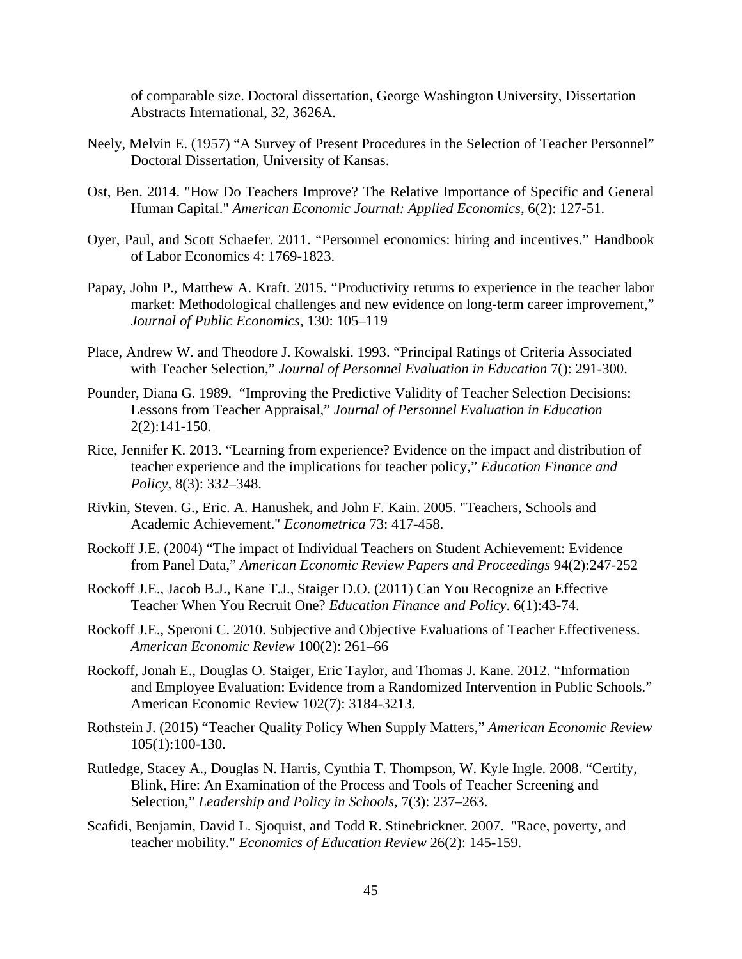of comparable size. Doctoral dissertation, George Washington University, Dissertation Abstracts International, 32, 3626A.

- Neely, Melvin E. (1957) "A Survey of Present Procedures in the Selection of Teacher Personnel" Doctoral Dissertation, University of Kansas.
- Ost, Ben. 2014. "How Do Teachers Improve? The Relative Importance of Specific and General Human Capital." *American Economic Journal: Applied Economics*, 6(2): 127-51.
- Oyer, Paul, and Scott Schaefer. 2011. "Personnel economics: hiring and incentives." Handbook of Labor Economics 4: 1769-1823.
- Papay, John P., Matthew A. Kraft. 2015. "Productivity returns to experience in the teacher labor market: Methodological challenges and new evidence on long-term career improvement," *Journal of Public Economics*, 130: 105–119
- Place, Andrew W. and Theodore J. Kowalski. 1993. "Principal Ratings of Criteria Associated with Teacher Selection," *Journal of Personnel Evaluation in Education* 7(): 291-300.
- Pounder, Diana G. 1989. "Improving the Predictive Validity of Teacher Selection Decisions: Lessons from Teacher Appraisal," *Journal of Personnel Evaluation in Education* 2(2):141-150.
- Rice, Jennifer K. 2013. "Learning from experience? Evidence on the impact and distribution of teacher experience and the implications for teacher policy," *Education Finance and Policy*, 8(3): 332–348.
- Rivkin, Steven. G., Eric. A. Hanushek, and John F. Kain. 2005. "Teachers, Schools and Academic Achievement." *Econometrica* 73: 417-458.
- Rockoff J.E. (2004) "The impact of Individual Teachers on Student Achievement: Evidence from Panel Data," *American Economic Review Papers and Proceedings* 94(2):247-252
- Rockoff J.E., Jacob B.J., Kane T.J., Staiger D.O. (2011) Can You Recognize an Effective Teacher When You Recruit One? *Education Finance and Policy*. 6(1):43-74.
- Rockoff J.E., Speroni C. 2010. Subjective and Objective Evaluations of Teacher Effectiveness. *American Economic Review* 100(2): 261–66
- Rockoff, Jonah E., Douglas O. Staiger, Eric Taylor, and Thomas J. Kane. 2012. "Information and Employee Evaluation: Evidence from a Randomized Intervention in Public Schools." American Economic Review 102(7): 3184-3213.
- Rothstein J. (2015) "Teacher Quality Policy When Supply Matters," *American Economic Review* 105(1):100-130.
- Rutledge, Stacey A., Douglas N. Harris, Cynthia T. Thompson, W. Kyle Ingle. 2008. "Certify, Blink, Hire: An Examination of the Process and Tools of Teacher Screening and Selection," *Leadership and Policy in Schools*, 7(3): 237–263.
- Scafidi, Benjamin, David L. Sjoquist, and Todd R. Stinebrickner. 2007. "Race, poverty, and teacher mobility." *Economics of Education Review* 26(2): 145-159.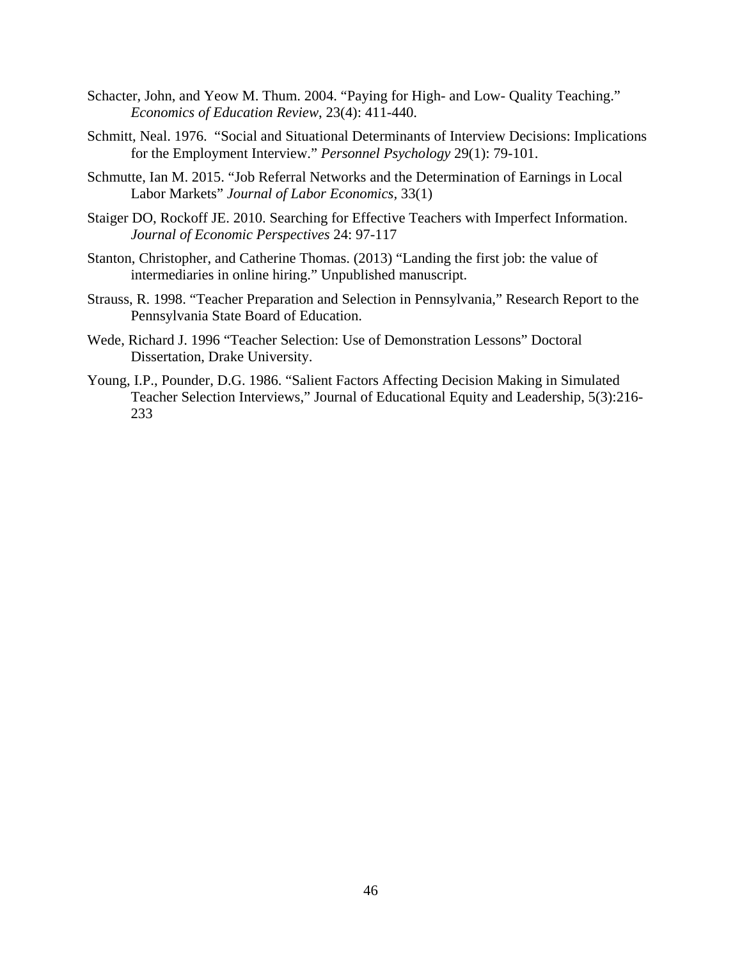- Schacter, John, and Yeow M. Thum. 2004. "Paying for High- and Low- Quality Teaching." *Economics of Education Review*, 23(4): 411-440.
- Schmitt, Neal. 1976. "Social and Situational Determinants of Interview Decisions: Implications for the Employment Interview." *Personnel Psychology* 29(1): 79-101.
- Schmutte, Ian M. 2015. "Job Referral Networks and the Determination of Earnings in Local Labor Markets" *Journal of Labor Economics,* 33(1)
- Staiger DO, Rockoff JE. 2010. Searching for Effective Teachers with Imperfect Information. *Journal of Economic Perspectives* 24: 97-117
- Stanton, Christopher, and Catherine Thomas. (2013) "Landing the first job: the value of intermediaries in online hiring." Unpublished manuscript.
- Strauss, R. 1998. "Teacher Preparation and Selection in Pennsylvania," Research Report to the Pennsylvania State Board of Education.
- Wede, Richard J. 1996 "Teacher Selection: Use of Demonstration Lessons" Doctoral Dissertation, Drake University.
- Young, I.P., Pounder, D.G. 1986. "Salient Factors Affecting Decision Making in Simulated Teacher Selection Interviews," Journal of Educational Equity and Leadership, 5(3):216- 233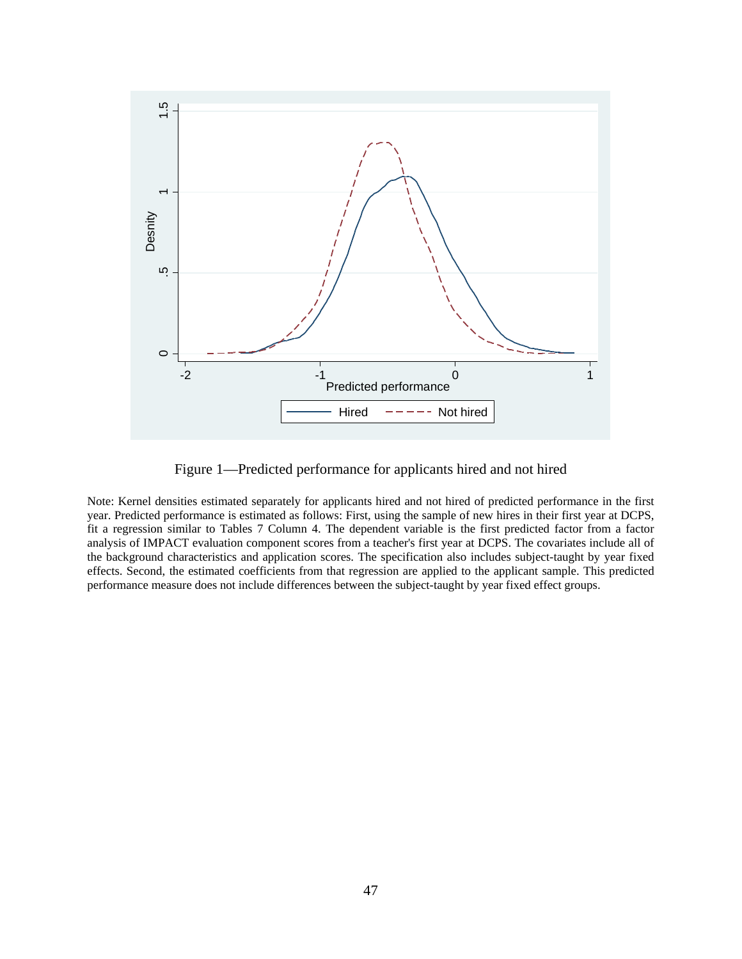

Figure 1—Predicted performance for applicants hired and not hired

Note: Kernel densities estimated separately for applicants hired and not hired of predicted performance in the first year. Predicted performance is estimated as follows: First, using the sample of new hires in their first year at DCPS, fit a regression similar to Tables 7 Column 4. The dependent variable is the first predicted factor from a factor analysis of IMPACT evaluation component scores from a teacher's first year at DCPS. The covariates include all of the background characteristics and application scores. The specification also includes subject-taught by year fixed effects. Second, the estimated coefficients from that regression are applied to the applicant sample. This predicted performance measure does not include differences between the subject-taught by year fixed effect groups.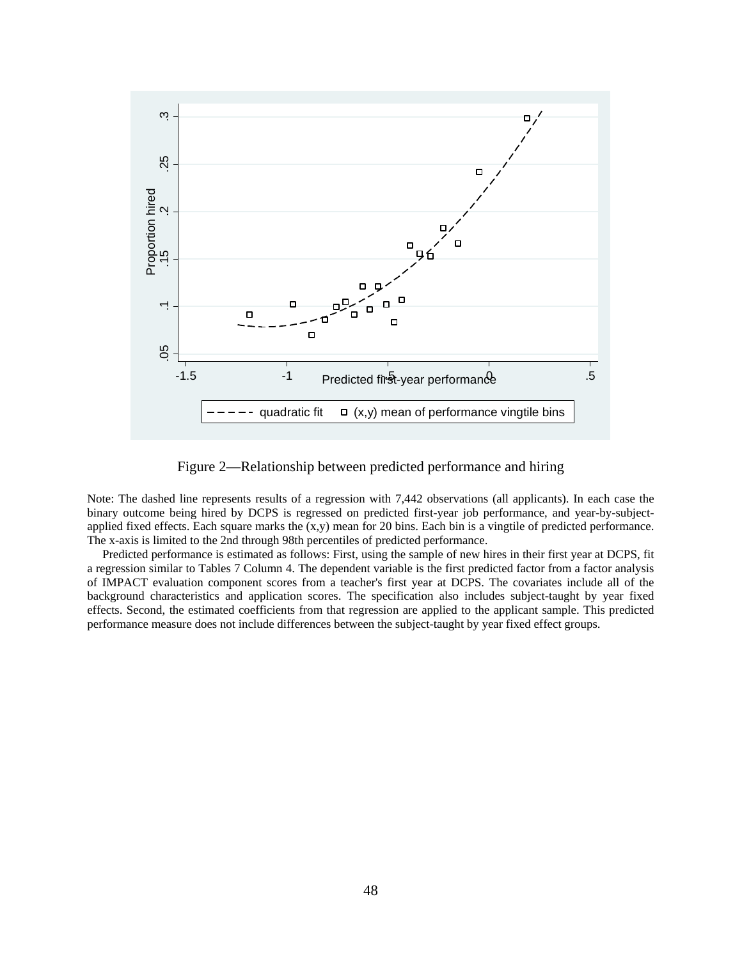

Figure 2—Relationship between predicted performance and hiring

Note: The dashed line represents results of a regression with 7,442 observations (all applicants). In each case the binary outcome being hired by DCPS is regressed on predicted first-year job performance, and year-by-subjectapplied fixed effects. Each square marks the  $(x,y)$  mean for 20 bins. Each bin is a vingtile of predicted performance. The x-axis is limited to the 2nd through 98th percentiles of predicted performance.

 Predicted performance is estimated as follows: First, using the sample of new hires in their first year at DCPS, fit a regression similar to Tables 7 Column 4. The dependent variable is the first predicted factor from a factor analysis of IMPACT evaluation component scores from a teacher's first year at DCPS. The covariates include all of the background characteristics and application scores. The specification also includes subject-taught by year fixed effects. Second, the estimated coefficients from that regression are applied to the applicant sample. This predicted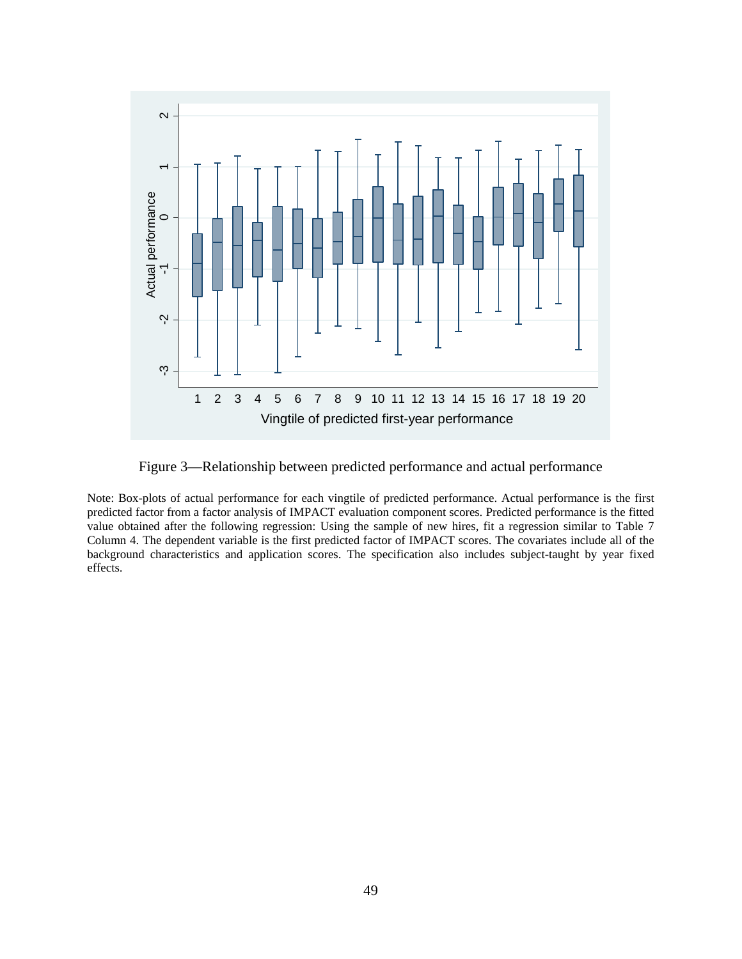

Figure 3—Relationship between predicted performance and actual performance

Note: Box-plots of actual performance for each vingtile of predicted performance. Actual performance is the first predicted factor from a factor analysis of IMPACT evaluation component scores. Predicted performance is the fitted value obtained after the following regression: Using the sample of new hires, fit a regression similar to Table 7 Column 4. The dependent variable is the first predicted factor of IMPACT scores. The covariates include all of the background characteristics and application scores. The specification also includes subject-taught by year fixed effects.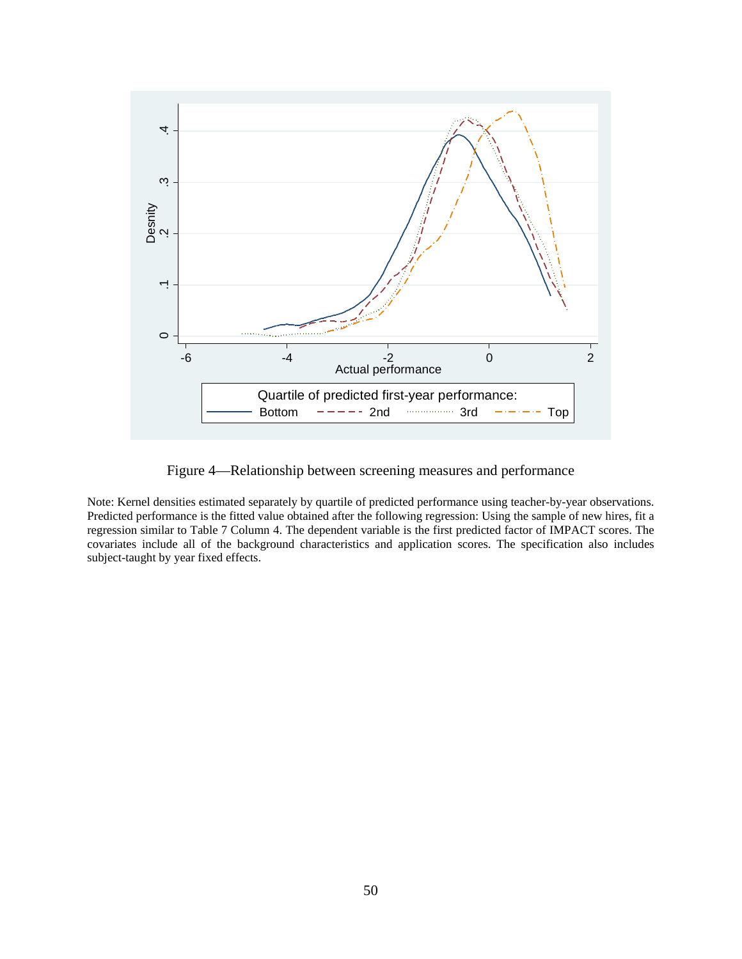

Figure 4—Relationship between screening measures and performance

Note: Kernel densities estimated separately by quartile of predicted performance using teacher-by-year observations. Predicted performance is the fitted value obtained after the following regression: Using the sample of new hires, fit a regression similar to Table 7 Column 4. The dependent variable is the first predicted factor of IMPACT scores. The covariates include all of the background characteristics and application scores. The specification also includes subject-taught by year fixed effects.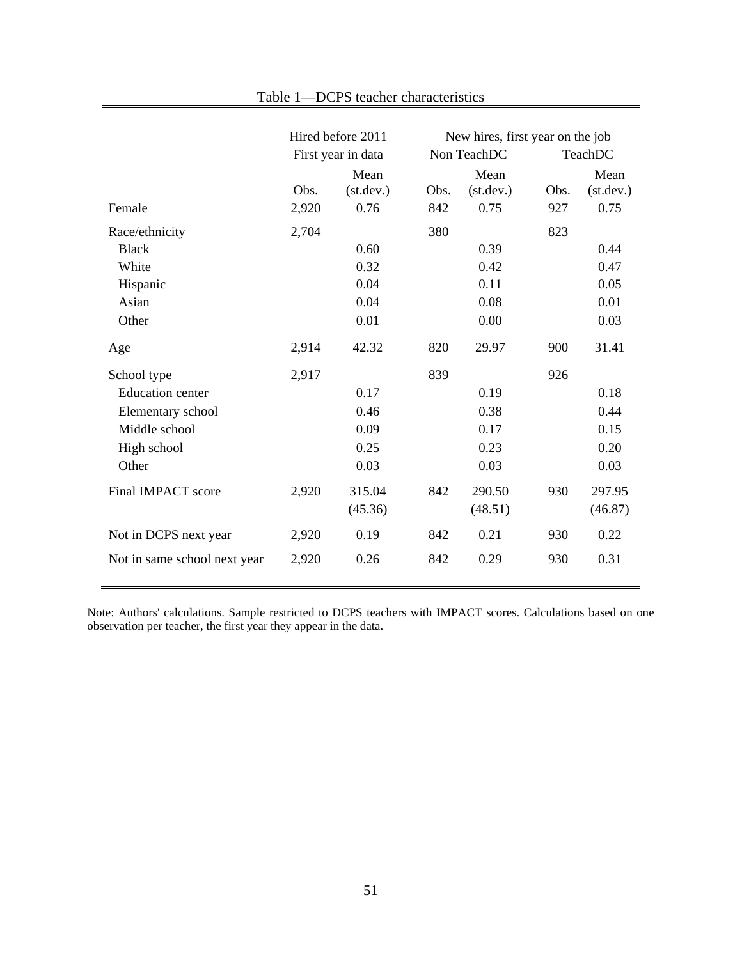|                              | Hired before 2011 |                    |      | New hires, first year on the job |      |                    |  |  |
|------------------------------|-------------------|--------------------|------|----------------------------------|------|--------------------|--|--|
|                              |                   | First year in data |      | Non TeachDC                      |      | TeachDC            |  |  |
|                              | Obs.              | Mean<br>(st. dev.) | Obs. | Mean<br>(st. dev.)               | Obs. | Mean<br>(st. dev.) |  |  |
| Female                       | 2,920             | 0.76               | 842  | 0.75                             | 927  | 0.75               |  |  |
| Race/ethnicity               | 2,704             |                    | 380  |                                  | 823  |                    |  |  |
| <b>Black</b>                 |                   | 0.60               |      | 0.39                             |      | 0.44               |  |  |
| White                        |                   | 0.32               |      | 0.42                             |      | 0.47               |  |  |
| Hispanic                     |                   | 0.04               |      | 0.11                             |      | 0.05               |  |  |
| Asian                        |                   | 0.04               |      | 0.08                             |      | 0.01               |  |  |
| Other                        |                   | 0.01               |      | 0.00                             |      | 0.03               |  |  |
| Age                          | 2,914             | 42.32              | 820  | 29.97                            | 900  | 31.41              |  |  |
| School type                  | 2,917             |                    | 839  |                                  | 926  |                    |  |  |
| <b>Education center</b>      |                   | 0.17               |      | 0.19                             |      | 0.18               |  |  |
| Elementary school            |                   | 0.46               |      | 0.38                             |      | 0.44               |  |  |
| Middle school                |                   | 0.09               |      | 0.17                             |      | 0.15               |  |  |
| High school                  |                   | 0.25               |      | 0.23                             |      | 0.20               |  |  |
| Other                        |                   | 0.03               |      | 0.03                             |      | 0.03               |  |  |
| Final IMPACT score           | 2,920             | 315.04             | 842  | 290.50                           | 930  | 297.95             |  |  |
|                              |                   | (45.36)            |      | (48.51)                          |      | (46.87)            |  |  |
| Not in DCPS next year        | 2,920             | 0.19               | 842  | 0.21                             | 930  | 0.22               |  |  |
| Not in same school next year | 2,920             | 0.26               | 842  | 0.29                             | 930  | 0.31               |  |  |

Note: Authors' calculations. Sample restricted to DCPS teachers with IMPACT scores. Calculations based on one observation per teacher, the first year they appear in the data.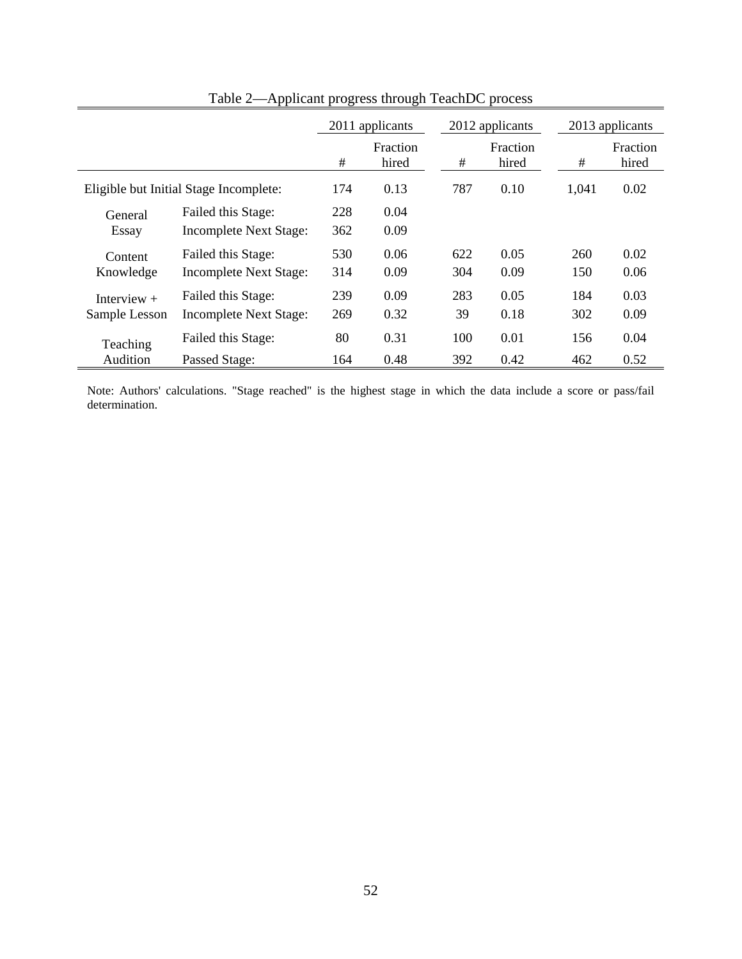|                                | $\cdots$                                            |                 | zippneam progress anough Teaching |            | <b>PIOUU</b>      |            |                   |  |
|--------------------------------|-----------------------------------------------------|-----------------|-----------------------------------|------------|-------------------|------------|-------------------|--|
|                                |                                                     | 2011 applicants |                                   |            | 2012 applicants   |            | 2013 applicants   |  |
|                                |                                                     | #               | Fraction<br>hired                 | $\#$       | Fraction<br>hired | #          | Fraction<br>hired |  |
|                                | Eligible but Initial Stage Incomplete:              | 174             | 0.13                              | 787        | 0.10              | 1,041      | 0.02              |  |
| General<br>Essay               | Failed this Stage:<br><b>Incomplete Next Stage:</b> | 228<br>362      | 0.04<br>0.09                      |            |                   |            |                   |  |
| Content<br>Knowledge           | Failed this Stage:<br><b>Incomplete Next Stage:</b> | 530<br>314      | 0.06<br>0.09                      | 622<br>304 | 0.05<br>0.09      | 260<br>150 | 0.02<br>0.06      |  |
| Interview $+$<br>Sample Lesson | Failed this Stage:<br><b>Incomplete Next Stage:</b> | 239<br>269      | 0.09<br>0.32                      | 283<br>39  | 0.05<br>0.18      | 184<br>302 | 0.03<br>0.09      |  |
| Teaching<br>Audition           | Failed this Stage:<br>Passed Stage:                 | 80<br>164       | 0.31<br>0.48                      | 100<br>392 | 0.01<br>0.42      | 156<br>462 | 0.04<br>0.52      |  |

Table 2—Applicant progress through TeachDC process

Note: Authors' calculations. "Stage reached" is the highest stage in which the data include a score or pass/fail determination.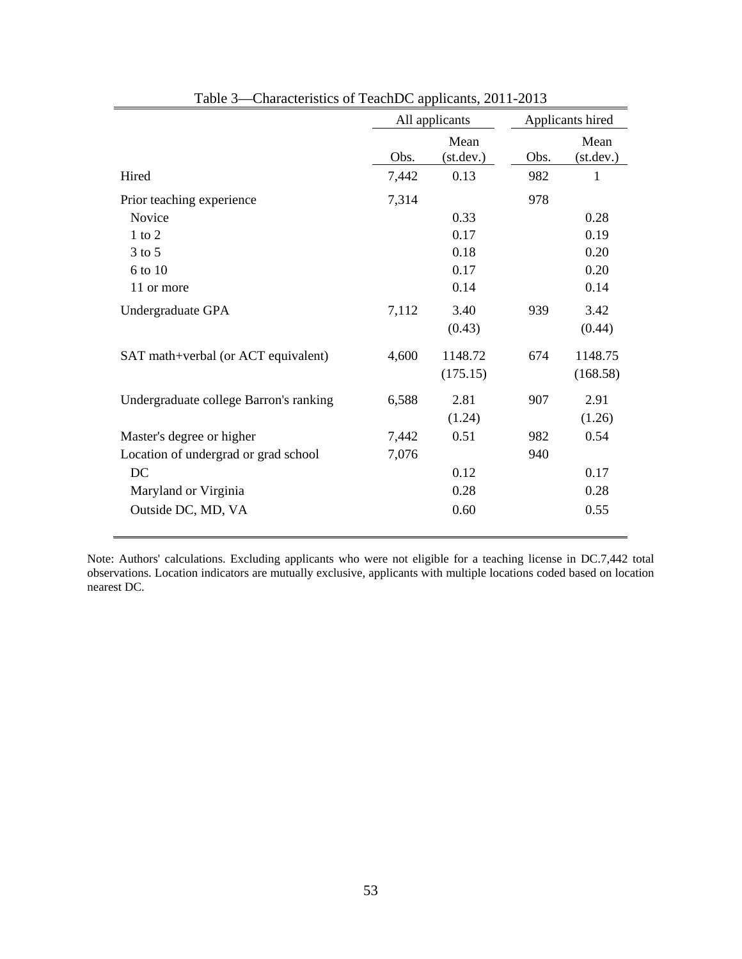|                                        | All applicants |                    | Applicants hired |                   |  |
|----------------------------------------|----------------|--------------------|------------------|-------------------|--|
|                                        | Obs.           | Mean<br>(st. dev.) | Obs.             | Mean<br>(st.dev.) |  |
| Hired                                  | 7,442          | 0.13               | 982              | 1                 |  |
| Prior teaching experience              | 7,314          |                    | 978              |                   |  |
| Novice                                 |                | 0.33               |                  | 0.28              |  |
| $1$ to $2$                             |                | 0.17               |                  | 0.19              |  |
| $3$ to $5$                             |                | 0.18               |                  | 0.20              |  |
| 6 to 10                                |                | 0.17               |                  | 0.20              |  |
| 11 or more                             |                | 0.14               |                  | 0.14              |  |
| Undergraduate GPA                      | 7,112          | 3.40               | 939              | 3.42              |  |
|                                        |                | (0.43)             |                  | (0.44)            |  |
| SAT math+verbal (or ACT equivalent)    | 4,600          | 1148.72            | 674              | 1148.75           |  |
|                                        |                | (175.15)           |                  | (168.58)          |  |
| Undergraduate college Barron's ranking | 6,588          | 2.81               | 907              | 2.91              |  |
|                                        |                | (1.24)             |                  | (1.26)            |  |
| Master's degree or higher              | 7,442          | 0.51               | 982              | 0.54              |  |
| Location of undergrad or grad school   | 7,076          |                    | 940              |                   |  |
| DC                                     |                | 0.12               |                  | 0.17              |  |
| Maryland or Virginia                   |                | 0.28               |                  | 0.28              |  |
| Outside DC, MD, VA                     |                | 0.60               |                  | 0.55              |  |

Table 3—Characteristics of TeachDC applicants, 2011-2013

Note: Authors' calculations. Excluding applicants who were not eligible for a teaching license in DC.7,442 total observations. Location indicators are mutually exclusive, applicants with multiple locations coded based on location nearest DC.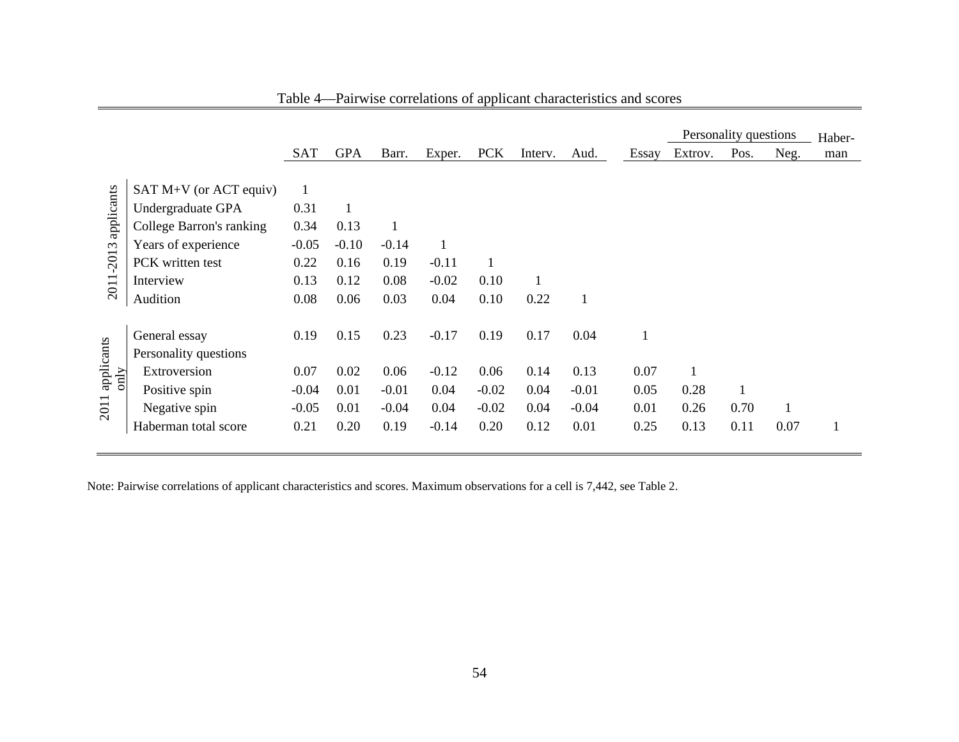|                       |                                                                                                                      |                                                 |                              |                                    |                                    |                                    |                              |                                    |                              |                      | Personality questions |      | Haber- |
|-----------------------|----------------------------------------------------------------------------------------------------------------------|-------------------------------------------------|------------------------------|------------------------------------|------------------------------------|------------------------------------|------------------------------|------------------------------------|------------------------------|----------------------|-----------------------|------|--------|
|                       |                                                                                                                      | <b>SAT</b>                                      | <b>GPA</b>                   | Barr.                              | Exper.                             | <b>PCK</b>                         | Interv.                      | Aud.                               | Essay                        | Extrov.              | Pos.                  | Neg. | man    |
| applicants<br>$-2013$ | SAT $M+V$ (or ACT equiv)<br>Undergraduate GPA<br>College Barron's ranking<br>Years of experience<br>PCK written test | $\mathbf{1}$<br>0.31<br>0.34<br>$-0.05$<br>0.22 | 1<br>0.13<br>$-0.10$<br>0.16 | $-0.14$<br>0.19                    | 1<br>$-0.11$                       | $\mathbf{1}$                       |                              |                                    |                              |                      |                       |      |        |
| 2011                  | Interview<br>Audition                                                                                                | 0.13<br>0.08                                    | 0.12<br>0.06                 | 0.08<br>0.03                       | $-0.02$<br>0.04                    | 0.10<br>0.10                       | 0.22                         | $\mathbf{1}$                       |                              |                      |                       |      |        |
| applicants            | General essay<br>Personality questions                                                                               | 0.19                                            | 0.15                         | 0.23                               | $-0.17$                            | 0.19                               | 0.17                         | 0.04                               |                              |                      |                       |      |        |
| only<br>2011          | Extroversion<br>Positive spin<br>Negative spin<br>Haberman total score                                               | 0.07<br>$-0.04$<br>$-0.05$<br>0.21              | 0.02<br>0.01<br>0.01<br>0.20 | 0.06<br>$-0.01$<br>$-0.04$<br>0.19 | $-0.12$<br>0.04<br>0.04<br>$-0.14$ | 0.06<br>$-0.02$<br>$-0.02$<br>0.20 | 0.14<br>0.04<br>0.04<br>0.12 | 0.13<br>$-0.01$<br>$-0.04$<br>0.01 | 0.07<br>0.05<br>0.01<br>0.25 | 0.28<br>0.26<br>0.13 | 0.70<br>0.11          | 0.07 |        |

Table 4—Pairwise correlations of applicant characteristics and scores

Note: Pairwise correlations of applicant characteristics and scores. Maximum observations for a cell is 7,442, see Table 2.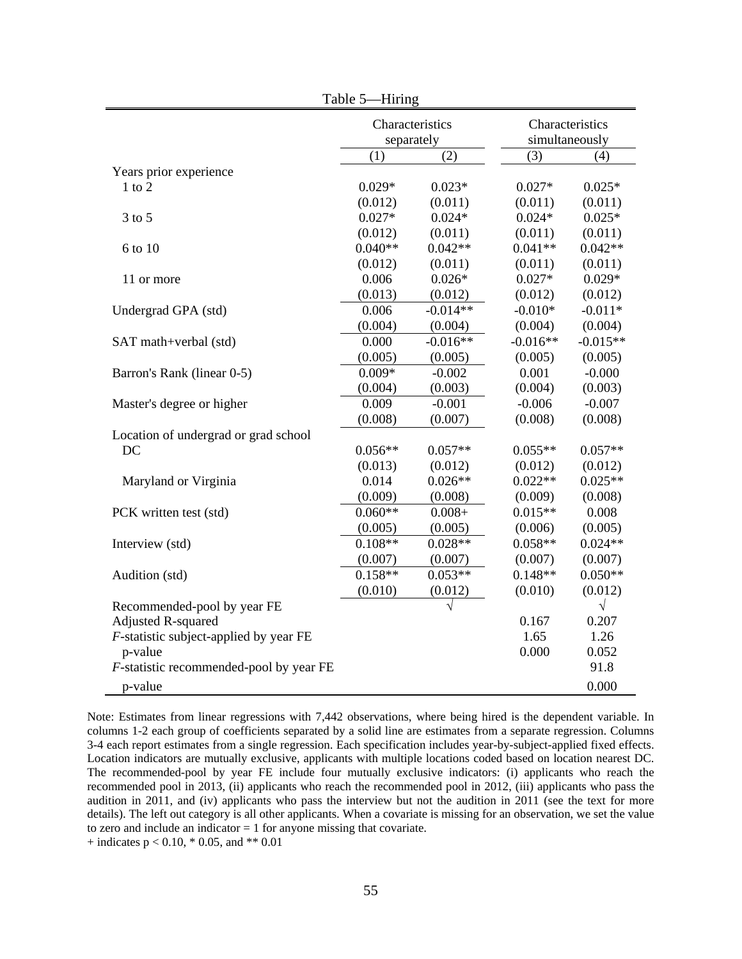|                                            | Table 5—Hiring |                               |                                   |            |
|--------------------------------------------|----------------|-------------------------------|-----------------------------------|------------|
|                                            |                | Characteristics<br>separately | Characteristics<br>simultaneously |            |
|                                            | (1)            | (2)                           | (3)                               | (4)        |
| Years prior experience                     |                |                               |                                   |            |
| $1$ to $2$                                 | $0.029*$       | $0.023*$                      | $0.027*$                          | $0.025*$   |
|                                            | (0.012)        | (0.011)                       | (0.011)                           | (0.011)    |
| $3$ to $5$                                 | $0.027*$       | $0.024*$                      | $0.024*$                          | $0.025*$   |
|                                            | (0.012)        | (0.011)                       | (0.011)                           | (0.011)    |
| 6 to 10                                    | $0.040**$      | $0.042**$                     | $0.041**$                         | $0.042**$  |
|                                            | (0.012)        | (0.011)                       | (0.011)                           | (0.011)    |
| 11 or more                                 | 0.006          | $0.026*$                      | $0.027*$                          | $0.029*$   |
|                                            | (0.013)        | (0.012)                       | (0.012)                           | (0.012)    |
| Undergrad GPA (std)                        | 0.006          | $-0.014**$                    | $-0.010*$                         | $-0.011*$  |
|                                            | (0.004)        | (0.004)                       | (0.004)                           | (0.004)    |
| SAT math+verbal (std)                      | 0.000          | $-0.016**$                    | $-0.016**$                        | $-0.015**$ |
|                                            | (0.005)        | (0.005)                       | (0.005)                           | (0.005)    |
| Barron's Rank (linear 0-5)                 | $0.009*$       | $-0.002$                      | 0.001                             | $-0.000$   |
|                                            | (0.004)        | (0.003)                       | (0.004)                           | (0.003)    |
| Master's degree or higher                  | 0.009          | $-0.001$                      | $-0.006$                          | $-0.007$   |
|                                            | (0.008)        | (0.007)                       | (0.008)                           | (0.008)    |
| Location of undergrad or grad school       |                |                               |                                   |            |
| DC                                         | $0.056**$      | $0.057**$                     | $0.055**$                         | $0.057**$  |
|                                            | (0.013)        | (0.012)                       | (0.012)                           | (0.012)    |
| Maryland or Virginia                       | 0.014          | $0.026**$                     | $0.022**$                         | $0.025**$  |
|                                            | (0.009)        | (0.008)                       | (0.009)                           | (0.008)    |
| PCK written test (std)                     | $0.060**$      | $0.008 +$                     | $0.015**$                         | 0.008      |
|                                            | (0.005)        | (0.005)                       | (0.006)                           | (0.005)    |
| Interview (std)                            | $0.108**$      | $0.028**$                     | $0.058**$                         | $0.024**$  |
|                                            | (0.007)        | (0.007)                       | (0.007)                           | (0.007)    |
| Audition (std)                             | $0.158**$      | $0.053**$                     | $0.148**$                         | $0.050**$  |
|                                            | (0.010)        | (0.012)                       | (0.010)                           | (0.012)    |
| Recommended-pool by year FE                |                | $\sqrt{}$                     |                                   | $\sqrt{}$  |
| <b>Adjusted R-squared</b>                  |                |                               | 0.167                             | 0.207      |
| $F$ -statistic subject-applied by year FE  |                |                               | 1.65                              | 1.26       |
| p-value                                    |                |                               | 0.000                             | 0.052      |
| $F$ -statistic recommended-pool by year FE |                |                               |                                   | 91.8       |
| p-value                                    |                |                               |                                   | 0.000      |

Note: Estimates from linear regressions with 7,442 observations, where being hired is the dependent variable. In columns 1-2 each group of coefficients separated by a solid line are estimates from a separate regression. Columns 3-4 each report estimates from a single regression. Each specification includes year-by-subject-applied fixed effects. Location indicators are mutually exclusive, applicants with multiple locations coded based on location nearest DC. The recommended-pool by year FE include four mutually exclusive indicators: (i) applicants who reach the recommended pool in 2013, (ii) applicants who reach the recommended pool in 2012, (iii) applicants who pass the audition in 2011, and (iv) applicants who pass the interview but not the audition in 2011 (see the text for more details). The left out category is all other applicants. When a covariate is missing for an observation, we set the value to zero and include an indicator = 1 for anyone missing that covariate.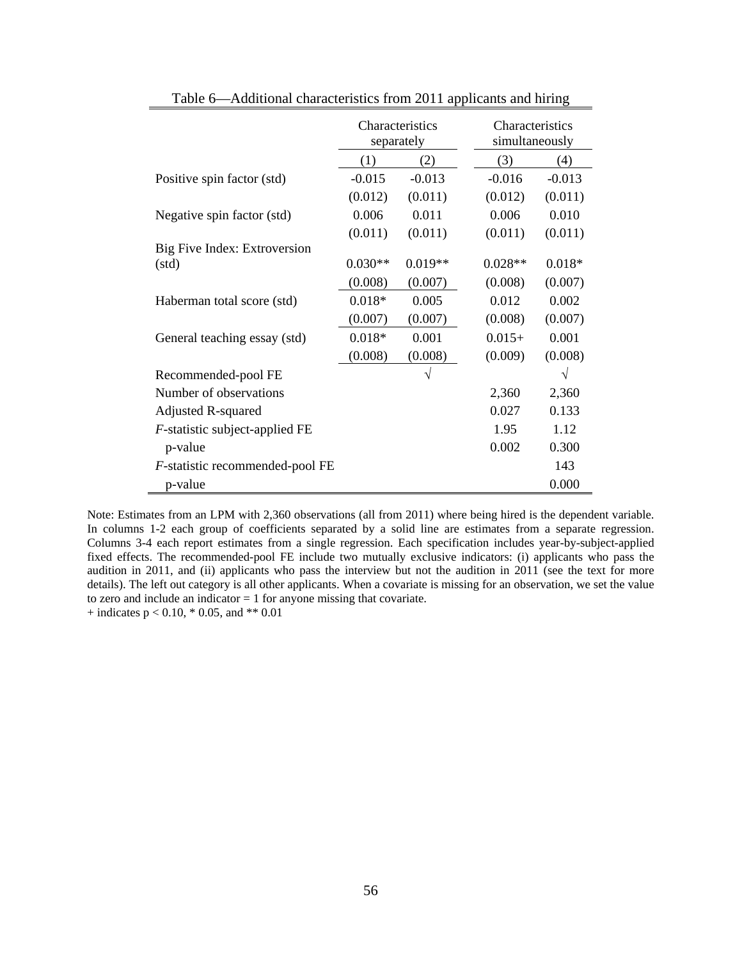|                                   | Characteristics<br>separately |           | Characteristics<br>simultaneously |           |
|-----------------------------------|-------------------------------|-----------|-----------------------------------|-----------|
|                                   | (1)                           | (2)       | (3)                               | (4)       |
| Positive spin factor (std)        | $-0.015$                      | $-0.013$  | $-0.016$                          | $-0.013$  |
|                                   | (0.012)                       | (0.011)   | (0.012)                           | (0.011)   |
| Negative spin factor (std)        | 0.006                         | 0.011     | 0.006                             | 0.010     |
|                                   | (0.011)                       | (0.011)   | (0.011)                           | (0.011)   |
| Big Five Index: Extroversion      |                               |           |                                   |           |
| (std)                             | $0.030**$                     | $0.019**$ | $0.028**$                         | $0.018*$  |
|                                   | (0.008)                       | (0.007)   | (0.008)                           | (0.007)   |
| Haberman total score (std)        | $0.018*$                      | 0.005     | 0.012                             | 0.002     |
|                                   | (0.007)                       | (0.007)   | (0.008)                           | (0.007)   |
| General teaching essay (std)      | $0.018*$                      | 0.001     | $0.015+$                          | 0.001     |
|                                   | (0.008)                       | (0.008)   | (0.009)                           | (0.008)   |
| Recommended-pool FE               |                               | $\sqrt{}$ |                                   | $\sqrt{}$ |
| Number of observations            |                               |           | 2,360                             | 2,360     |
| <b>Adjusted R-squared</b>         |                               |           | 0.027                             | 0.133     |
| $F$ -statistic subject-applied FE |                               |           | 1.95                              | 1.12      |
| p-value                           |                               |           | 0.002                             | 0.300     |
| F-statistic recommended-pool FE   |                               |           |                                   | 143       |
| p-value                           |                               |           |                                   | 0.000     |

Table 6—Additional characteristics from 2011 applicants and hiring

Note: Estimates from an LPM with 2,360 observations (all from 2011) where being hired is the dependent variable. In columns 1-2 each group of coefficients separated by a solid line are estimates from a separate regression. Columns 3-4 each report estimates from a single regression. Each specification includes year-by-subject-applied fixed effects. The recommended-pool FE include two mutually exclusive indicators: (i) applicants who pass the audition in 2011, and (ii) applicants who pass the interview but not the audition in 2011 (see the text for more details). The left out category is all other applicants. When a covariate is missing for an observation, we set the value to zero and include an indicator = 1 for anyone missing that covariate.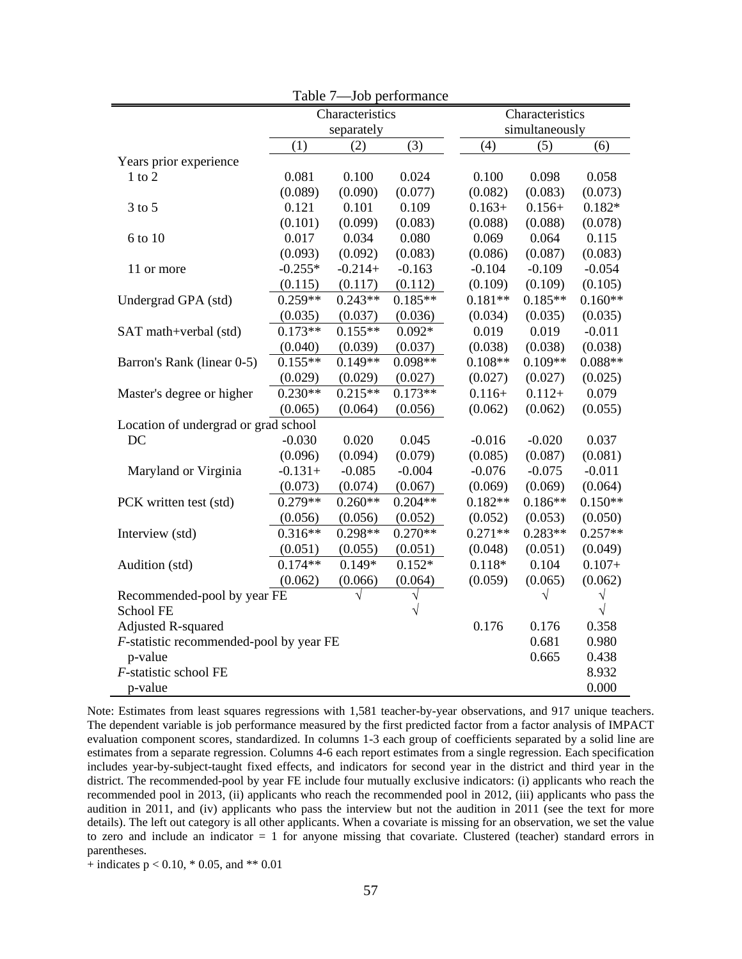| Table 7-Job performance                    |            |                 |           |                 |           |           |  |  |
|--------------------------------------------|------------|-----------------|-----------|-----------------|-----------|-----------|--|--|
|                                            |            | Characteristics |           | Characteristics |           |           |  |  |
|                                            | separately |                 |           | simultaneously  |           |           |  |  |
|                                            | (1)        | (2)             | (3)       | (4)             | (5)       | (6)       |  |  |
| Years prior experience                     |            |                 |           |                 |           |           |  |  |
| $1$ to $2$                                 | 0.081      | 0.100           | 0.024     | 0.100           | 0.098     | 0.058     |  |  |
|                                            | (0.089)    | (0.090)         | (0.077)   | (0.082)         | (0.083)   | (0.073)   |  |  |
| 3 to 5                                     | 0.121      | 0.101           | 0.109     | $0.163+$        | $0.156+$  | $0.182*$  |  |  |
|                                            | (0.101)    | (0.099)         | (0.083)   | (0.088)         | (0.088)   | (0.078)   |  |  |
| 6 to 10                                    | 0.017      | 0.034           | 0.080     | 0.069           | 0.064     | 0.115     |  |  |
|                                            | (0.093)    | (0.092)         | (0.083)   | (0.086)         | (0.087)   | (0.083)   |  |  |
| 11 or more                                 | $-0.255*$  | $-0.214+$       | $-0.163$  | $-0.104$        | $-0.109$  | $-0.054$  |  |  |
|                                            | (0.115)    | (0.117)         | (0.112)   | (0.109)         | (0.109)   | (0.105)   |  |  |
| Undergrad GPA (std)                        | $0.259**$  | $0.243**$       | $0.185**$ | $0.181**$       | $0.185**$ | $0.160**$ |  |  |
|                                            | (0.035)    | (0.037)         | (0.036)   | (0.034)         | (0.035)   | (0.035)   |  |  |
| SAT math+verbal (std)                      | $0.173**$  | $0.155**$       | $0.092*$  | 0.019           | 0.019     | $-0.011$  |  |  |
|                                            | (0.040)    | (0.039)         | (0.037)   | (0.038)         | (0.038)   | (0.038)   |  |  |
| Barron's Rank (linear 0-5)                 | $0.155**$  | $0.149**$       | $0.098**$ | $0.108**$       | $0.109**$ | $0.088**$ |  |  |
|                                            | (0.029)    | (0.029)         | (0.027)   | (0.027)         | (0.027)   | (0.025)   |  |  |
| Master's degree or higher                  | $0.230**$  | $0.215**$       | $0.173**$ | $0.116+$        | $0.112+$  | 0.079     |  |  |
|                                            | (0.065)    | (0.064)         | (0.056)   | (0.062)         | (0.062)   | (0.055)   |  |  |
| Location of undergrad or grad school       |            |                 |           |                 |           |           |  |  |
| DC                                         | $-0.030$   | 0.020           | 0.045     | $-0.016$        | $-0.020$  | 0.037     |  |  |
|                                            | (0.096)    | (0.094)         | (0.079)   | (0.085)         | (0.087)   | (0.081)   |  |  |
| Maryland or Virginia                       | $-0.131+$  | $-0.085$        | $-0.004$  | $-0.076$        | $-0.075$  | $-0.011$  |  |  |
|                                            | (0.073)    | (0.074)         | (0.067)   | (0.069)         | (0.069)   | (0.064)   |  |  |
| PCK written test (std)                     | $0.279**$  | $0.260**$       | $0.204**$ | $0.182**$       | $0.186**$ | $0.150**$ |  |  |
|                                            | (0.056)    | (0.056)         | (0.052)   | (0.052)         | (0.053)   | (0.050)   |  |  |
| Interview (std)                            | $0.316**$  | $0.298**$       | $0.270**$ | $0.271**$       | $0.283**$ | $0.257**$ |  |  |
|                                            | (0.051)    | (0.055)         | (0.051)   | (0.048)         | (0.051)   | (0.049)   |  |  |
| Audition (std)                             | $0.174**$  | $0.149*$        | $0.152*$  | $0.118*$        | 0.104     | $0.107+$  |  |  |
|                                            | (0.062)    | (0.066)         | (0.064)   | (0.059)         | (0.065)   | (0.062)   |  |  |
| Recommended-pool by year FE                |            |                 |           |                 | $\sqrt{}$ | V         |  |  |
| School FE                                  |            |                 | $\sqrt{}$ |                 |           | V         |  |  |
| <b>Adjusted R-squared</b>                  |            |                 |           | 0.176           | 0.176     | 0.358     |  |  |
| $F$ -statistic recommended-pool by year FE |            |                 |           |                 | 0.681     | 0.980     |  |  |
| p-value                                    |            |                 |           |                 | 0.665     | 0.438     |  |  |
| F-statistic school FE                      |            |                 |           |                 |           | 8.932     |  |  |
| p-value                                    |            |                 |           |                 |           | 0.000     |  |  |

Note: Estimates from least squares regressions with 1,581 teacher-by-year observations, and 917 unique teachers. The dependent variable is job performance measured by the first predicted factor from a factor analysis of IMPACT evaluation component scores, standardized. In columns 1-3 each group of coefficients separated by a solid line are estimates from a separate regression. Columns 4-6 each report estimates from a single regression. Each specification includes year-by-subject-taught fixed effects, and indicators for second year in the district and third year in the district. The recommended-pool by year FE include four mutually exclusive indicators: (i) applicants who reach the recommended pool in 2013, (ii) applicants who reach the recommended pool in 2012, (iii) applicants who pass the audition in 2011, and (iv) applicants who pass the interview but not the audition in 2011 (see the text for more details). The left out category is all other applicants. When a covariate is missing for an observation, we set the value to zero and include an indicator  $= 1$  for anyone missing that covariate. Clustered (teacher) standard errors in parentheses.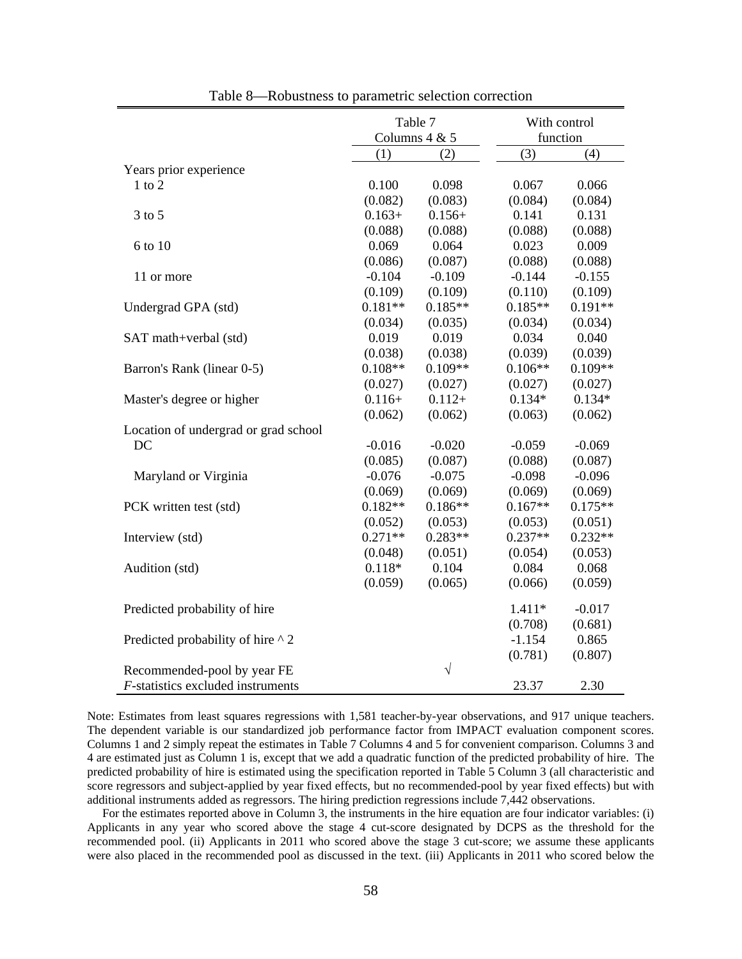|                                          |           | Table 7         |           | With control |
|------------------------------------------|-----------|-----------------|-----------|--------------|
|                                          |           | Columns $4 & 5$ |           | function     |
|                                          | (1)       | (2)             | (3)       | (4)          |
| Years prior experience                   |           |                 |           |              |
| $1$ to $2$                               | 0.100     | 0.098           | 0.067     | 0.066        |
|                                          | (0.082)   | (0.083)         | (0.084)   | (0.084)      |
| $3$ to $5$                               | $0.163+$  | $0.156+$        | 0.141     | 0.131        |
|                                          | (0.088)   | (0.088)         | (0.088)   | (0.088)      |
| 6 to 10                                  | 0.069     | 0.064           | 0.023     | 0.009        |
|                                          | (0.086)   | (0.087)         | (0.088)   | (0.088)      |
| 11 or more                               | $-0.104$  | $-0.109$        | $-0.144$  | $-0.155$     |
|                                          | (0.109)   | (0.109)         | (0.110)   | (0.109)      |
| Undergrad GPA (std)                      | $0.181**$ | $0.185**$       | $0.185**$ | $0.191**$    |
|                                          | (0.034)   | (0.035)         | (0.034)   | (0.034)      |
| SAT math+verbal (std)                    | 0.019     | 0.019           | 0.034     | 0.040        |
|                                          | (0.038)   | (0.038)         | (0.039)   | (0.039)      |
| Barron's Rank (linear 0-5)               | $0.108**$ | $0.109**$       | $0.106**$ | $0.109**$    |
|                                          | (0.027)   | (0.027)         | (0.027)   | (0.027)      |
| Master's degree or higher                | $0.116+$  | $0.112+$        | $0.134*$  | $0.134*$     |
|                                          | (0.062)   | (0.062)         | (0.063)   | (0.062)      |
| Location of undergrad or grad school     |           |                 |           |              |
| DC                                       | $-0.016$  | $-0.020$        | $-0.059$  | $-0.069$     |
|                                          | (0.085)   | (0.087)         | (0.088)   | (0.087)      |
| Maryland or Virginia                     | $-0.076$  | $-0.075$        | $-0.098$  | $-0.096$     |
|                                          | (0.069)   | (0.069)         | (0.069)   | (0.069)      |
| PCK written test (std)                   | $0.182**$ | $0.186**$       | $0.167**$ | $0.175**$    |
|                                          | (0.052)   | (0.053)         | (0.053)   | (0.051)      |
| Interview (std)                          | $0.271**$ | $0.283**$       | $0.237**$ | $0.232**$    |
|                                          | (0.048)   | (0.051)         | (0.054)   | (0.053)      |
| Audition (std)                           | $0.118*$  | 0.104           | 0.084     | 0.068        |
|                                          | (0.059)   | (0.065)         | (0.066)   | (0.059)      |
| Predicted probability of hire            |           |                 | $1.411*$  | $-0.017$     |
|                                          |           |                 | (0.708)   | (0.681)      |
| Predicted probability of hire $\wedge$ 2 |           |                 | $-1.154$  | 0.865        |
|                                          |           |                 | (0.781)   | (0.807)      |
| Recommended-pool by year FE              |           | $\sqrt{}$       |           |              |
| F-statistics excluded instruments        |           |                 | 23.37     | 2.30         |

Table 8—Robustness to parametric selection correction

Note: Estimates from least squares regressions with 1,581 teacher-by-year observations, and 917 unique teachers. The dependent variable is our standardized job performance factor from IMPACT evaluation component scores. Columns 1 and 2 simply repeat the estimates in Table 7 Columns 4 and 5 for convenient comparison. Columns 3 and 4 are estimated just as Column 1 is, except that we add a quadratic function of the predicted probability of hire. The predicted probability of hire is estimated using the specification reported in Table 5 Column 3 (all characteristic and score regressors and subject-applied by year fixed effects, but no recommended-pool by year fixed effects) but with additional instruments added as regressors. The hiring prediction regressions include 7,442 observations.

 For the estimates reported above in Column 3, the instruments in the hire equation are four indicator variables: (i) Applicants in any year who scored above the stage 4 cut-score designated by DCPS as the threshold for the recommended pool. (ii) Applicants in 2011 who scored above the stage 3 cut-score; we assume these applicants were also placed in the recommended pool as discussed in the text. (iii) Applicants in 2011 who scored below the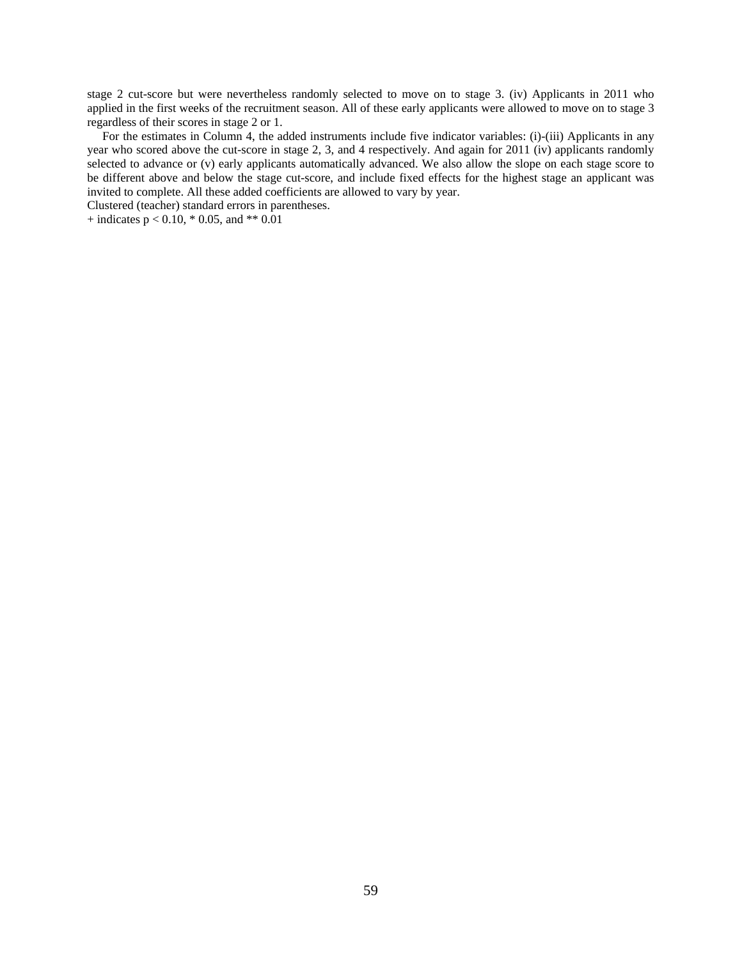stage 2 cut-score but were nevertheless randomly selected to move on to stage 3. (iv) Applicants in 2011 who applied in the first weeks of the recruitment season. All of these early applicants were allowed to move on to stage 3 regardless of their scores in stage 2 or 1.

 For the estimates in Column 4, the added instruments include five indicator variables: (i)-(iii) Applicants in any year who scored above the cut-score in stage 2, 3, and 4 respectively. And again for 2011 (iv) applicants randomly selected to advance or (v) early applicants automatically advanced. We also allow the slope on each stage score to be different above and below the stage cut-score, and include fixed effects for the highest stage an applicant was invited to complete. All these added coefficients are allowed to vary by year.

Clustered (teacher) standard errors in parentheses.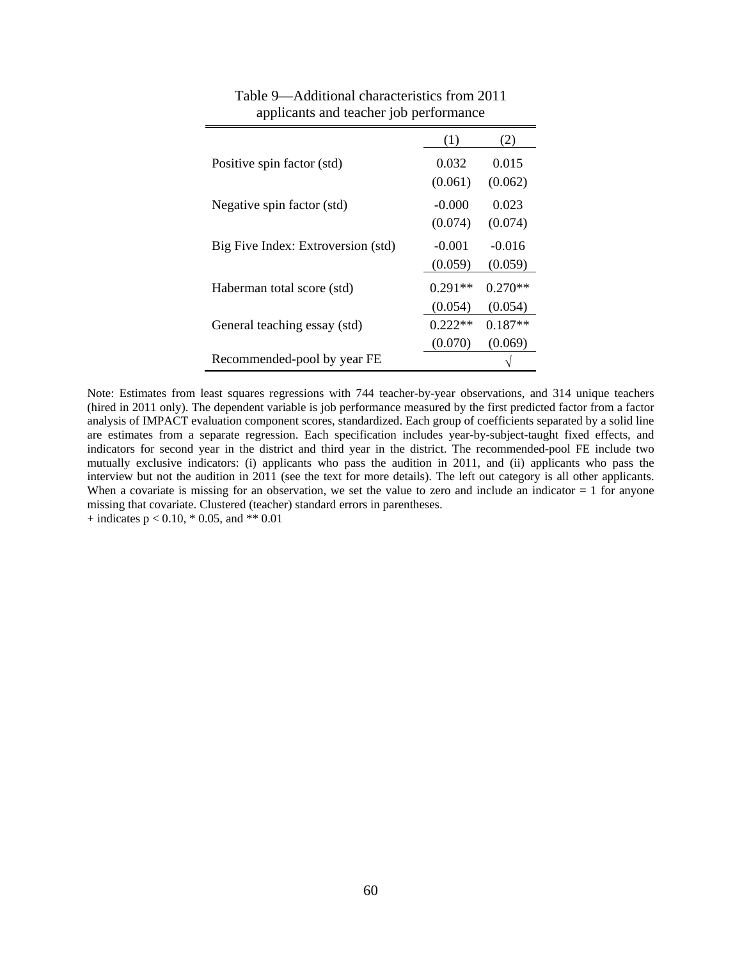|                                    | (1)                  | (2)                  |
|------------------------------------|----------------------|----------------------|
| Positive spin factor (std)         | 0.032<br>(0.061)     | 0.015<br>(0.062)     |
| Negative spin factor (std)         | $-0.000$<br>(0.074)  | 0.023<br>(0.074)     |
| Big Five Index: Extroversion (std) | $-0.001$<br>(0.059)  | $-0.016$<br>(0.059)  |
| Haberman total score (std)         | $0.291**$<br>(0.054) | $0.270**$<br>(0.054) |
| General teaching essay (std)       | $0.222**$<br>(0.070) | $0.187**$<br>(0.069) |
| Recommended-pool by year FE        |                      |                      |

| Table 9—Additional characteristics from 2011 |  |
|----------------------------------------------|--|
| applicants and teacher job performance       |  |

Note: Estimates from least squares regressions with 744 teacher-by-year observations, and 314 unique teachers (hired in 2011 only). The dependent variable is job performance measured by the first predicted factor from a factor analysis of IMPACT evaluation component scores, standardized. Each group of coefficients separated by a solid line are estimates from a separate regression. Each specification includes year-by-subject-taught fixed effects, and indicators for second year in the district and third year in the district. The recommended-pool FE include two mutually exclusive indicators: (i) applicants who pass the audition in 2011, and (ii) applicants who pass the interview but not the audition in 2011 (see the text for more details). The left out category is all other applicants. When a covariate is missing for an observation, we set the value to zero and include an indicator  $= 1$  for anyone missing that covariate. Clustered (teacher) standard errors in parentheses.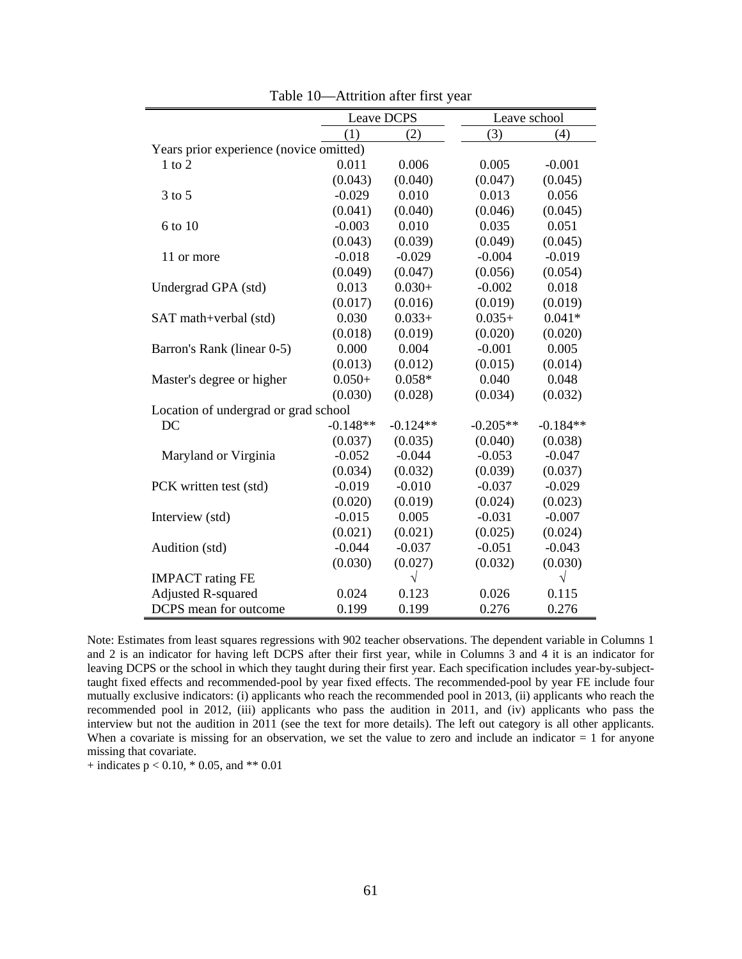|                                         | Leave DCPS |            |            | Leave school |
|-----------------------------------------|------------|------------|------------|--------------|
|                                         | (1)        | (2)        | (3)        | (4)          |
| Years prior experience (novice omitted) |            |            |            |              |
| $1$ to $2$                              | 0.011      | 0.006      | 0.005      | $-0.001$     |
|                                         | (0.043)    | (0.040)    | (0.047)    | (0.045)      |
| $3$ to $5$                              | $-0.029$   | 0.010      | 0.013      | 0.056        |
|                                         | (0.041)    | (0.040)    | (0.046)    | (0.045)      |
| 6 to 10                                 | $-0.003$   | 0.010      | 0.035      | 0.051        |
|                                         | (0.043)    | (0.039)    | (0.049)    | (0.045)      |
| 11 or more                              | $-0.018$   | $-0.029$   | $-0.004$   | $-0.019$     |
|                                         | (0.049)    | (0.047)    | (0.056)    | (0.054)      |
| Undergrad GPA (std)                     | 0.013      | $0.030+$   | $-0.002$   | 0.018        |
|                                         | (0.017)    | (0.016)    | (0.019)    | (0.019)      |
| SAT math+verbal (std)                   | 0.030      | $0.033+$   | $0.035+$   | $0.041*$     |
|                                         | (0.018)    | (0.019)    | (0.020)    | (0.020)      |
| Barron's Rank (linear 0-5)              | 0.000      | 0.004      | $-0.001$   | 0.005        |
|                                         | (0.013)    | (0.012)    | (0.015)    | (0.014)      |
| Master's degree or higher               | $0.050+$   | $0.058*$   | 0.040      | 0.048        |
|                                         | (0.030)    | (0.028)    | (0.034)    | (0.032)      |
| Location of undergrad or grad school    |            |            |            |              |
| DC                                      | $-0.148**$ | $-0.124**$ | $-0.205**$ | $-0.184**$   |
|                                         | (0.037)    | (0.035)    | (0.040)    | (0.038)      |
| Maryland or Virginia                    | $-0.052$   | $-0.044$   | $-0.053$   | $-0.047$     |
|                                         | (0.034)    | (0.032)    | (0.039)    | (0.037)      |
| PCK written test (std)                  | $-0.019$   | $-0.010$   | $-0.037$   | $-0.029$     |
|                                         | (0.020)    | (0.019)    | (0.024)    | (0.023)      |
| Interview (std)                         | $-0.015$   | 0.005      | $-0.031$   | $-0.007$     |
|                                         | (0.021)    | (0.021)    | (0.025)    | (0.024)      |
| Audition (std)                          | $-0.044$   | $-0.037$   | $-0.051$   | $-0.043$     |
|                                         | (0.030)    | (0.027)    | (0.032)    | (0.030)      |
| <b>IMPACT</b> rating FE                 |            | $\sqrt{}$  |            | $\sqrt{}$    |
| <b>Adjusted R-squared</b>               | 0.024      | 0.123      | 0.026      | 0.115        |
| DCPS mean for outcome                   | 0.199      | 0.199      | 0.276      | 0.276        |

Table 10—Attrition after first year

Note: Estimates from least squares regressions with 902 teacher observations. The dependent variable in Columns 1 and 2 is an indicator for having left DCPS after their first year, while in Columns 3 and 4 it is an indicator for leaving DCPS or the school in which they taught during their first year. Each specification includes year-by-subjecttaught fixed effects and recommended-pool by year fixed effects. The recommended-pool by year FE include four mutually exclusive indicators: (i) applicants who reach the recommended pool in 2013, (ii) applicants who reach the recommended pool in 2012, (iii) applicants who pass the audition in 2011, and (iv) applicants who pass the interview but not the audition in 2011 (see the text for more details). The left out category is all other applicants. When a covariate is missing for an observation, we set the value to zero and include an indicator  $= 1$  for anyone missing that covariate.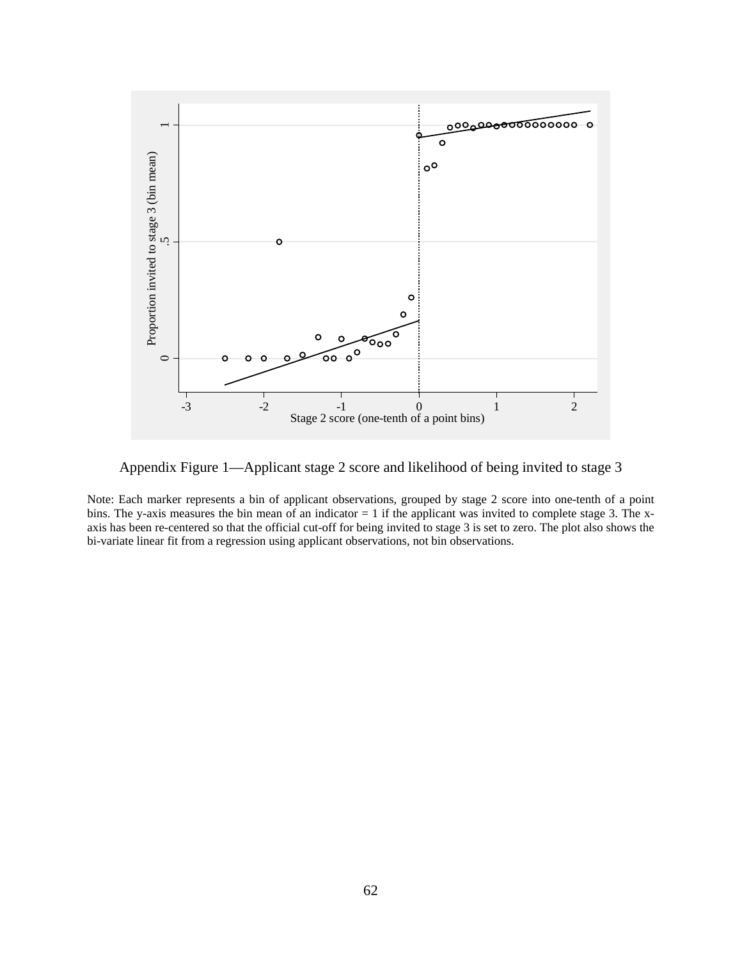

Appendix Figure 1—Applicant stage 2 score and likelihood of being invited to stage 3

Note: Each marker represents a bin of applicant observations, grouped by stage 2 score into one-tenth of a point bins. The y-axis measures the bin mean of an indicator  $= 1$  if the applicant was invited to complete stage 3. The xaxis has been re-centered so that the official cut-off for being invited to stage 3 is set to zero. The plot also shows the bi-variate linear fit from a regression using applicant observations, not bin observations.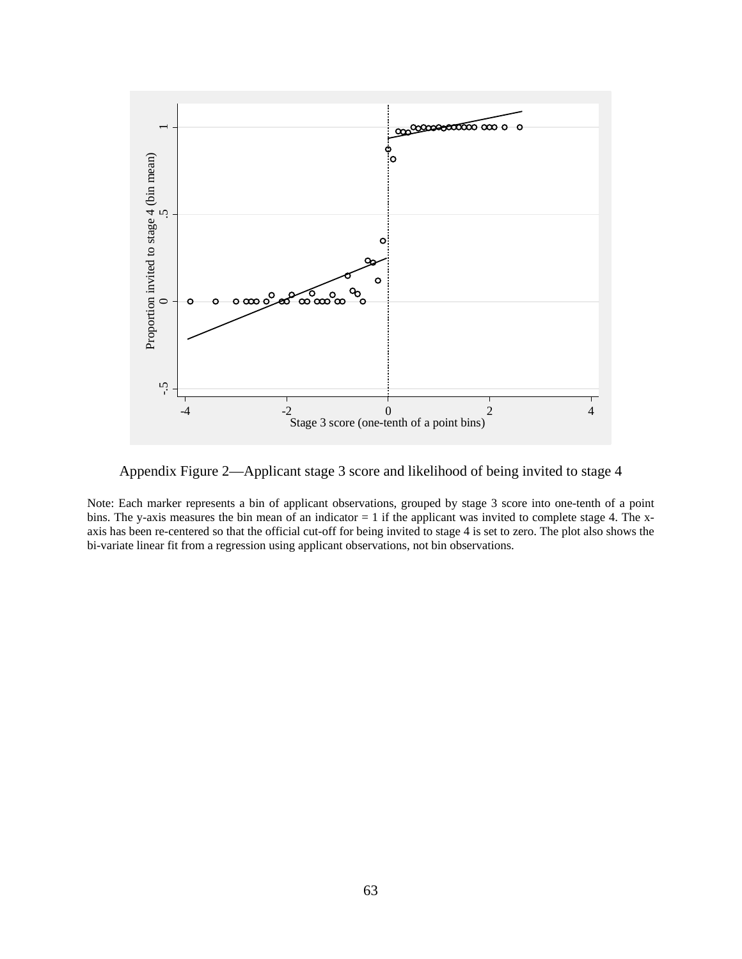

Appendix Figure 2—Applicant stage 3 score and likelihood of being invited to stage 4

Note: Each marker represents a bin of applicant observations, grouped by stage 3 score into one-tenth of a point bins. The y-axis measures the bin mean of an indicator  $= 1$  if the applicant was invited to complete stage 4. The xaxis has been re-centered so that the official cut-off for being invited to stage 4 is set to zero. The plot also shows the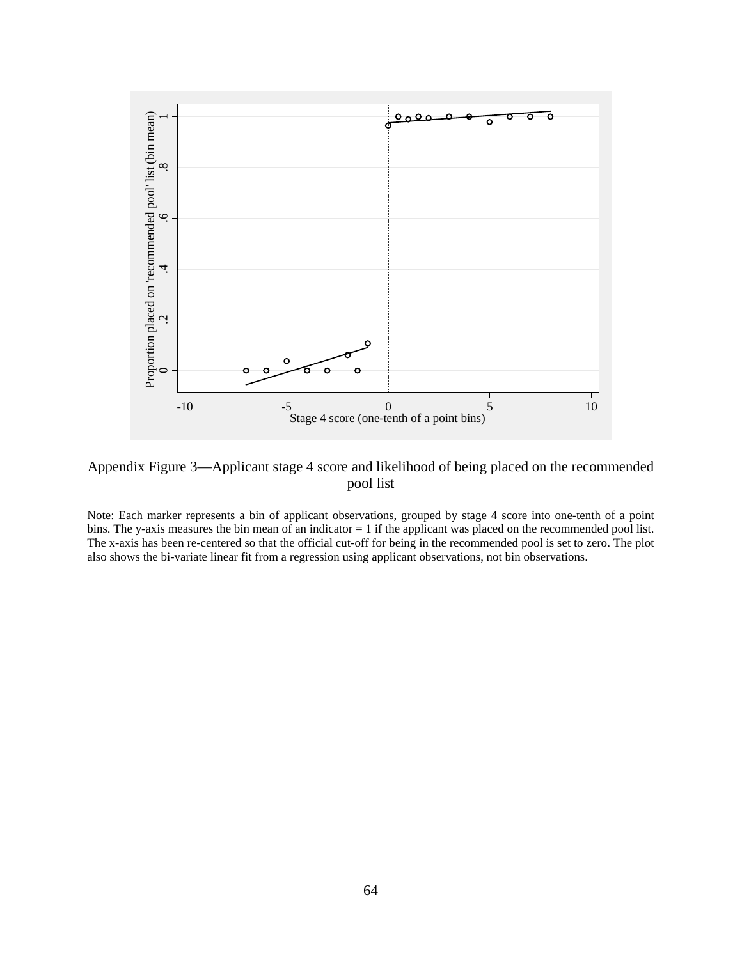

Appendix Figure 3—Applicant stage 4 score and likelihood of being placed on the recommended pool list

Note: Each marker represents a bin of applicant observations, grouped by stage 4 score into one-tenth of a point bins. The y-axis measures the bin mean of an indicator  $= 1$  if the applicant was placed on the recommended pool list. The x-axis has been re-centered so that the official cut-off for being in the recommended pool is set to zero. The plot also shows the bi-variate linear fit from a regression using applicant observations, not bin observations.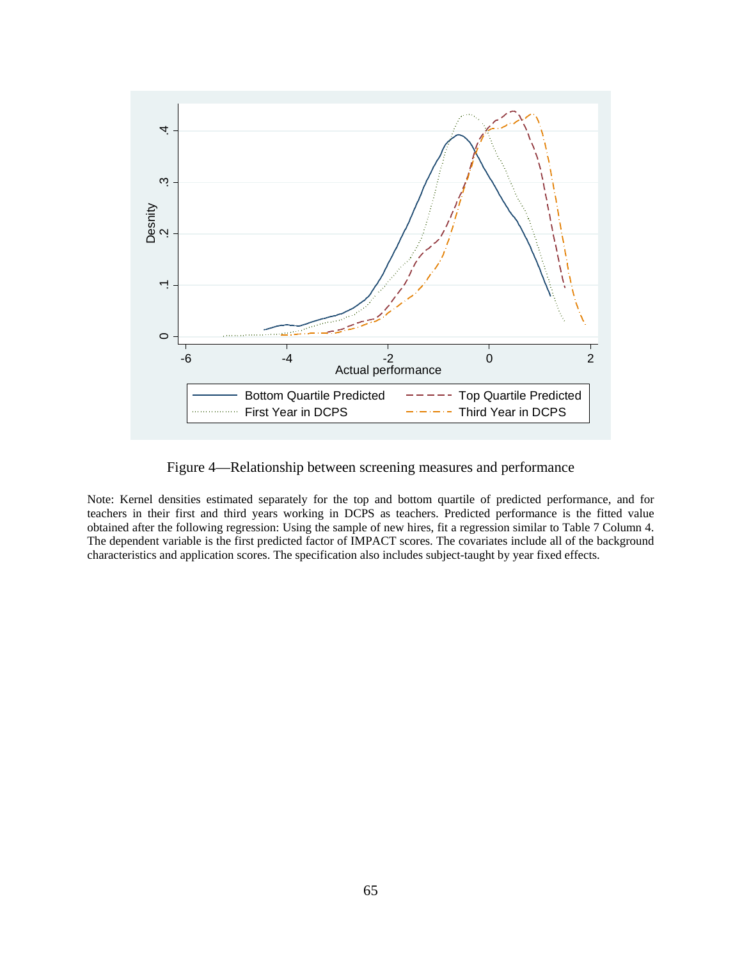

Figure 4—Relationship between screening measures and performance

Note: Kernel densities estimated separately for the top and bottom quartile of predicted performance, and for teachers in their first and third years working in DCPS as teachers. Predicted performance is the fitted value obtained after the following regression: Using the sample of new hires, fit a regression similar to Table 7 Column 4. The dependent variable is the first predicted factor of IMPACT scores. The covariates include all of the background characteristics and application scores. The specification also includes subject-taught by year fixed effects.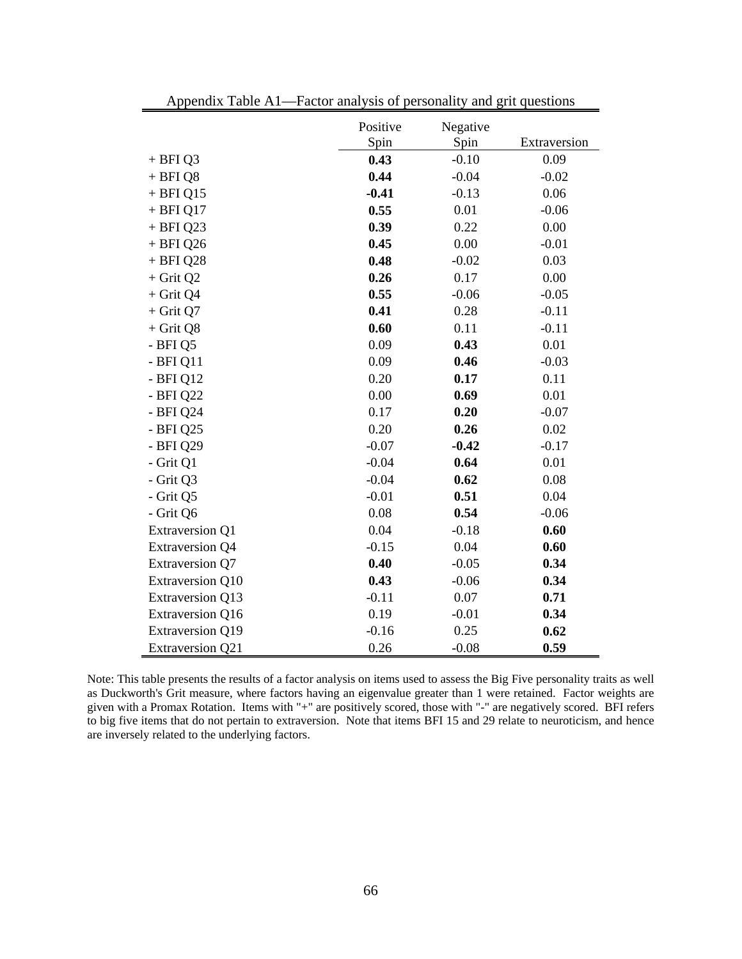|                         | Positive | Negative |              |
|-------------------------|----------|----------|--------------|
|                         | Spin     | Spin     | Extraversion |
| $+$ BFI Q3              | 0.43     | $-0.10$  | 0.09         |
| $+$ BFI Q8              | 0.44     | $-0.04$  | $-0.02$      |
| $+$ BFI Q15             | $-0.41$  | $-0.13$  | 0.06         |
| $+$ BFI Q17             | 0.55     | 0.01     | $-0.06$      |
| $+$ BFI Q23             | 0.39     | 0.22     | 0.00         |
| $+$ BFI Q26             | 0.45     | 0.00     | $-0.01$      |
| + BFI Q28               | 0.48     | $-0.02$  | 0.03         |
| $+$ Grit Q2             | 0.26     | 0.17     | 0.00         |
| $+$ Grit Q4             | 0.55     | $-0.06$  | $-0.05$      |
| $+$ Grit Q7             | 0.41     | 0.28     | $-0.11$      |
| $+$ Grit Q8             | 0.60     | 0.11     | $-0.11$      |
| - BFI Q5                | 0.09     | 0.43     | 0.01         |
| $-BFIQ11$               | 0.09     | 0.46     | $-0.03$      |
| - BFI Q12               | 0.20     | 0.17     | 0.11         |
| - BFI Q22               | 0.00     | 0.69     | 0.01         |
| - BFI Q24               | 0.17     | 0.20     | $-0.07$      |
| - BFI Q25               | 0.20     | 0.26     | 0.02         |
| - BFI Q29               | $-0.07$  | $-0.42$  | $-0.17$      |
| - Grit Q1               | $-0.04$  | 0.64     | 0.01         |
| - Grit Q3               | $-0.04$  | 0.62     | 0.08         |
| - Grit Q5               | $-0.01$  | 0.51     | 0.04         |
| - Grit Q6               | 0.08     | 0.54     | $-0.06$      |
| <b>Extraversion Q1</b>  | 0.04     | $-0.18$  | 0.60         |
| <b>Extraversion Q4</b>  | $-0.15$  | 0.04     | 0.60         |
| <b>Extraversion Q7</b>  | 0.40     | $-0.05$  | 0.34         |
| <b>Extraversion Q10</b> | 0.43     | $-0.06$  | 0.34         |
| <b>Extraversion Q13</b> | $-0.11$  | 0.07     | 0.71         |
| <b>Extraversion Q16</b> | 0.19     | $-0.01$  | 0.34         |
| <b>Extraversion Q19</b> | $-0.16$  | 0.25     | 0.62         |
| <b>Extraversion Q21</b> | 0.26     | $-0.08$  | 0.59         |

Appendix Table A1—Factor analysis of personality and grit questions

Note: This table presents the results of a factor analysis on items used to assess the Big Five personality traits as well as Duckworth's Grit measure, where factors having an eigenvalue greater than 1 were retained. Factor weights are given with a Promax Rotation. Items with "+" are positively scored, those with "-" are negatively scored. BFI refers to big five items that do not pertain to extraversion. Note that items BFI 15 and 29 relate to neuroticism, and hence are inversely related to the underlying factors.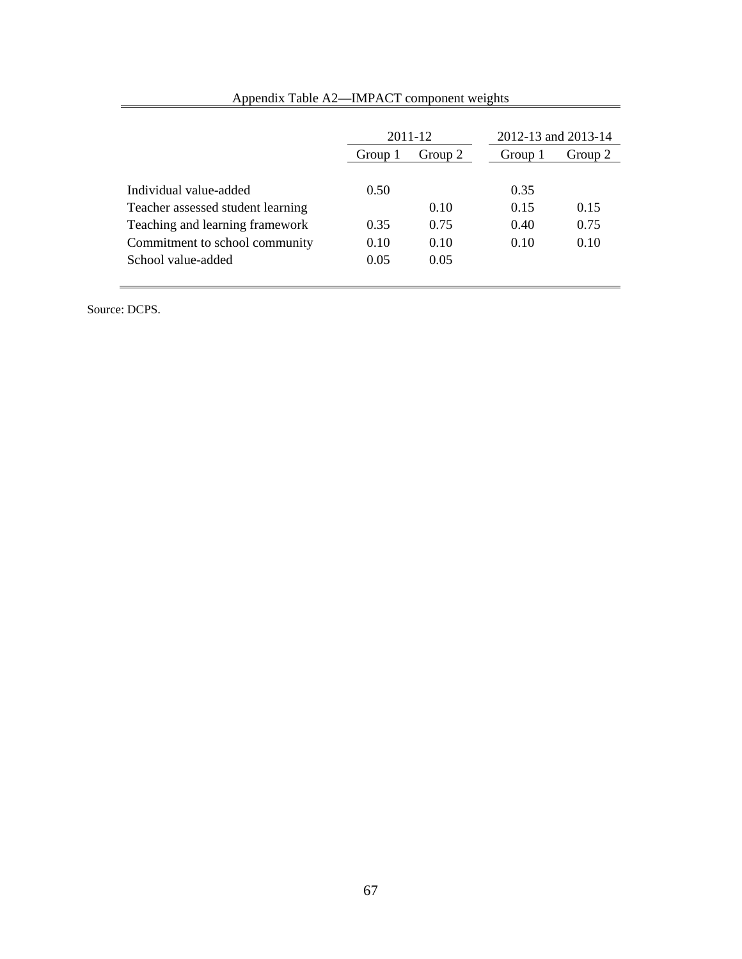|                                   | 2011-12            |      | 2012-13 and 2013-14 |         |
|-----------------------------------|--------------------|------|---------------------|---------|
|                                   | Group 2<br>Group 1 |      | Group 1             | Group 2 |
|                                   |                    |      |                     |         |
| Individual value-added            | 0.50               |      | 0.35                |         |
| Teacher assessed student learning |                    | 0.10 | 0.15                | 0.15    |
| Teaching and learning framework   | 0.35               | 0.75 | 0.40                | 0.75    |
| Commitment to school community    | 0.10               | 0.10 | 0.10                | 0.10    |
| School value-added                | 0.05               | 0.05 |                     |         |
|                                   |                    |      |                     |         |

## Appendix Table A2—IMPACT component weights

Source: DCPS.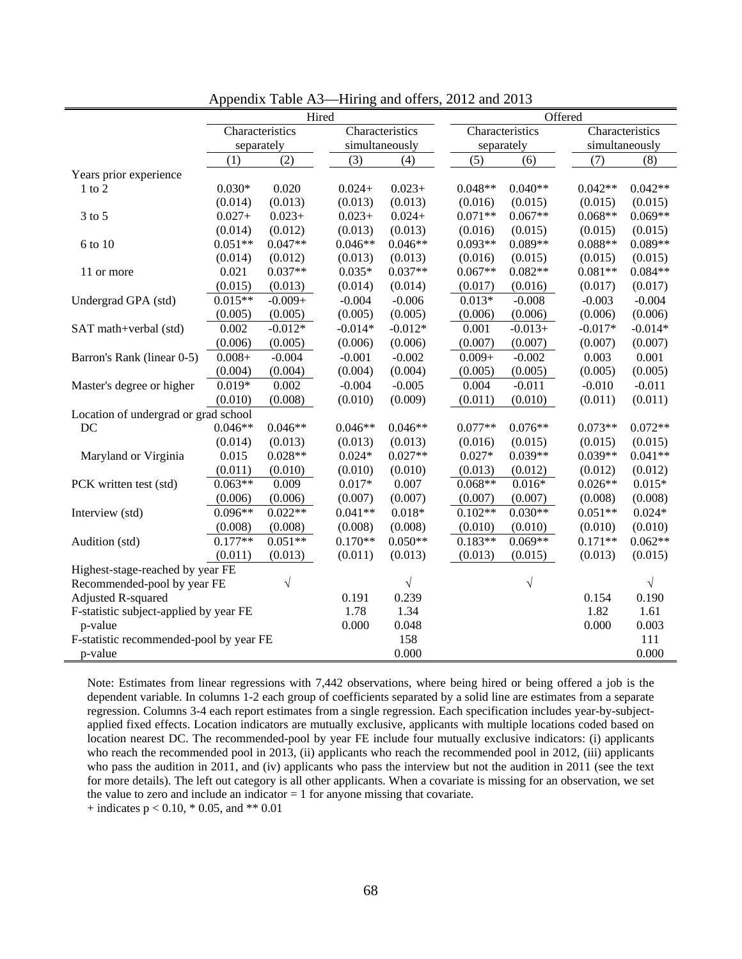|                                         | Hired      |                 |                 | Offered   |            |                 |           |                |                 |  |
|-----------------------------------------|------------|-----------------|-----------------|-----------|------------|-----------------|-----------|----------------|-----------------|--|
|                                         |            | Characteristics | Characteristics |           |            | Characteristics |           |                | Characteristics |  |
|                                         | separately |                 | simultaneously  |           | separately |                 |           | simultaneously |                 |  |
|                                         | (1)        | (2)             | (3)             | (4)       |            | (5)             | (6)       | (7)            | (8)             |  |
| Years prior experience                  |            |                 |                 |           |            |                 |           |                |                 |  |
| $1$ to $2$                              | $0.030*$   | 0.020           | $0.024+$        | $0.023+$  |            | $0.048**$       | $0.040**$ | $0.042**$      | $0.042**$       |  |
|                                         | (0.014)    | (0.013)         | (0.013)         | (0.013)   |            | (0.016)         | (0.015)   | (0.015)        | (0.015)         |  |
| $3$ to $5$                              | $0.027 +$  | $0.023+$        | $0.023+$        | $0.024 +$ |            | $0.071**$       | $0.067**$ | $0.068**$      | $0.069**$       |  |
|                                         | (0.014)    | (0.012)         | (0.013)         | (0.013)   |            | (0.016)         | (0.015)   | (0.015)        | (0.015)         |  |
| 6 to 10                                 | $0.051**$  | $0.047**$       | $0.046**$       | $0.046**$ |            | $0.093**$       | $0.089**$ | $0.088**$      | $0.089**$       |  |
|                                         | (0.014)    | (0.012)         | (0.013)         | (0.013)   |            | (0.016)         | (0.015)   | (0.015)        | (0.015)         |  |
| 11 or more                              | 0.021      | $0.037**$       | $0.035*$        | $0.037**$ |            | $0.067**$       | $0.082**$ | $0.081**$      | $0.084**$       |  |
|                                         | (0.015)    | (0.013)         | (0.014)         | (0.014)   |            | (0.017)         | (0.016)   | (0.017)        | (0.017)         |  |
| Undergrad GPA (std)                     | $0.015**$  | $-0.009+$       | $-0.004$        | $-0.006$  |            | $0.013*$        | $-0.008$  | $-0.003$       | $-0.004$        |  |
|                                         | (0.005)    | (0.005)         | (0.005)         | (0.005)   |            | (0.006)         | (0.006)   | (0.006)        | (0.006)         |  |
| SAT math+verbal (std)                   | 0.002      | $-0.012*$       | $-0.014*$       | $-0.012*$ |            | 0.001           | $-0.013+$ | $-0.017*$      | $-0.014*$       |  |
|                                         | (0.006)    | (0.005)         | (0.006)         | (0.006)   |            | (0.007)         | (0.007)   | (0.007)        | (0.007)         |  |
| Barron's Rank (linear 0-5)              | $0.008 +$  | $-0.004$        | $-0.001$        | $-0.002$  |            | $0.009 +$       | $-0.002$  | 0.003          | 0.001           |  |
|                                         | (0.004)    | (0.004)         | (0.004)         | (0.004)   |            | (0.005)         | (0.005)   | (0.005)        | (0.005)         |  |
| Master's degree or higher               | $0.019*$   | 0.002           | $-0.004$        | $-0.005$  |            | 0.004           | $-0.011$  | $-0.010$       | $-0.011$        |  |
|                                         | (0.010)    | (0.008)         | (0.010)         | (0.009)   |            | (0.011)         | (0.010)   | (0.011)        | (0.011)         |  |
| Location of undergrad or grad school    |            |                 |                 |           |            |                 |           |                |                 |  |
| DC                                      | $0.046**$  | $0.046**$       | $0.046**$       | $0.046**$ |            | $0.077**$       | $0.076**$ | $0.073**$      | $0.072**$       |  |
|                                         | (0.014)    | (0.013)         | (0.013)         | (0.013)   |            | (0.016)         | (0.015)   | (0.015)        | (0.015)         |  |
| Maryland or Virginia                    | 0.015      | $0.028**$       | $0.024*$        | $0.027**$ |            | $0.027*$        | $0.039**$ | $0.039**$      | $0.041**$       |  |
|                                         | (0.011)    | (0.010)         | (0.010)         | (0.010)   |            | (0.013)         | (0.012)   | (0.012)        | (0.012)         |  |
| PCK written test (std)                  | $0.063**$  | 0.009           | $0.017*$        | 0.007     |            | $0.068**$       | $0.016*$  | $0.026**$      | $0.015*$        |  |
|                                         | (0.006)    | (0.006)         | (0.007)         | (0.007)   |            | (0.007)         | (0.007)   | (0.008)        | (0.008)         |  |
| Interview (std)                         | $0.096**$  | $0.022**$       | $0.041**$       | $0.018*$  |            | $0.102**$       | $0.030**$ | $0.051**$      | $0.024*$        |  |
|                                         | (0.008)    | (0.008)         | (0.008)         | (0.008)   |            | (0.010)         | (0.010)   | (0.010)        | (0.010)         |  |
| Audition (std)                          | $0.177**$  | $0.051**$       | $0.170**$       | $0.050**$ |            | $0.183**$       | $0.069**$ | $0.171**$      | $0.062**$       |  |
|                                         | (0.011)    | (0.013)         | (0.011)         | (0.013)   |            | (0.013)         | (0.015)   | (0.013)        | (0.015)         |  |
| Highest-stage-reached by year FE        |            |                 |                 |           |            |                 |           |                |                 |  |
| Recommended-pool by year FE             |            | $\sqrt{}$       |                 | $\sqrt{}$ |            |                 | V         |                | $\sqrt{}$       |  |
| Adjusted R-squared                      |            |                 | 0.191           | 0.239     |            |                 |           | 0.154          | 0.190           |  |
| F-statistic subject-applied by year FE  |            |                 | 1.78            | 1.34      |            |                 |           | 1.82           | 1.61            |  |
| p-value                                 |            |                 | 0.000           | 0.048     |            |                 |           | 0.000          | 0.003           |  |
| F-statistic recommended-pool by year FE |            |                 |                 | 158       |            |                 |           |                | 111             |  |
| p-value                                 |            |                 |                 | 0.000     |            |                 |           |                | 0.000           |  |

Appendix Table A3—Hiring and offers, 2012 and 2013

Note: Estimates from linear regressions with 7,442 observations, where being hired or being offered a job is the dependent variable. In columns 1-2 each group of coefficients separated by a solid line are estimates from a separate regression. Columns 3-4 each report estimates from a single regression. Each specification includes year-by-subjectapplied fixed effects. Location indicators are mutually exclusive, applicants with multiple locations coded based on location nearest DC. The recommended-pool by year FE include four mutually exclusive indicators: (i) applicants who reach the recommended pool in 2013, (ii) applicants who reach the recommended pool in 2012, (iii) applicants who pass the audition in 2011, and (iv) applicants who pass the interview but not the audition in 2011 (see the text for more details). The left out category is all other applicants. When a covariate is missing for an observation, we set the value to zero and include an indicator  $= 1$  for anyone missing that covariate.

+ indicates  $p < 0.10$ , \* 0.05, and \*\* 0.01

÷.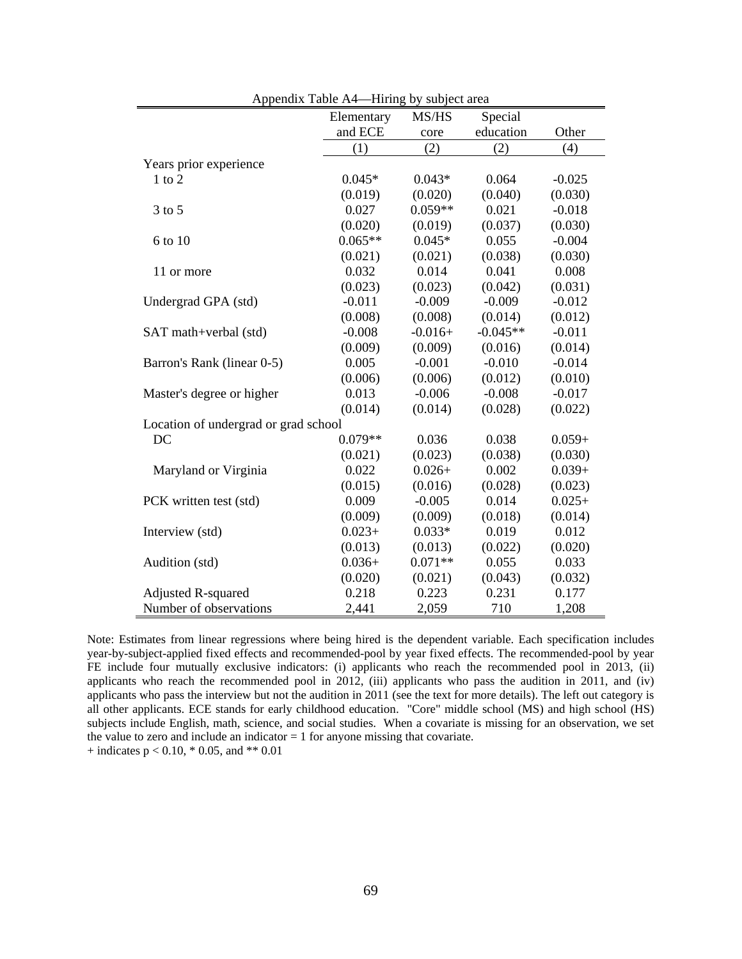|                                      | Elementary | MS/HS     | Special    |          |
|--------------------------------------|------------|-----------|------------|----------|
|                                      | and ECE    | core      | education  | Other    |
|                                      | (1)        | (2)       | (2)        | (4)      |
| Years prior experience               |            |           |            |          |
| $1$ to $2$                           | $0.045*$   | $0.043*$  | 0.064      | $-0.025$ |
|                                      | (0.019)    | (0.020)   | (0.040)    | (0.030)  |
| $3$ to $5$                           | 0.027      | $0.059**$ | 0.021      | $-0.018$ |
|                                      | (0.020)    | (0.019)   | (0.037)    | (0.030)  |
| 6 to 10                              | $0.065**$  | $0.045*$  | 0.055      | $-0.004$ |
|                                      | (0.021)    | (0.021)   | (0.038)    | (0.030)  |
| 11 or more                           | 0.032      | 0.014     | 0.041      | 0.008    |
|                                      | (0.023)    | (0.023)   | (0.042)    | (0.031)  |
| Undergrad GPA (std)                  | $-0.011$   | $-0.009$  | $-0.009$   | $-0.012$ |
|                                      | (0.008)    | (0.008)   | (0.014)    | (0.012)  |
| SAT math+verbal (std)                | $-0.008$   | $-0.016+$ | $-0.045**$ | $-0.011$ |
|                                      | (0.009)    | (0.009)   | (0.016)    | (0.014)  |
| Barron's Rank (linear 0-5)           | 0.005      | $-0.001$  | $-0.010$   | $-0.014$ |
|                                      | (0.006)    | (0.006)   | (0.012)    | (0.010)  |
| Master's degree or higher            | 0.013      | $-0.006$  | $-0.008$   | $-0.017$ |
|                                      | (0.014)    | (0.014)   | (0.028)    | (0.022)  |
| Location of undergrad or grad school |            |           |            |          |
| DC                                   | $0.079**$  | 0.036     | 0.038      | $0.059+$ |
|                                      | (0.021)    | (0.023)   | (0.038)    | (0.030)  |
| Maryland or Virginia                 | 0.022      | $0.026+$  | 0.002      | $0.039+$ |
|                                      | (0.015)    | (0.016)   | (0.028)    | (0.023)  |
| PCK written test (std)               | 0.009      | $-0.005$  | 0.014      | $0.025+$ |
|                                      | (0.009)    | (0.009)   | (0.018)    | (0.014)  |
| Interview (std)                      | $0.023+$   | $0.033*$  | 0.019      | 0.012    |
|                                      | (0.013)    | (0.013)   | (0.022)    | (0.020)  |
| Audition (std)                       | $0.036+$   | $0.071**$ | 0.055      | 0.033    |
|                                      | (0.020)    | (0.021)   | (0.043)    | (0.032)  |
| <b>Adjusted R-squared</b>            | 0.218      | 0.223     | 0.231      | 0.177    |
| Number of observations               | 2,441      | 2,059     | 710        | 1,208    |

Appendix Table A4—Hiring by subject area

Note: Estimates from linear regressions where being hired is the dependent variable. Each specification includes year-by-subject-applied fixed effects and recommended-pool by year fixed effects. The recommended-pool by year FE include four mutually exclusive indicators: (i) applicants who reach the recommended pool in 2013, (ii) applicants who reach the recommended pool in 2012, (iii) applicants who pass the audition in 2011, and (iv) applicants who pass the interview but not the audition in 2011 (see the text for more details). The left out category is all other applicants. ECE stands for early childhood education. "Core" middle school (MS) and high school (HS) subjects include English, math, science, and social studies. When a covariate is missing for an observation, we set the value to zero and include an indicator  $= 1$  for anyone missing that covariate.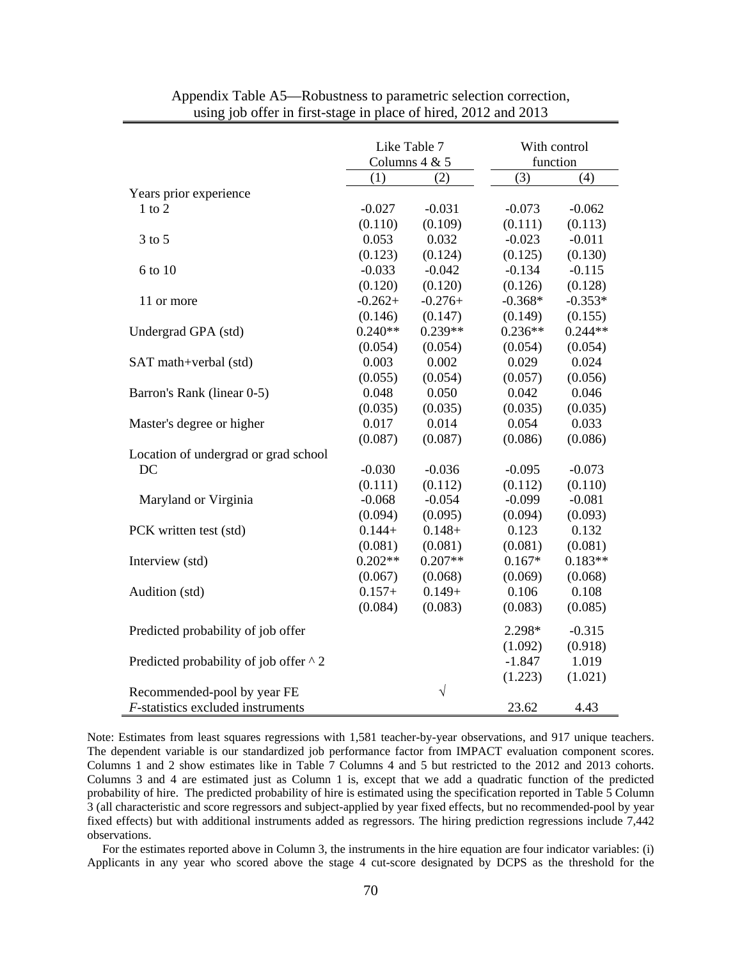|                                           | Like Table 7  |           | With control |           |
|-------------------------------------------|---------------|-----------|--------------|-----------|
|                                           | Columns 4 & 5 |           | function     |           |
|                                           | (1)           | (2)       | (3)          | (4)       |
| Years prior experience                    |               |           |              |           |
| $1$ to $2$                                | $-0.027$      | $-0.031$  | $-0.073$     | $-0.062$  |
|                                           | (0.110)       | (0.109)   | (0.111)      | (0.113)   |
| $3$ to $5$                                | 0.053         | 0.032     | $-0.023$     | $-0.011$  |
|                                           | (0.123)       | (0.124)   | (0.125)      | (0.130)   |
| 6 to 10                                   | $-0.033$      | $-0.042$  | $-0.134$     | $-0.115$  |
|                                           | (0.120)       | (0.120)   | (0.126)      | (0.128)   |
| 11 or more                                | $-0.262+$     | $-0.276+$ | $-0.368*$    | $-0.353*$ |
|                                           | (0.146)       | (0.147)   | (0.149)      | (0.155)   |
| Undergrad GPA (std)                       | $0.240**$     | $0.239**$ | $0.236**$    | $0.244**$ |
|                                           | (0.054)       | (0.054)   | (0.054)      | (0.054)   |
| SAT math+verbal (std)                     | 0.003         | 0.002     | 0.029        | 0.024     |
|                                           | (0.055)       | (0.054)   | (0.057)      | (0.056)   |
| Barron's Rank (linear 0-5)                | 0.048         | 0.050     | 0.042        | 0.046     |
|                                           | (0.035)       | (0.035)   | (0.035)      | (0.035)   |
| Master's degree or higher                 | 0.017         | 0.014     | 0.054        | 0.033     |
|                                           | (0.087)       | (0.087)   | (0.086)      | (0.086)   |
| Location of undergrad or grad school      |               |           |              |           |
| DC                                        | $-0.030$      | $-0.036$  | $-0.095$     | $-0.073$  |
|                                           | (0.111)       | (0.112)   | (0.112)      | (0.110)   |
| Maryland or Virginia                      | $-0.068$      | $-0.054$  | $-0.099$     | $-0.081$  |
|                                           | (0.094)       | (0.095)   | (0.094)      | (0.093)   |
| PCK written test (std)                    | $0.144+$      | $0.148 +$ | 0.123        | 0.132     |
|                                           | (0.081)       | (0.081)   | (0.081)      | (0.081)   |
| Interview (std)                           | $0.202**$     | $0.207**$ | $0.167*$     | $0.183**$ |
|                                           | (0.067)       | (0.068)   | (0.069)      | (0.068)   |
| Audition (std)                            | $0.157+$      | $0.149+$  | 0.106        | 0.108     |
|                                           | (0.084)       | (0.083)   | (0.083)      | (0.085)   |
| Predicted probability of job offer        |               |           | 2.298*       | $-0.315$  |
|                                           |               |           | (1.092)      | (0.918)   |
| Predicted probability of job offer ^ 2    |               |           | $-1.847$     | 1.019     |
|                                           |               |           | (1.223)      | (1.021)   |
| Recommended-pool by year FE               |               | $\sqrt{}$ |              |           |
| <i>F</i> -statistics excluded instruments |               |           | 23.62        | 4.43      |

Appendix Table A5—Robustness to parametric selection correction, using job offer in first-stage in place of hired, 2012 and 2013

Note: Estimates from least squares regressions with 1,581 teacher-by-year observations, and 917 unique teachers. The dependent variable is our standardized job performance factor from IMPACT evaluation component scores. Columns 1 and 2 show estimates like in Table 7 Columns 4 and 5 but restricted to the 2012 and 2013 cohorts. Columns 3 and 4 are estimated just as Column 1 is, except that we add a quadratic function of the predicted probability of hire. The predicted probability of hire is estimated using the specification reported in Table 5 Column 3 (all characteristic and score regressors and subject-applied by year fixed effects, but no recommended-pool by year fixed effects) but with additional instruments added as regressors. The hiring prediction regressions include 7,442 observations.

 For the estimates reported above in Column 3, the instruments in the hire equation are four indicator variables: (i) Applicants in any year who scored above the stage 4 cut-score designated by DCPS as the threshold for the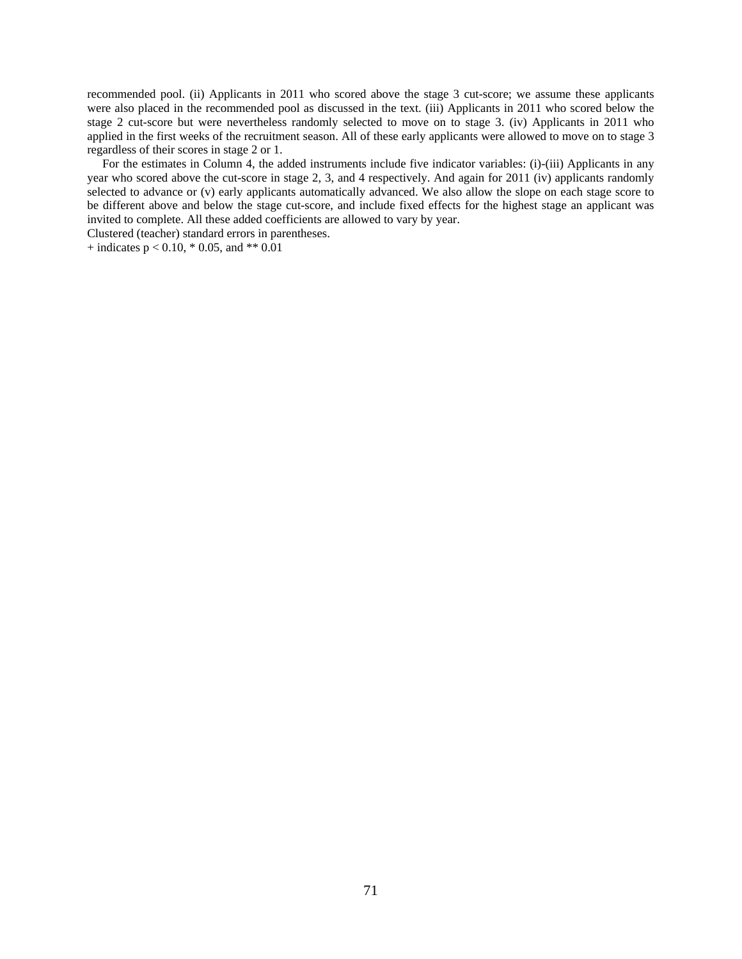recommended pool. (ii) Applicants in 2011 who scored above the stage 3 cut-score; we assume these applicants were also placed in the recommended pool as discussed in the text. (iii) Applicants in 2011 who scored below the stage 2 cut-score but were nevertheless randomly selected to move on to stage 3. (iv) Applicants in 2011 who applied in the first weeks of the recruitment season. All of these early applicants were allowed to move on to stage 3 regardless of their scores in stage 2 or 1.

 For the estimates in Column 4, the added instruments include five indicator variables: (i)-(iii) Applicants in any year who scored above the cut-score in stage 2, 3, and 4 respectively. And again for 2011 (iv) applicants randomly selected to advance or (v) early applicants automatically advanced. We also allow the slope on each stage score to be different above and below the stage cut-score, and include fixed effects for the highest stage an applicant was invited to complete. All these added coefficients are allowed to vary by year.

Clustered (teacher) standard errors in parentheses.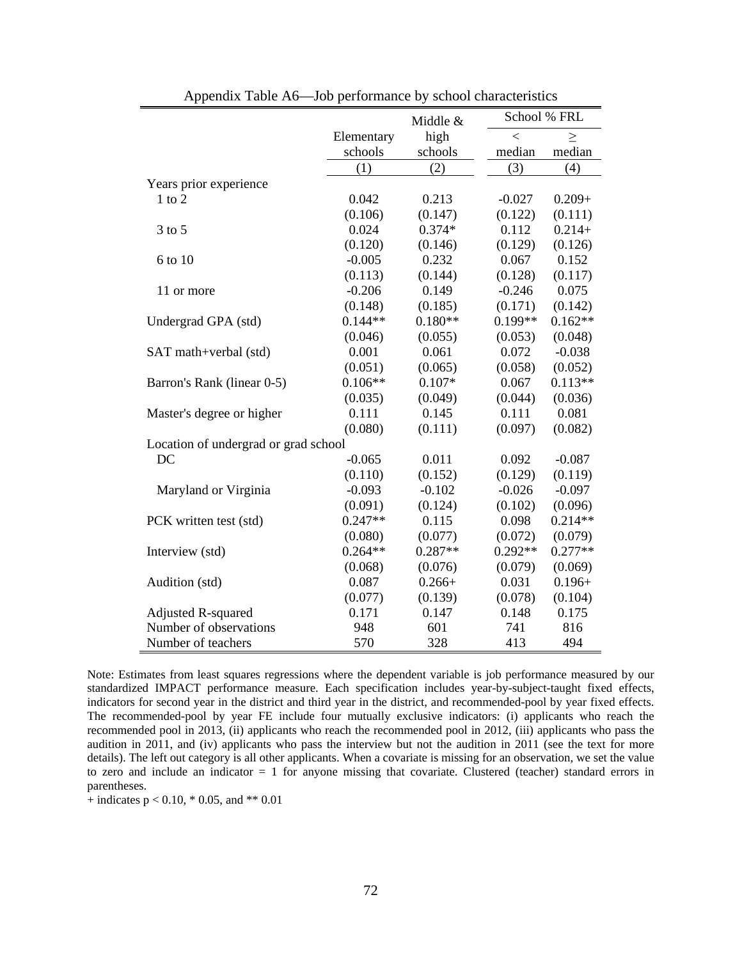|                                      | School % FRL<br>Middle & |           |           |           |
|--------------------------------------|--------------------------|-----------|-----------|-----------|
|                                      | high<br>Elementary       |           | $\,<$     | $\geq$    |
|                                      | schools                  | schools   | median    | median    |
|                                      | (1)                      | (2)       | (3)       | (4)       |
| Years prior experience               |                          |           |           |           |
| $1$ to $2$                           | 0.042                    | 0.213     | $-0.027$  | $0.209 +$ |
|                                      | (0.106)                  | (0.147)   | (0.122)   | (0.111)   |
| $3$ to $5$                           | 0.024                    | $0.374*$  | 0.112     | $0.214+$  |
|                                      | (0.120)                  | (0.146)   | (0.129)   | (0.126)   |
| 6 to 10                              | $-0.005$                 | 0.232     | 0.067     | 0.152     |
|                                      | (0.113)                  | (0.144)   | (0.128)   | (0.117)   |
| 11 or more                           | $-0.206$                 | 0.149     | $-0.246$  | 0.075     |
|                                      | (0.148)                  | (0.185)   | (0.171)   | (0.142)   |
| Undergrad GPA (std)                  | $0.144**$                | $0.180**$ | $0.199**$ | $0.162**$ |
|                                      | (0.046)                  | (0.055)   | (0.053)   | (0.048)   |
| SAT math+verbal (std)                | 0.001                    | 0.061     | 0.072     | $-0.038$  |
|                                      | (0.051)                  | (0.065)   | (0.058)   | (0.052)   |
| Barron's Rank (linear 0-5)           | $0.106**$                | $0.107*$  | 0.067     | $0.113**$ |
|                                      | (0.035)                  | (0.049)   | (0.044)   | (0.036)   |
| Master's degree or higher            | 0.111                    | 0.145     | 0.111     | 0.081     |
|                                      | (0.080)                  | (0.111)   | (0.097)   | (0.082)   |
| Location of undergrad or grad school |                          |           |           |           |
| DC                                   | $-0.065$                 | 0.011     | 0.092     | $-0.087$  |
|                                      | (0.110)                  | (0.152)   | (0.129)   | (0.119)   |
| Maryland or Virginia                 | $-0.093$                 | $-0.102$  | $-0.026$  | $-0.097$  |
|                                      | (0.091)                  | (0.124)   | (0.102)   | (0.096)   |
| PCK written test (std)               | $0.247**$                | 0.115     | 0.098     | $0.214**$ |
|                                      | (0.080)                  | (0.077)   | (0.072)   | (0.079)   |
| Interview (std)                      | $0.264**$                | $0.287**$ | $0.292**$ | $0.277**$ |
|                                      | (0.068)                  | (0.076)   | (0.079)   | (0.069)   |
| Audition (std)                       | 0.087                    | $0.266+$  | 0.031     | $0.196+$  |
|                                      | (0.077)                  | (0.139)   | (0.078)   | (0.104)   |
| <b>Adjusted R-squared</b>            | 0.171                    | 0.147     | 0.148     | 0.175     |
| Number of observations               | 948                      | 601       | 741       | 816       |
| Number of teachers                   | 570                      | 328       | 413       | 494       |

Appendix Table A6—Job performance by school characteristics

Note: Estimates from least squares regressions where the dependent variable is job performance measured by our standardized IMPACT performance measure. Each specification includes year-by-subject-taught fixed effects, indicators for second year in the district and third year in the district, and recommended-pool by year fixed effects. The recommended-pool by year FE include four mutually exclusive indicators: (i) applicants who reach the recommended pool in 2013, (ii) applicants who reach the recommended pool in 2012, (iii) applicants who pass the audition in 2011, and (iv) applicants who pass the interview but not the audition in 2011 (see the text for more details). The left out category is all other applicants. When a covariate is missing for an observation, we set the value to zero and include an indicator = 1 for anyone missing that covariate. Clustered (teacher) standard errors in parentheses.

 $+$  indicates p < 0.10, \* 0.05, and \*\* 0.01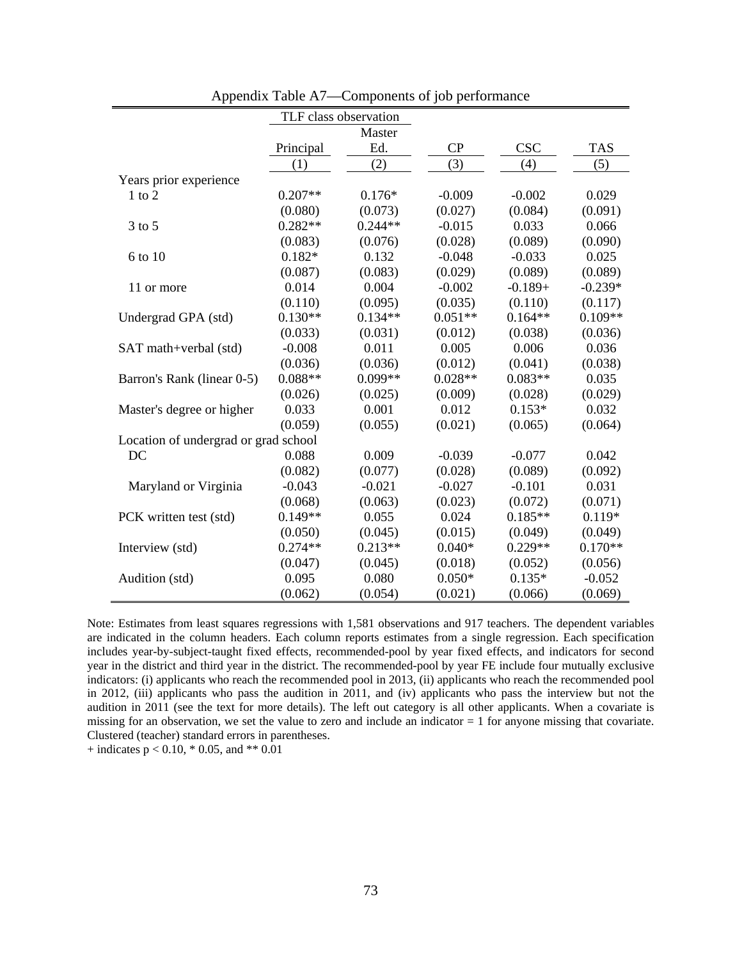|                                      | TLF class observation |           |           |            |            |  |  |  |
|--------------------------------------|-----------------------|-----------|-----------|------------|------------|--|--|--|
|                                      | Master                |           |           |            |            |  |  |  |
|                                      | Principal             | Ed.       | CP        | <b>CSC</b> | <b>TAS</b> |  |  |  |
|                                      | (1)                   | (2)       | (3)       | (4)        | (5)        |  |  |  |
| Years prior experience               |                       |           |           |            |            |  |  |  |
| $1$ to $2$                           | $0.207**$             | $0.176*$  | $-0.009$  | $-0.002$   | 0.029      |  |  |  |
|                                      | (0.080)               | (0.073)   | (0.027)   | (0.084)    | (0.091)    |  |  |  |
| $3$ to $5$                           | $0.282**$             | $0.244**$ | $-0.015$  | 0.033      | 0.066      |  |  |  |
|                                      | (0.083)               | (0.076)   | (0.028)   | (0.089)    | (0.090)    |  |  |  |
| 6 to 10                              | $0.182*$              | 0.132     | $-0.048$  | $-0.033$   | 0.025      |  |  |  |
|                                      | (0.087)               | (0.083)   | (0.029)   | (0.089)    | (0.089)    |  |  |  |
| 11 or more                           | 0.014                 | 0.004     | $-0.002$  | $-0.189+$  | $-0.239*$  |  |  |  |
|                                      | (0.110)               | (0.095)   | (0.035)   | (0.110)    | (0.117)    |  |  |  |
| Undergrad GPA (std)                  | $0.130**$             | $0.134**$ | $0.051**$ | $0.164**$  | $0.109**$  |  |  |  |
|                                      | (0.033)               | (0.031)   | (0.012)   | (0.038)    | (0.036)    |  |  |  |
| SAT math+verbal (std)                | $-0.008$              | 0.011     | 0.005     | 0.006      | 0.036      |  |  |  |
|                                      | (0.036)               | (0.036)   | (0.012)   | (0.041)    | (0.038)    |  |  |  |
| Barron's Rank (linear 0-5)           | $0.088**$             | $0.099**$ | $0.028**$ | $0.083**$  | 0.035      |  |  |  |
|                                      | (0.026)               | (0.025)   | (0.009)   | (0.028)    | (0.029)    |  |  |  |
| Master's degree or higher            | 0.033                 | 0.001     | 0.012     | $0.153*$   | 0.032      |  |  |  |
|                                      | (0.059)               | (0.055)   | (0.021)   | (0.065)    | (0.064)    |  |  |  |
| Location of undergrad or grad school |                       |           |           |            |            |  |  |  |
| DC                                   | 0.088                 | 0.009     | $-0.039$  | $-0.077$   | 0.042      |  |  |  |
|                                      | (0.082)               | (0.077)   | (0.028)   | (0.089)    | (0.092)    |  |  |  |
| Maryland or Virginia                 | $-0.043$              | $-0.021$  | $-0.027$  | $-0.101$   | 0.031      |  |  |  |
|                                      | (0.068)               | (0.063)   | (0.023)   | (0.072)    | (0.071)    |  |  |  |
| PCK written test (std)               | $0.149**$             | 0.055     | 0.024     | $0.185**$  | $0.119*$   |  |  |  |
|                                      | (0.050)               | (0.045)   | (0.015)   | (0.049)    | (0.049)    |  |  |  |
| Interview (std)                      | $0.274**$             | $0.213**$ | $0.040*$  | $0.229**$  | $0.170**$  |  |  |  |
|                                      | (0.047)               | (0.045)   | (0.018)   | (0.052)    | (0.056)    |  |  |  |
| Audition (std)                       | 0.095                 | 0.080     | $0.050*$  | $0.135*$   | $-0.052$   |  |  |  |
|                                      | (0.062)               | (0.054)   | (0.021)   | (0.066)    | (0.069)    |  |  |  |

Appendix Table A7—Components of job performance

Note: Estimates from least squares regressions with 1,581 observations and 917 teachers. The dependent variables are indicated in the column headers. Each column reports estimates from a single regression. Each specification includes year-by-subject-taught fixed effects, recommended-pool by year fixed effects, and indicators for second year in the district and third year in the district. The recommended-pool by year FE include four mutually exclusive indicators: (i) applicants who reach the recommended pool in 2013, (ii) applicants who reach the recommended pool in 2012, (iii) applicants who pass the audition in 2011, and (iv) applicants who pass the interview but not the audition in 2011 (see the text for more details). The left out category is all other applicants. When a covariate is missing for an observation, we set the value to zero and include an indicator  $= 1$  for anyone missing that covariate. Clustered (teacher) standard errors in parentheses.

+ indicates  $p < 0.10$ , \* 0.05, and \*\* 0.01